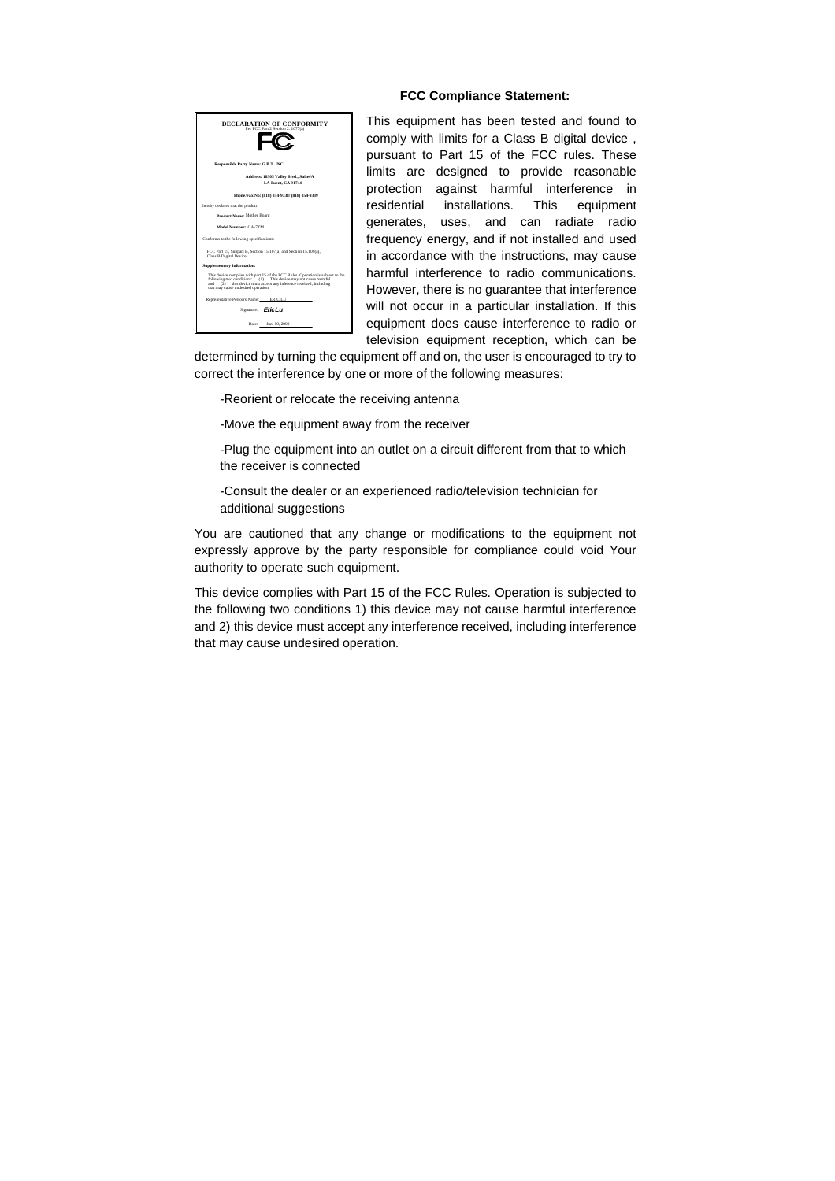

#### **FCC Compliance Statement:**

This equipment has been tested and found to comply with limits for a Class B digital device , pursuant to Part 15 of the FCC rules. These limits are designed to provide reasonable protection against harmful interference in residential installations. This equipment generates, uses, and can radiate radio frequency energy, and if not installed and used in accordance with the instructions, may cause harmful interference to radio communications. However, there is no guarantee that interference will not occur in a particular installation. If this equipment does cause interference to radio or television equipment reception, which can be

determined by turning the equipment off and on, the user is encouraged to try to correct the interference by one or more of the following measures:

-Reorient or relocate the receiving antenna

-Move the equipment away from the receiver

-Plug the equipment into an outlet on a circuit different from that to which the receiver is connected

-Consult the dealer or an experienced radio/television technician for additional suggestions

You are cautioned that any change or modifications to the equipment not expressly approve by the party responsible for compliance could void Your authority to operate such equipment.

This device complies with Part 15 of the FCC Rules. Operation is subjected to the following two conditions 1) this device may not cause harmful interference and 2) this device must accept any interference received, including interference that may cause undesired operation.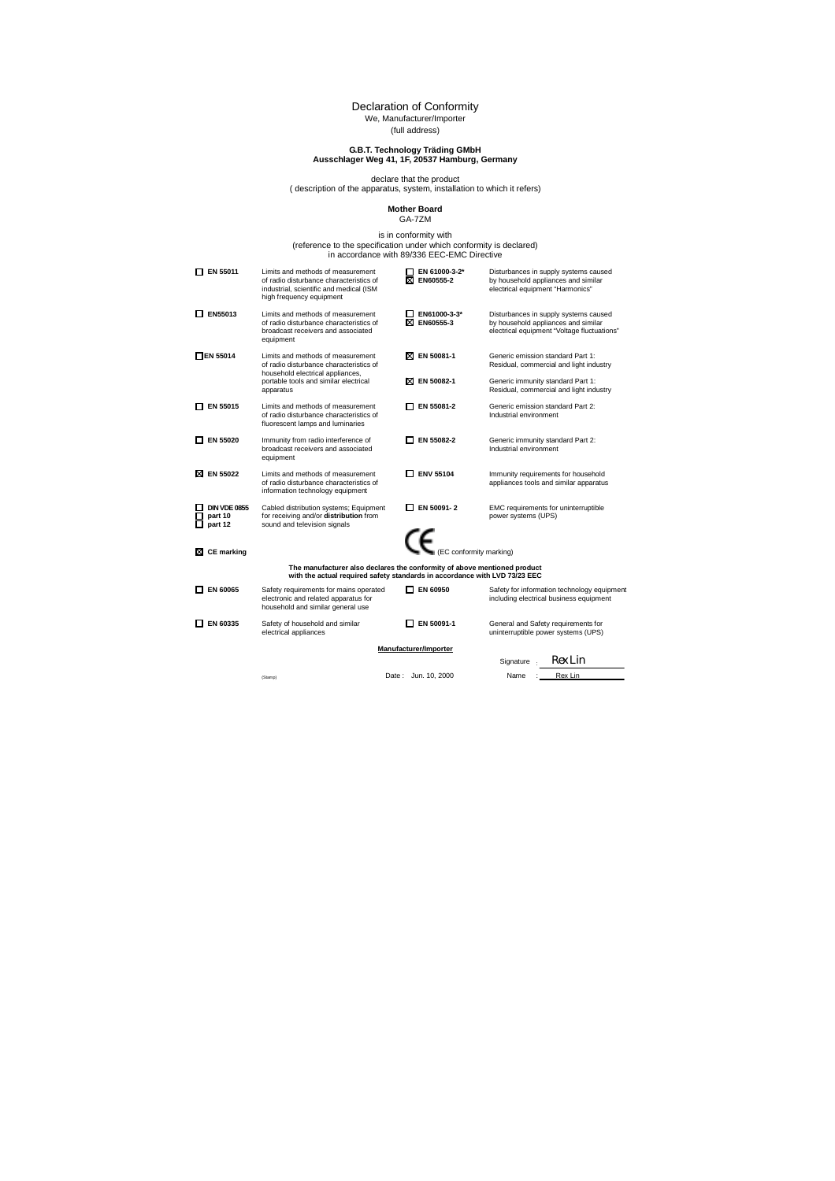### Declaration of Conformity We, Manufacturer/Importer

(full address)

### **G.B.T. Technology Träding GMbH Ausschlager Weg 41, 1F, 20537 Hamburg, Germany**

declare that the product ( description of the apparatus, system, installation to which it refers)

### **Mother Board**  GA-7ZM

is in conformity with<br>(reference to the specification under which conformity is declared)<br>in accordance with 89/336 EEC-EMC Directive

| $\Box$ EN 55011                           | Limits and methods of measurement<br>of radio disturbance characteristics of<br>industrial, scientific and medical (ISM<br>high frequency equipment    | EN 61000-3-2*<br><b>XI EN60555-2</b> | Disturbances in supply systems caused<br>by household appliances and similar<br>electrical equipment "Harmonics"            |
|-------------------------------------------|--------------------------------------------------------------------------------------------------------------------------------------------------------|--------------------------------------|-----------------------------------------------------------------------------------------------------------------------------|
| $\Box$ EN55013                            | Limits and methods of measurement<br>of radio disturbance characteristics of<br>broadcast receivers and associated<br>equipment                        | EN61000-3-3*<br><b>X EN60555-3</b>   | Disturbances in supply systems caused<br>by household appliances and similar<br>electrical equipment "Voltage fluctuations" |
| $\Box$ EN 55014                           | Limits and methods of measurement<br>of radio disturbance characteristics of<br>household electrical appliances,                                       | ⊠ EN 50081-1                         | Generic emission standard Part 1:<br>Residual, commercial and light industry                                                |
|                                           | portable tools and similar electrical<br>apparatus                                                                                                     | ⊠ EN 50082-1                         | Generic immunity standard Part 1:<br>Residual, commercial and light industry                                                |
| $\Box$ EN 55015                           | Limits and methods of measurement<br>of radio disturbance characteristics of<br>fluorescent lamps and luminaries                                       | □ EN 55081-2                         | Generic emission standard Part 2:<br>Industrial environment                                                                 |
| $\Box$ EN 55020                           | Immunity from radio interference of<br>broadcast receivers and associated<br>equipment                                                                 | <b>T EN 55082-2</b>                  | Generic immunity standard Part 2:<br>Industrial environment                                                                 |
| ⊠ EN 55022                                | Limits and methods of measurement<br>of radio disturbance characteristics of<br>information technology equipment                                       | $\square$ ENV 55104                  | Immunity requirements for household<br>appliances tools and similar apparatus                                               |
| <b>DIN VDE 0855</b><br>part 10<br>part 12 | Cabled distribution systems; Equipment<br>for receiving and/or distribution from<br>sound and television signals                                       | $\Box$ EN 50091-2                    | EMC requirements for uninterruptible<br>power systems (UPS)                                                                 |
| <b>CE</b> marking<br>⊠                    |                                                                                                                                                        | $\epsilon$ (EC conformity marking)   |                                                                                                                             |
|                                           | The manufacturer also declares the conformity of above mentioned product<br>with the actual required safety standards in accordance with LVD 73/23 EEC |                                      |                                                                                                                             |
| EN 60065                                  | Safety requirements for mains operated<br>electronic and related apparatus for<br>household and similar general use                                    | EN 60950                             | Safety for information technology equipment<br>including electrical business equipment                                      |
| EN 60335                                  | Safety of household and similar<br>electrical appliances                                                                                               | EN 50091-1                           | General and Safety requirements for<br>uninterruptible power systems (UPS)                                                  |
|                                           |                                                                                                                                                        | Manufacturer/Importer                |                                                                                                                             |
|                                           |                                                                                                                                                        |                                      | Rex Lin<br>Signature .                                                                                                      |
|                                           | (Stamp)                                                                                                                                                | Date: Jun. 10, 2000                  | Rex Lin<br>Name                                                                                                             |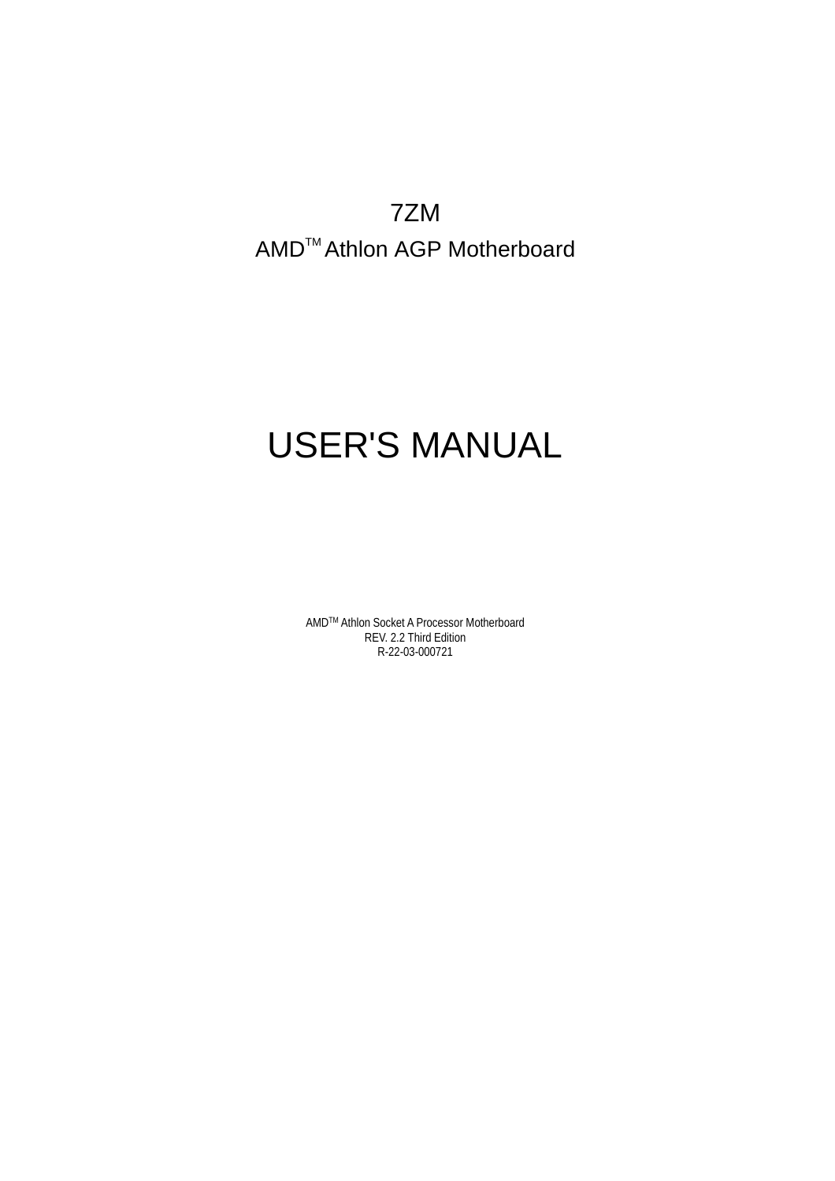7ZM AMD<sup>™</sup> Athlon AGP Motherboard

# USER'S MANUAL

AMDTM Athlon Socket A Processor Motherboard REV. 2.2 Third Edition R-22-03-000721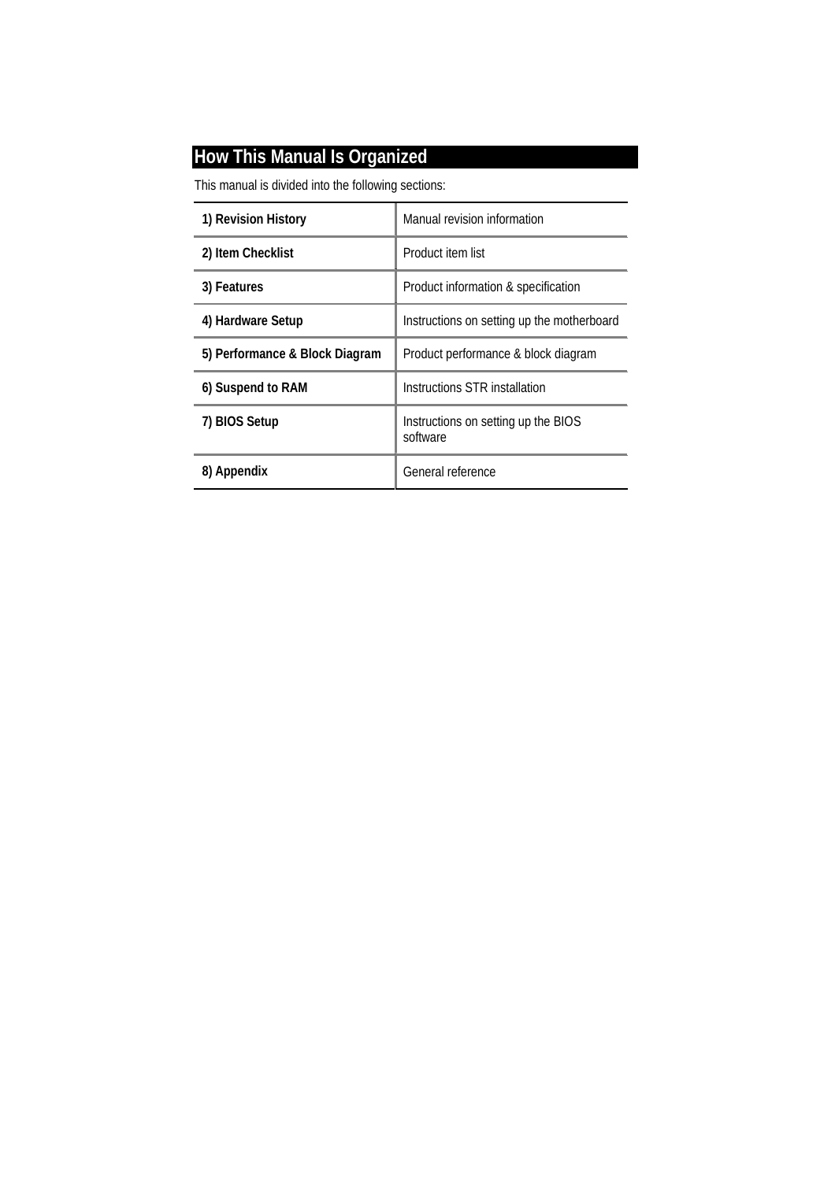### **How This Manual Is Organized**

This manual is divided into the following sections:

| 1) Revision History            | Manual revision information                     |  |
|--------------------------------|-------------------------------------------------|--|
| 2) Item Checklist              | Product item list                               |  |
| 3) Features                    | Product information & specification             |  |
| 4) Hardware Setup              | Instructions on setting up the motherboard      |  |
| 5) Performance & Block Diagram | Product performance & block diagram             |  |
| 6) Suspend to RAM              | Instructions STR installation                   |  |
| 7) BIOS Setup                  | Instructions on setting up the BIOS<br>software |  |
| 8) Appendix                    | General reference                               |  |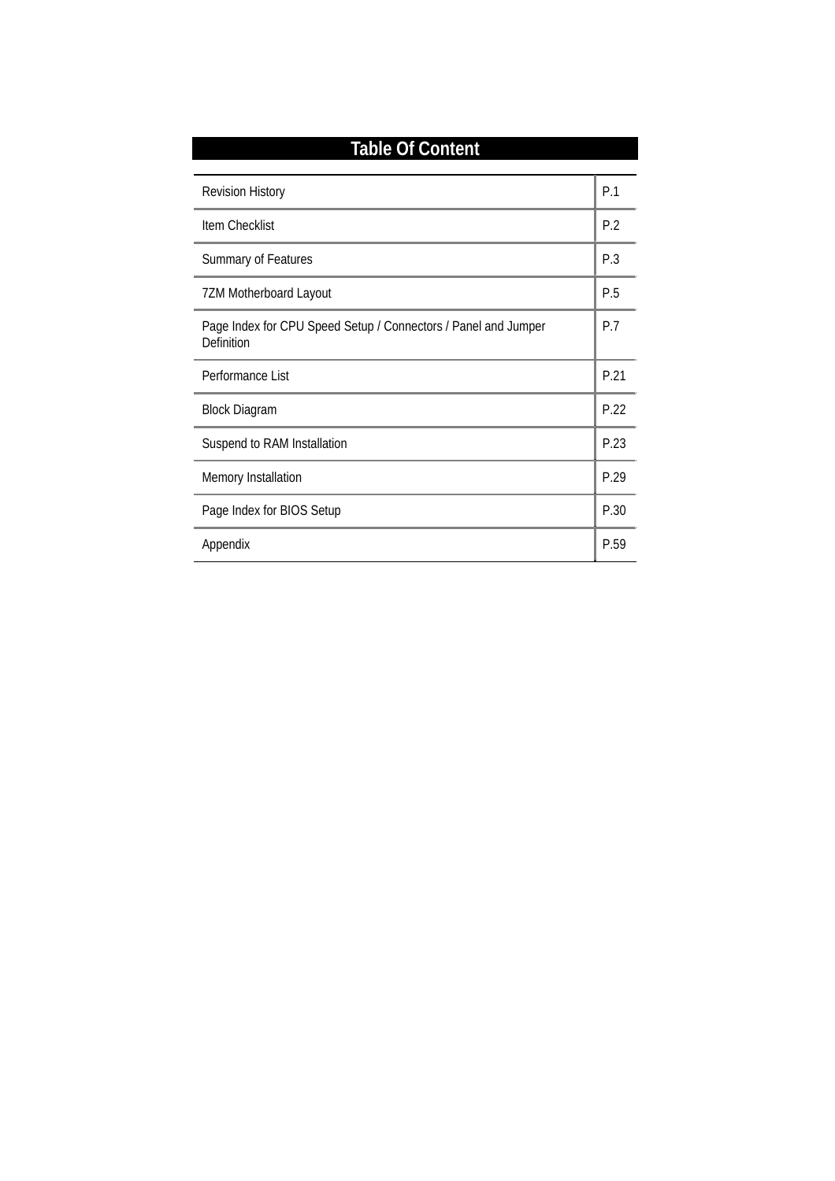| <b>Table Of Content</b>                                                             |      |  |
|-------------------------------------------------------------------------------------|------|--|
| <b>Revision History</b>                                                             | P.1  |  |
| <b>Item Checklist</b>                                                               | P.2  |  |
| <b>Summary of Features</b>                                                          | P.3  |  |
| <b>7ZM Motherboard Layout</b>                                                       | P.5  |  |
| Page Index for CPU Speed Setup / Connectors / Panel and Jumper<br><b>Definition</b> | P.7  |  |
| Performance List                                                                    | P.21 |  |
| <b>Block Diagram</b>                                                                | P.22 |  |
| Suspend to RAM Installation                                                         | P.23 |  |
| <b>Memory Installation</b>                                                          | P.29 |  |
| Page Index for BIOS Setup                                                           | P.30 |  |
| Appendix                                                                            | P.59 |  |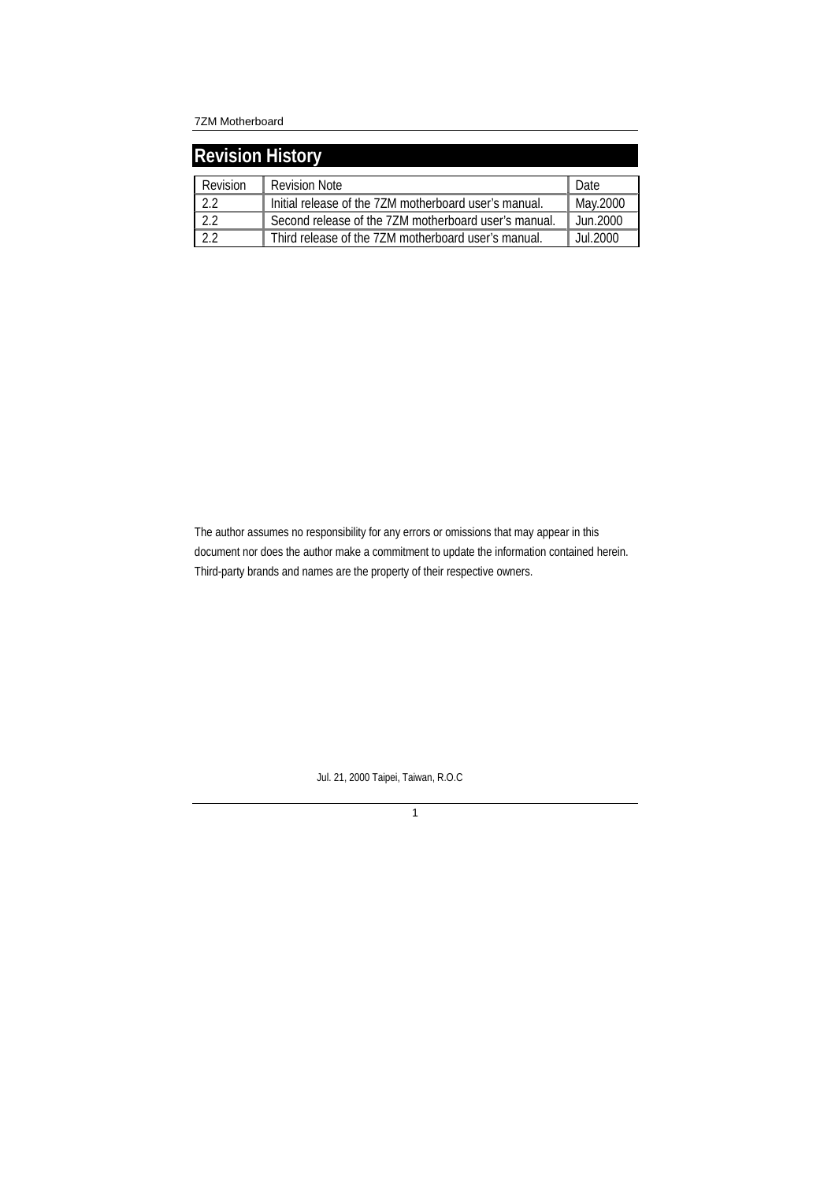| <b>Revision History</b> |                                                       |          |  |  |
|-------------------------|-------------------------------------------------------|----------|--|--|
| Revision                | <b>Revision Note</b>                                  | Date     |  |  |
| 22                      | Initial release of the 7ZM motherboard user's manual. | May.2000 |  |  |
| 22                      | Second release of the 7ZM motherboard user's manual.  | Jun.2000 |  |  |
| 22                      | Third release of the 7ZM motherboard user's manual.   | Jul.2000 |  |  |

The author assumes no responsibility for any errors or omissions that may appear in this document nor does the author make a commitment to update the information contained herein. Third-party brands and names are the property of their respective owners.

Jul. 21, 2000 Taipei, Taiwan, R.O.C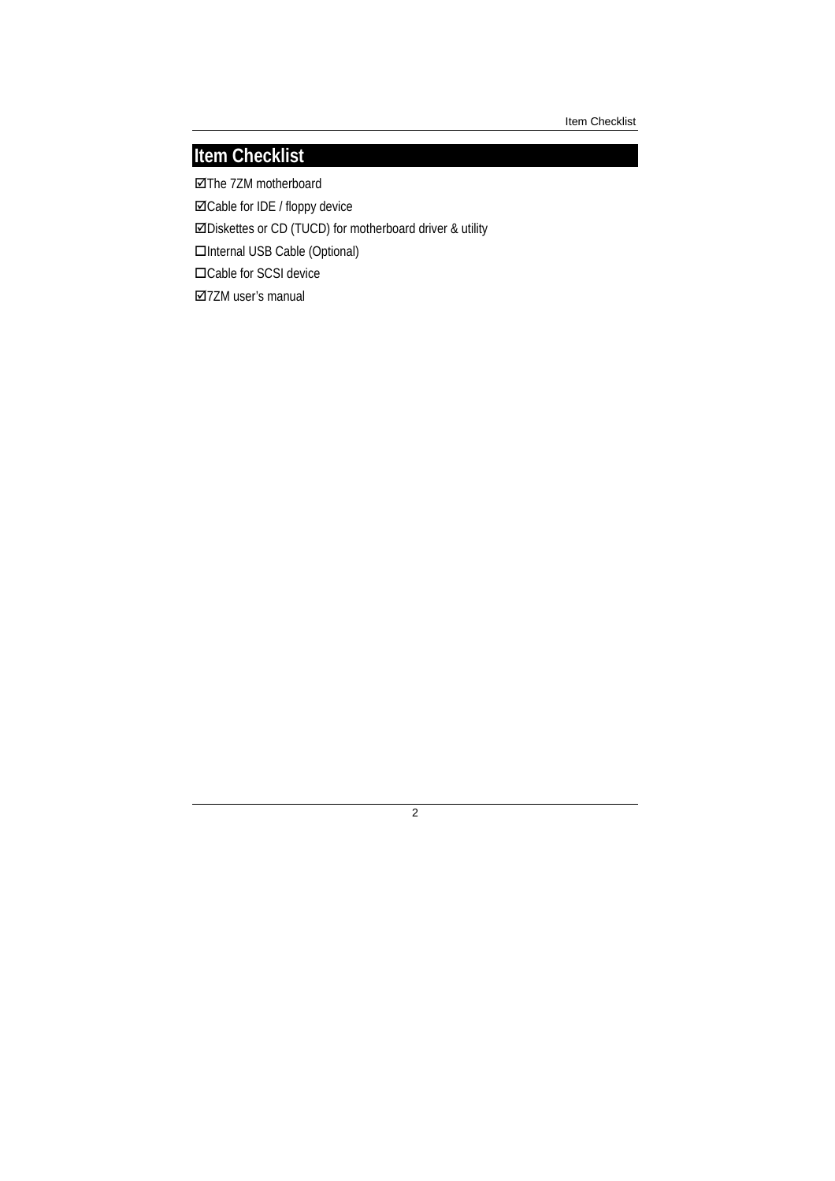Item Checklist

## **Item Checklist**

The 7ZM motherboard Cable for IDE / floppy device Diskettes or CD (TUCD) for motherboard driver & utility □Internal USB Cable (Optional) □Cable for SCSI device 7ZM user's manual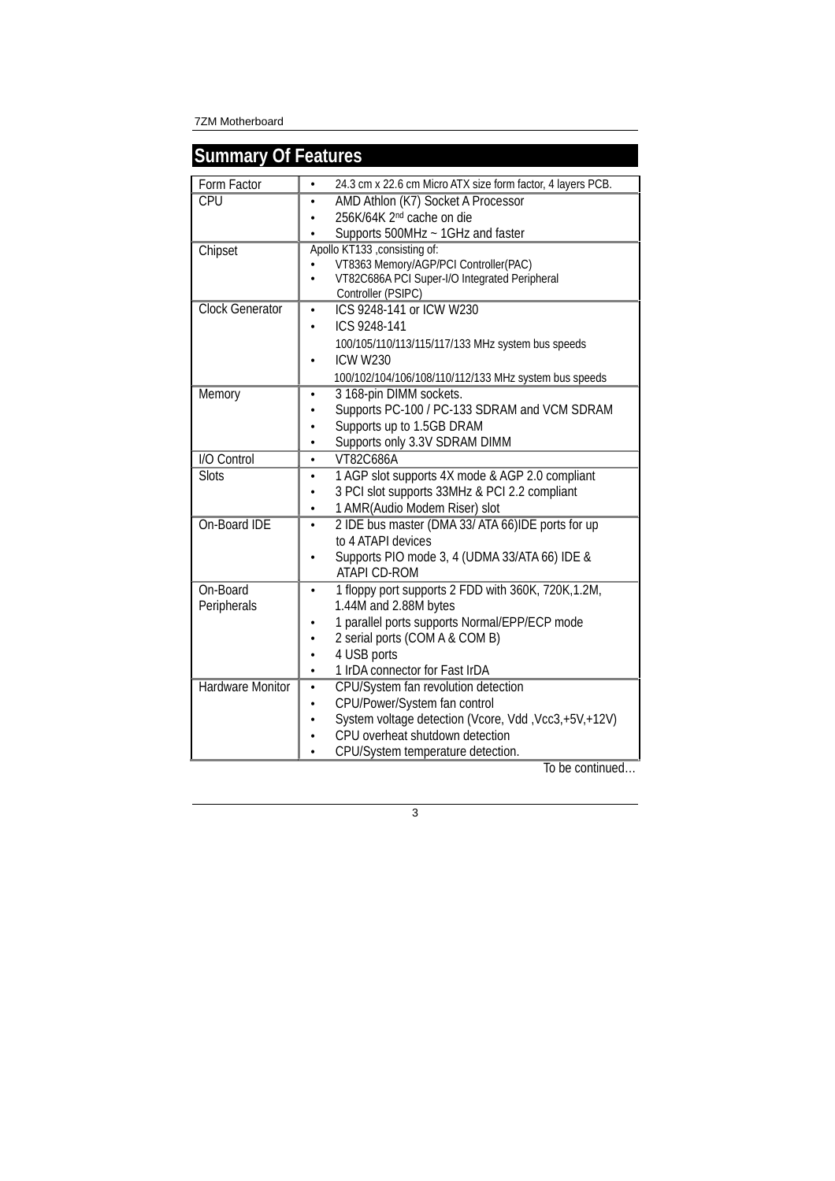| <b>Summary Of Features</b> |                                                                                  |
|----------------------------|----------------------------------------------------------------------------------|
| Form Factor                | 24.3 cm x 22.6 cm Micro ATX size form factor, 4 layers PCB.<br>۰                 |
| <b>CPU</b>                 | AMD Athlon (K7) Socket A Processor<br>$\bullet$                                  |
|                            | 256K/64K 2 <sup>nd</sup> cache on die                                            |
|                            | Supports 500MHz ~ 1GHz and faster                                                |
| Chipset                    | Apollo KT133 , consisting of:                                                    |
|                            | VT8363 Memory/AGP/PCI Controller(PAC)                                            |
|                            | VT82C686A PCI Super-I/O Integrated Peripheral<br>$\bullet$<br>Controller (PSIPC) |
| <b>Clock Generator</b>     | ICS 9248-141 or ICW W230<br>$\bullet$                                            |
|                            | ICS 9248-141<br>$\bullet$                                                        |
|                            | 100/105/110/113/115/117/133 MHz system bus speeds                                |
|                            | <b>ICW W230</b>                                                                  |
|                            | 100/102/104/106/108/110/112/133 MHz system bus speeds                            |
| Memory                     | 3 168-pin DIMM sockets.<br>$\bullet$                                             |
|                            | Supports PC-100 / PC-133 SDRAM and VCM SDRAM                                     |
|                            | Supports up to 1.5GB DRAM<br>$\bullet$                                           |
|                            | Supports only 3.3V SDRAM DIMM                                                    |
| <b>I/O Control</b>         | VT82C686A<br>$\bullet$                                                           |
| <b>Slots</b>               | 1 AGP slot supports 4X mode & AGP 2.0 compliant                                  |
|                            | 3 PCI slot supports 33MHz & PCI 2.2 compliant                                    |
|                            | 1 AMR(Audio Modem Riser) slot<br>٠                                               |
| On-Board IDE               | 2 IDE bus master (DMA 33/ ATA 66)IDE ports for up<br>$\bullet$                   |
|                            | to 4 ATAPI devices                                                               |
|                            | Supports PIO mode 3, 4 (UDMA 33/ATA 66) IDE &                                    |
|                            | <b>ATAPI CD-ROM</b>                                                              |
| On-Board                   | 1 floppy port supports 2 FDD with 360K, 720K, 1.2M,<br>$\bullet$                 |
| Peripherals                | 1.44M and 2.88M bytes                                                            |
|                            | 1 parallel ports supports Normal/EPP/ECP mode                                    |
|                            | 2 serial ports (COM A & COM B)                                                   |
|                            | 4 USB ports<br>$\bullet$<br>1 IrDA connector for Fast IrDA<br>$\bullet$          |
| <b>Hardware Monitor</b>    | CPU/System fan revolution detection<br>$\bullet$                                 |
|                            | CPU/Power/System fan control                                                     |
|                            | System voltage detection (Vcore, Vdd, Vcc3,+5V,+12V)<br>$\bullet$                |
|                            | CPU overheat shutdown detection<br>$\bullet$                                     |
|                            | CPU/System temperature detection.                                                |
|                            |                                                                                  |

To be continued…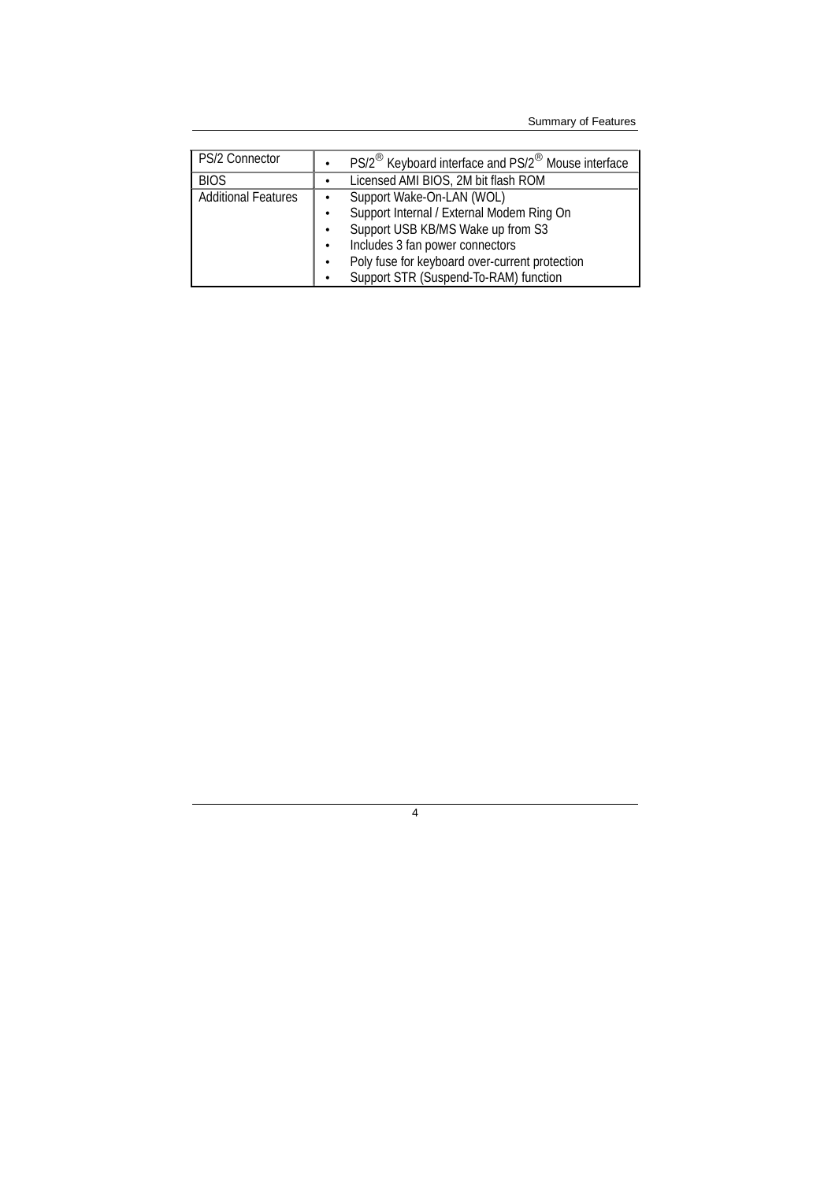Summary of Features

| PS/2 Connector             |           | PS/2 <sup>®</sup> Keyboard interface and PS/2 <sup>®</sup> Mouse interface |
|----------------------------|-----------|----------------------------------------------------------------------------|
| <b>BIOS</b>                | $\bullet$ | Licensed AMI BIOS, 2M bit flash ROM                                        |
| <b>Additional Features</b> | $\bullet$ | Support Wake-On-LAN (WOL)                                                  |
|                            | $\bullet$ | Support Internal / External Modem Ring On                                  |
|                            | $\bullet$ | Support USB KB/MS Wake up from S3                                          |
|                            |           | Includes 3 fan power connectors                                            |
|                            |           | Poly fuse for keyboard over-current protection                             |
|                            |           | Support STR (Suspend-To-RAM) function                                      |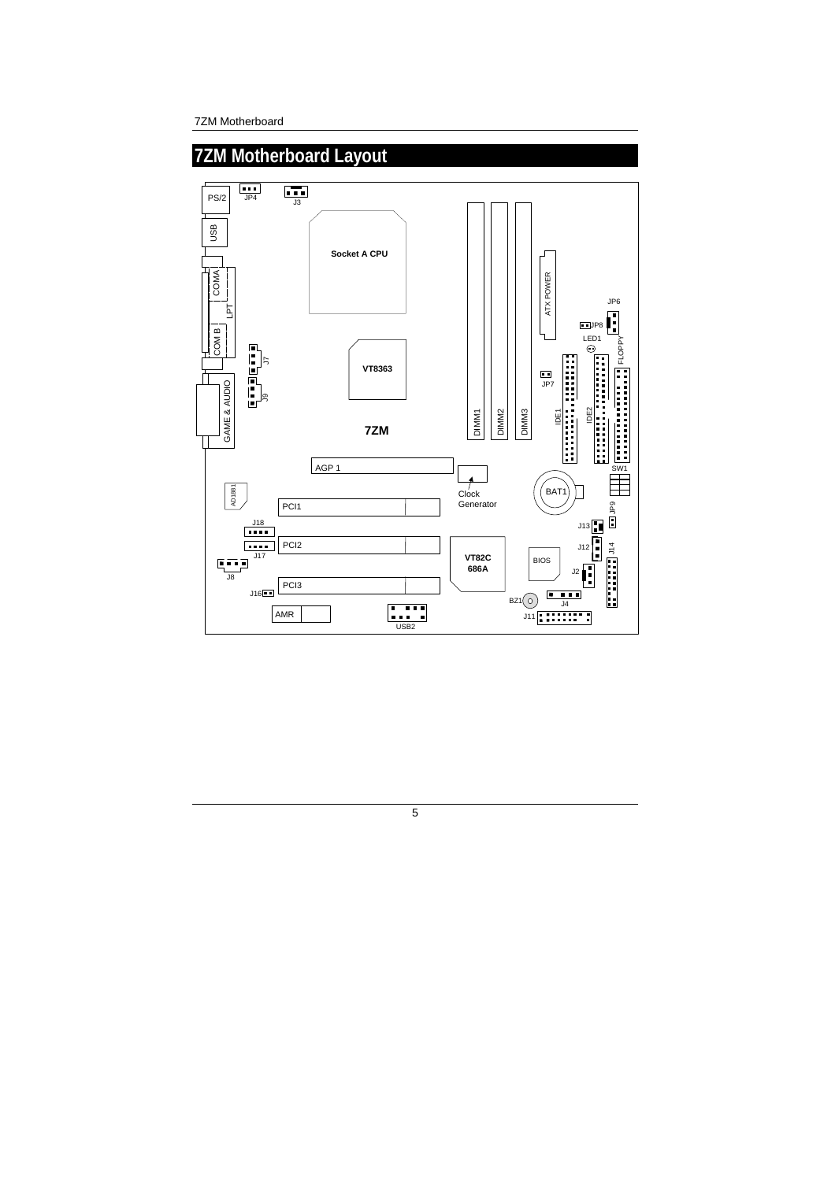7ZM Motherboard

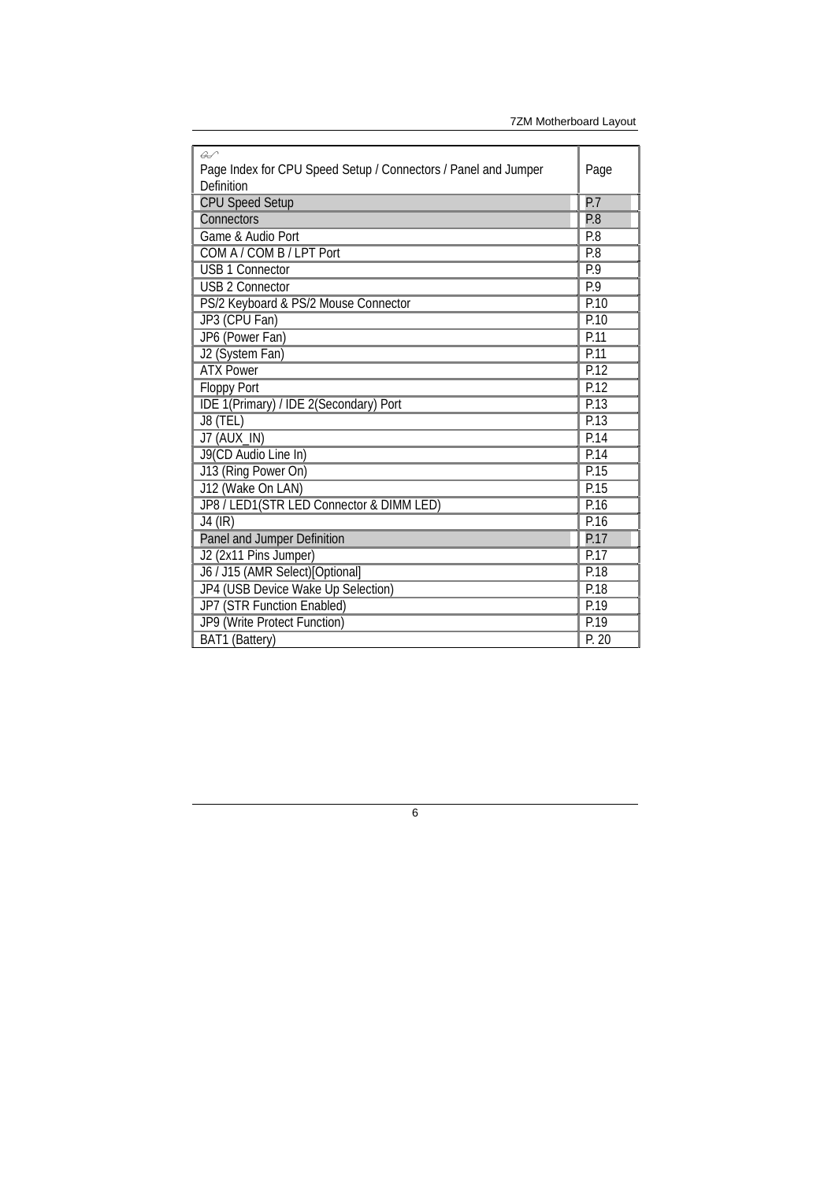| $\overline{\mathscr{L}}$<br>Page Index for CPU Speed Setup / Connectors / Panel and Jumper<br>Definition | Page  |
|----------------------------------------------------------------------------------------------------------|-------|
| <b>CPU Speed Setup</b>                                                                                   | P.7   |
| Connectors                                                                                               | P.8   |
| Game & Audio Port                                                                                        | P.8   |
| COM A / COM B / LPT Port                                                                                 | P.8   |
| <b>USB 1 Connector</b>                                                                                   | P.9   |
| <b>USB 2 Connector</b>                                                                                   | P.9   |
| PS/2 Keyboard & PS/2 Mouse Connector                                                                     | P.10  |
| JP3 (CPU Fan)                                                                                            | P.10  |
| JP6 (Power Fan)                                                                                          | P.11  |
| J2 (System Fan)                                                                                          | P.11  |
| <b>ATX Power</b>                                                                                         | P.12  |
| <b>Floppy Port</b>                                                                                       | P.12  |
| IDE 1(Primary) / IDE 2(Secondary) Port                                                                   | P.13  |
| J8 (TEL)                                                                                                 | P.13  |
| <b>J7 (AUX_IN)</b>                                                                                       | P.14  |
| J9(CD Audio Line In)                                                                                     | P.14  |
| J13 (Ring Power On)                                                                                      | P.15  |
| J12 (Wake On LAN)                                                                                        | P.15  |
| JP8 / LED1(STR LED Connector & DIMM LED)                                                                 | P.16  |
| $J4$ (IR)                                                                                                | P.16  |
| Panel and Jumper Definition                                                                              | P.17  |
| J2 (2x11 Pins Jumper)                                                                                    | P.17  |
| J6 / J15 (AMR Select)[Optional]                                                                          | P.18  |
| JP4 (USB Device Wake Up Selection)                                                                       | P.18  |
| JP7 (STR Function Enabled)                                                                               | P.19  |
| JP9 (Write Protect Function)                                                                             | P.19  |
| BAT1 (Battery)                                                                                           | P. 20 |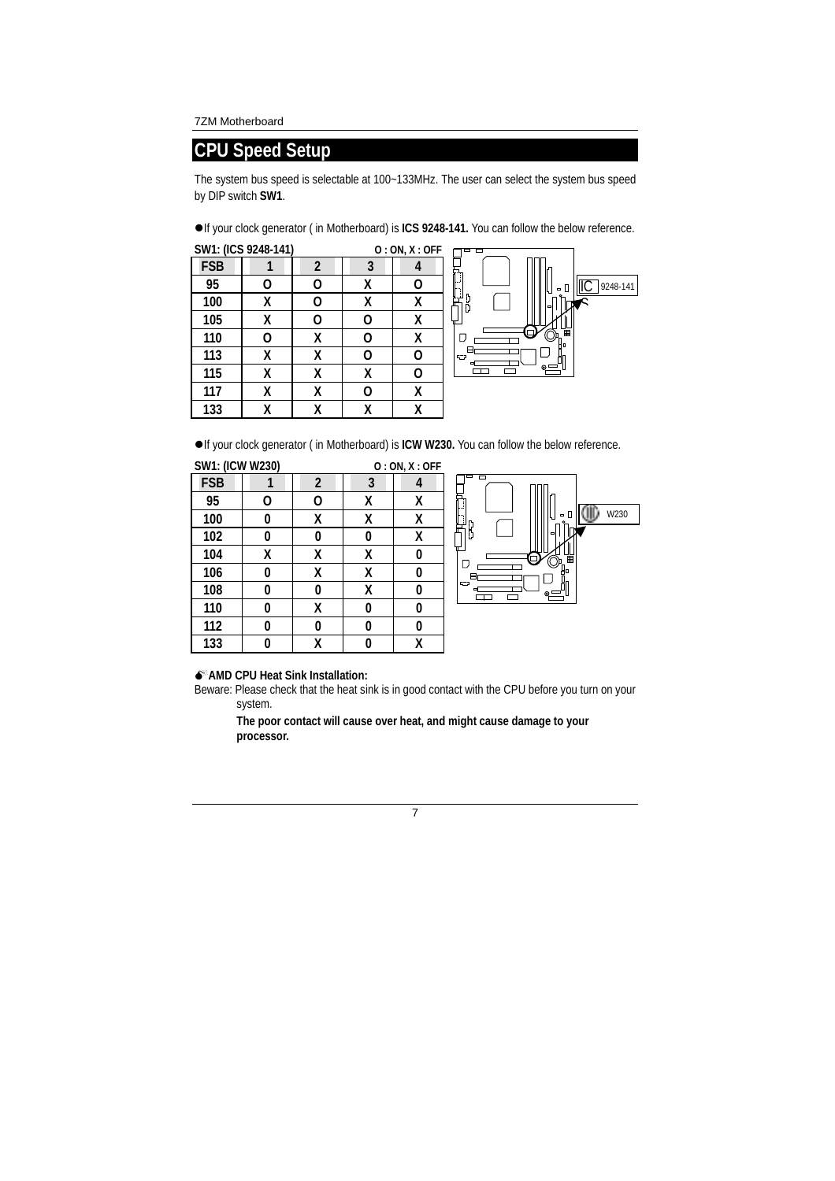### **CPU Speed Setup**

The system bus speed is selectable at 100~133MHz. The user can select the system bus speed by DIP switch **SW1**.

If your clock generator ( in Motherboard) is **ICS 9248-141.** You can follow the below reference.

|            | SW1: (ICS 9248-141) |                |   | O: ON, X: OFF |
|------------|---------------------|----------------|---|---------------|
| <b>FSB</b> |                     | $\overline{2}$ | 3 |               |
| 95         | 0                   | 0              | X | 0             |
| 100        | χ                   | Ω              | X | χ             |
| 105        | x                   | Ω              | Ω | χ             |
| 110        | Ω                   | χ              | Ω | χ             |
| 113        | χ                   | χ              | Ω | 0             |
| 115        | χ                   | χ              | X | ი             |
| 117        | χ                   | χ              | O | χ             |
| 133        |                     | Χ              | χ | χ             |



If your clock generator ( in Motherboard) is **ICW W230.** You can follow the below reference.

| <b>SW1: (ICW W230)</b> |   |                |   | O: ON, X: OFF |
|------------------------|---|----------------|---|---------------|
| <b>FSB</b>             |   | $\overline{2}$ | 3 | 4             |
| 95                     | 0 | 0              | X | χ             |
| 100                    | 0 | χ              | χ | χ             |
| 102                    | 0 | 0              | 0 | χ             |
| 104                    | χ | χ              | χ | 0             |
| 106                    | 0 | χ              | χ | 0             |
| 108                    | 0 | 0              | χ | 0             |
| 110                    | 0 | χ              | 0 | 0             |
| 112                    | 0 | 0              | 0 | 0             |
| 133                    |   | X              |   | χ             |



### -**AMD CPU Heat Sink Installation:**

Beware: Please check that the heat sink is in good contact with the CPU before you turn on your system.

**The poor contact will cause over heat, and might cause damage to your processor.**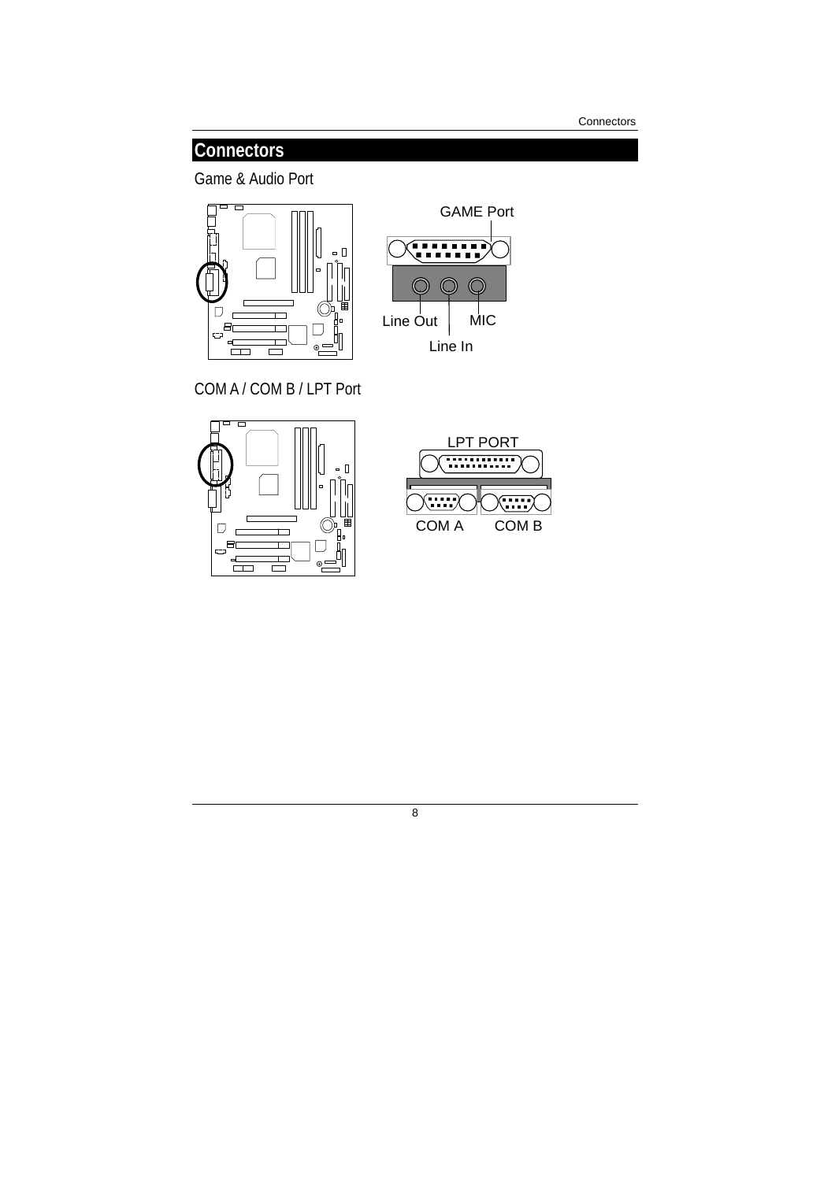**Connectors** 

### **Connectors**

Game & Audio Port





COM A / COM B / LPT Port





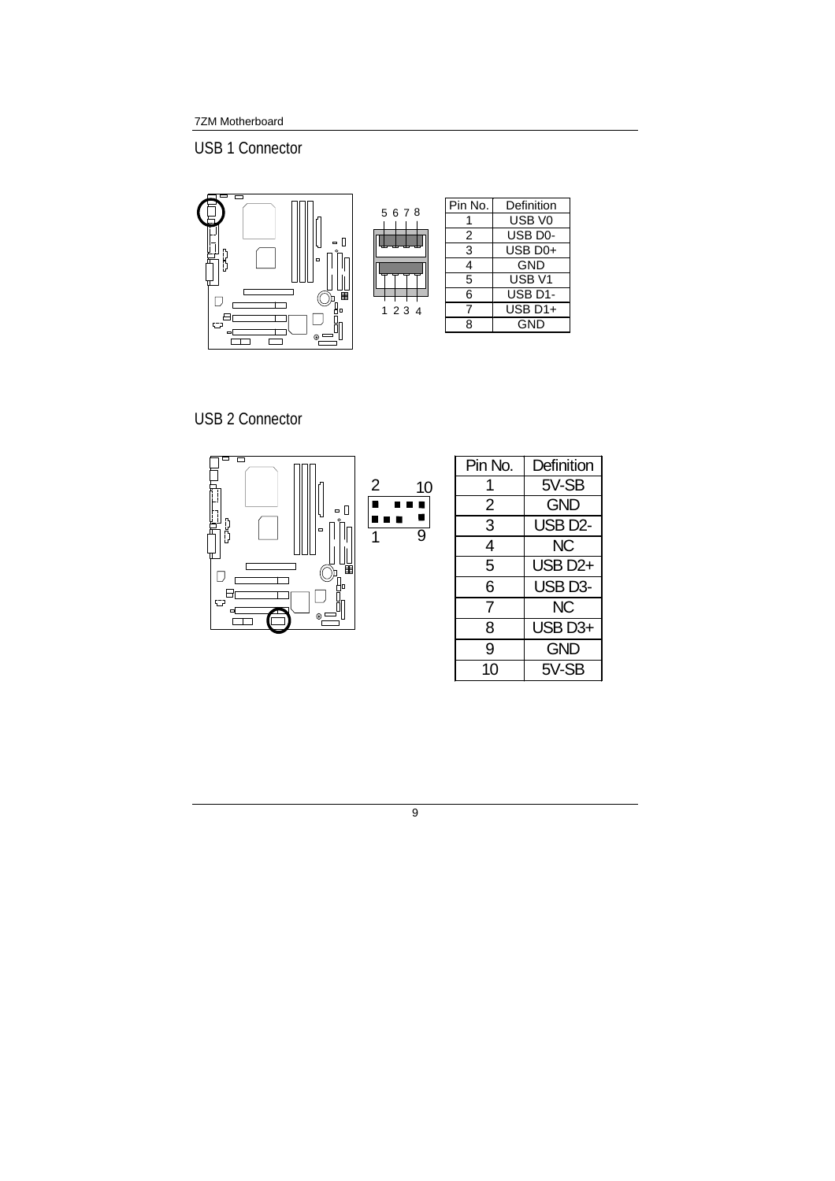USB 1 Connector



USB 2 Connector

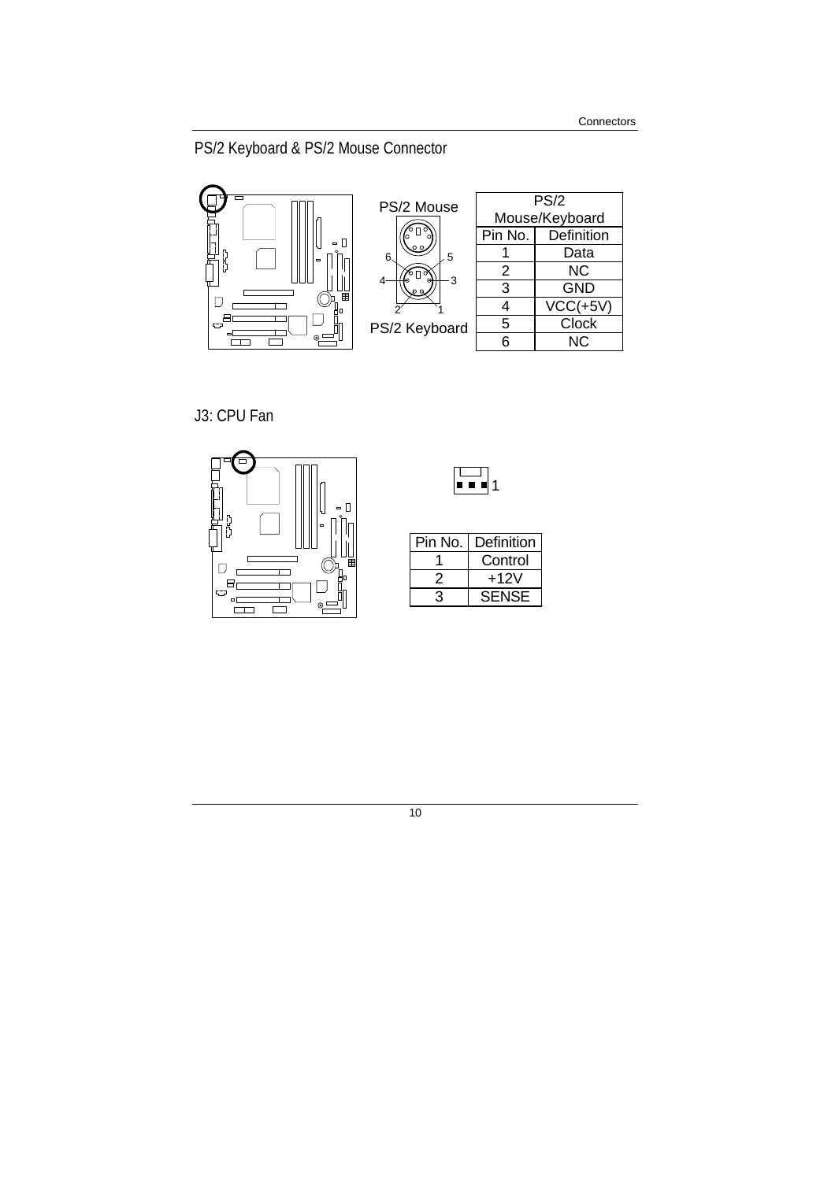PS/2 Keyboard & PS/2 Mouse Connector



J3: CPU Fan





| Pin No. | Definition |
|---------|------------|
|         | Control    |
|         | +12V       |
|         | SENSE      |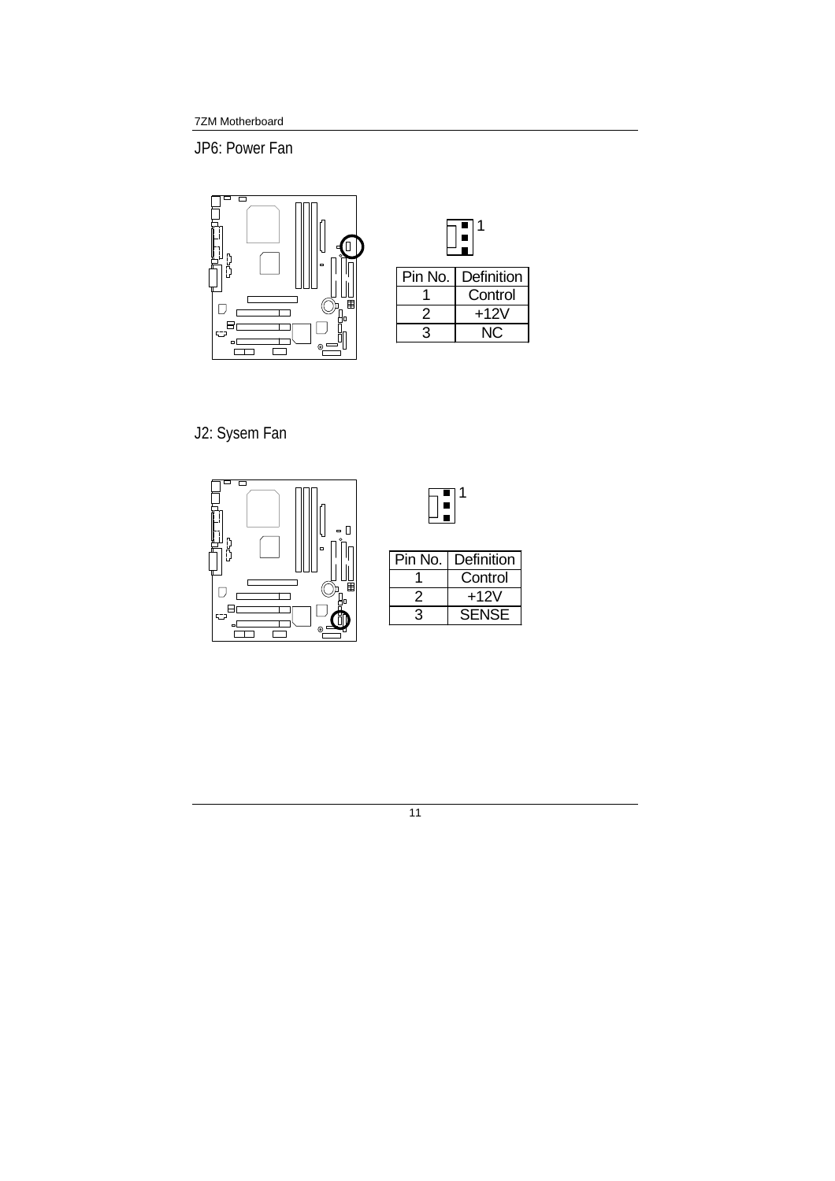JP6: Power Fan



| Pin No. | Definition |  |
|---------|------------|--|
|         | Control    |  |
|         | +12V       |  |
|         |            |  |

J2: Sysem Fan



| Definition   |
|--------------|
| Control      |
| +12V         |
| <b>SENSE</b> |
|              |

11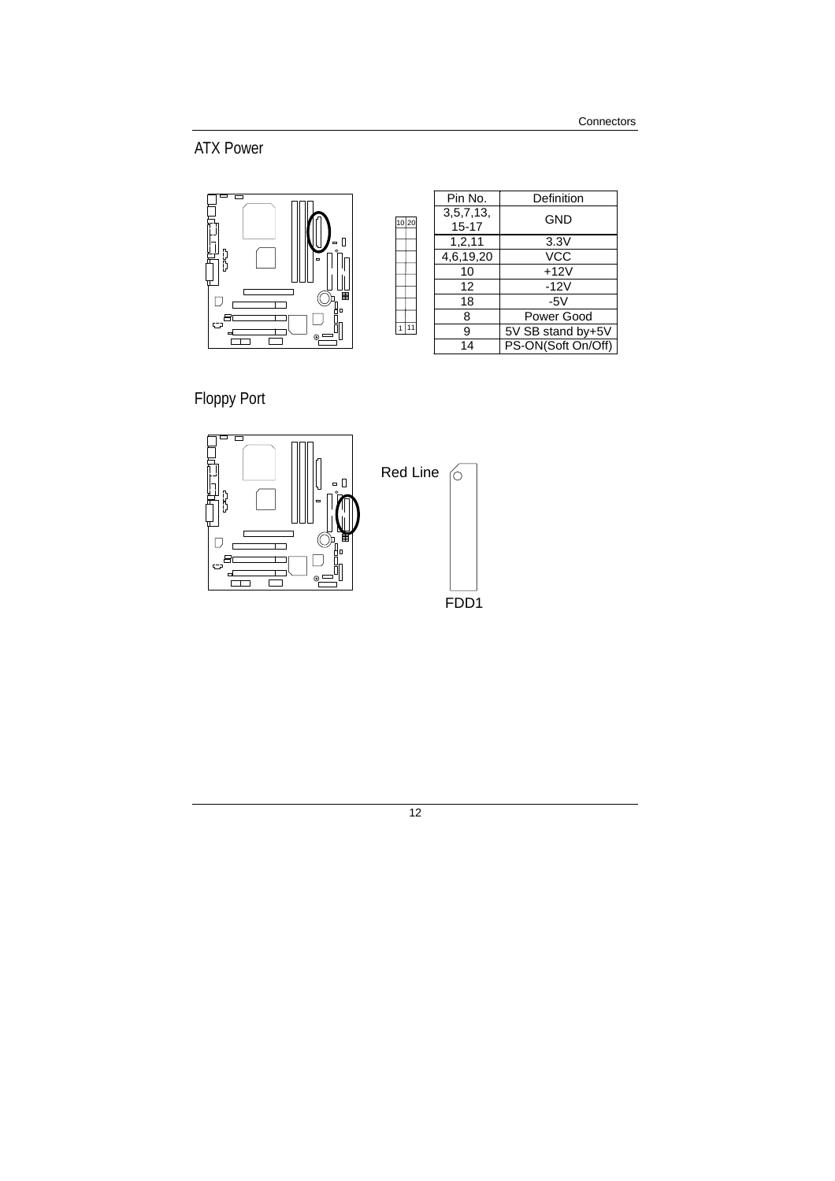ATX Power



| Pin No.                   | Definition         |  |
|---------------------------|--------------------|--|
| 3, 5, 7, 13,<br>$15 - 17$ | GND                |  |
|                           |                    |  |
| 1, 2, 11                  | 3.3V               |  |
| 4,6,19,20                 | VCC                |  |
| 10                        | $+12V$             |  |
| 12                        | $-12V$             |  |
| 18                        | $-5V$              |  |
| 8                         | Power Good         |  |
| 9                         | 5V SB stand by+5V  |  |
| 14                        | PS-ON(Soft On/Off) |  |

Floppy Port



10 20

 $\sqrt{1}$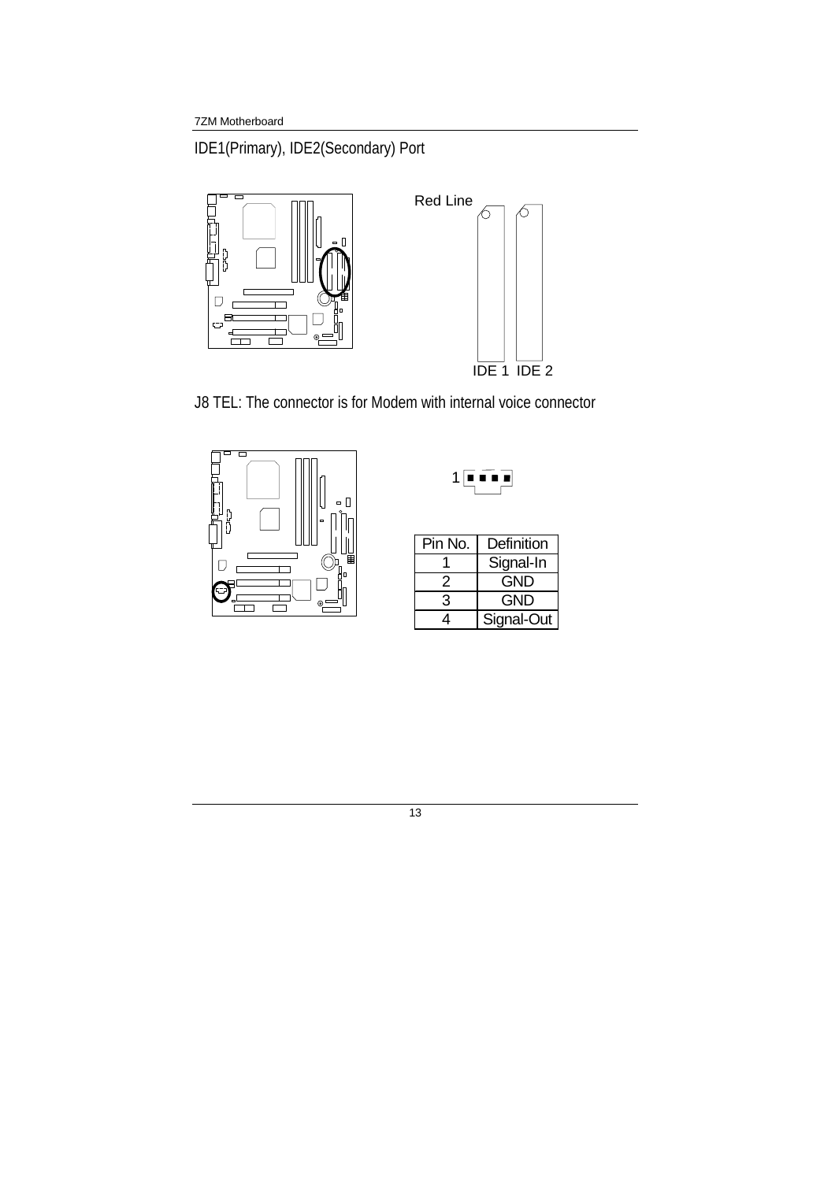IDE1(Primary), IDE2(Secondary) Port



J8 TEL: The connector is for Modem with internal voice connector





| Pin No. | Definition |
|---------|------------|
|         | Signal-In  |
| 2       | GND        |
| З       | <b>GND</b> |
|         | Signal-Out |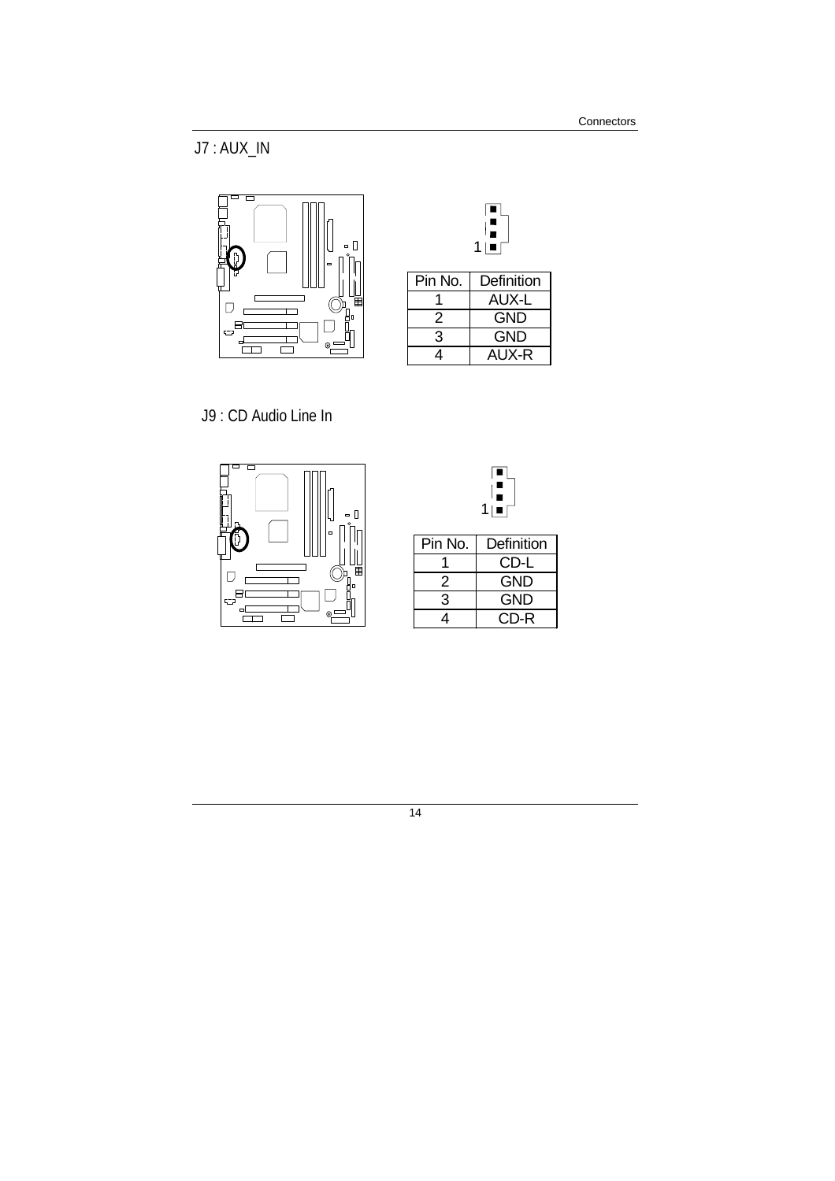J7 : AUX\_IN



|         | 1   ■      |
|---------|------------|
| Pin No. | Definition |
|         | AUX-L      |
| 2       | <b>GND</b> |
| 3       | <b>GND</b> |
|         | AUX-R      |

J9 : CD Audio Line In





| Pin No. | Definition |
|---------|------------|
|         | CD-L       |
| 2       | <b>GND</b> |
|         | GND        |
|         | CD-R       |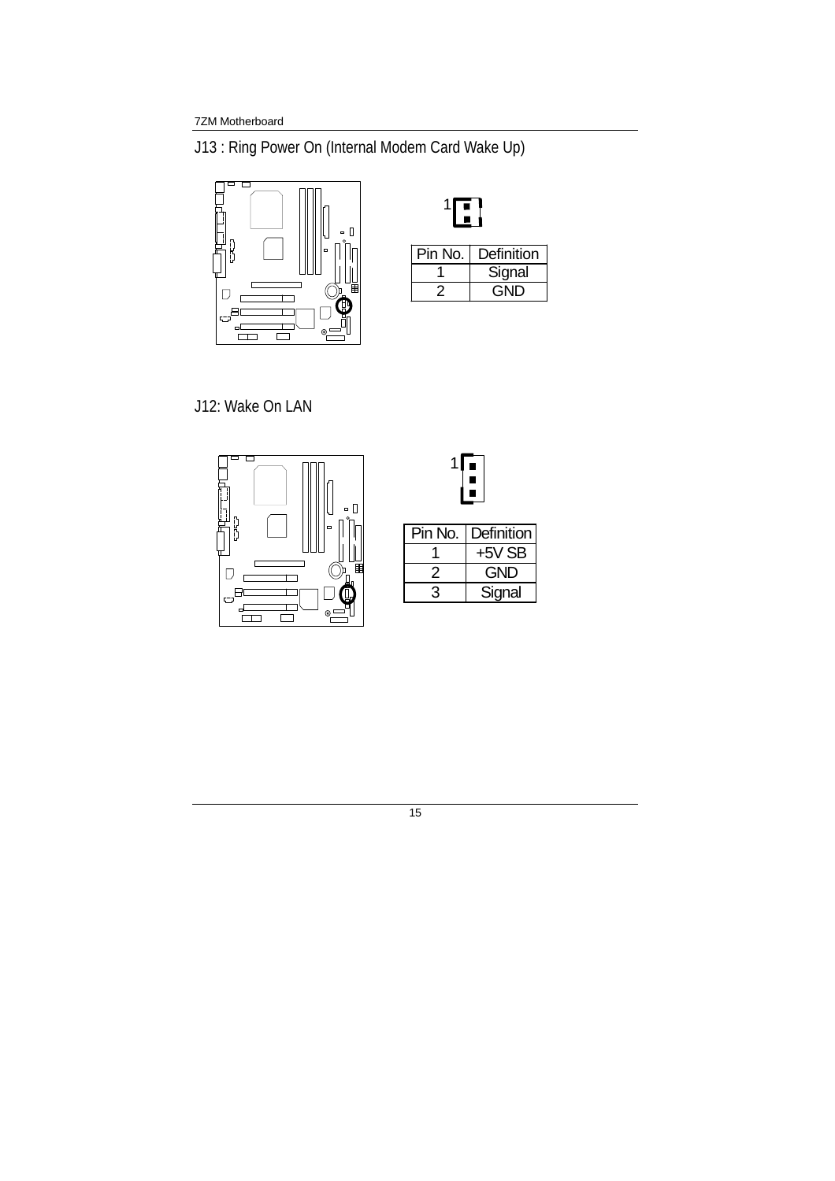J13 : Ring Power On (Internal Modem Card Wake Up)



| Pin No. | Definition |  |
|---------|------------|--|
|         | Signal     |  |
|         | GND        |  |

J12: Wake On LAN





**Signal**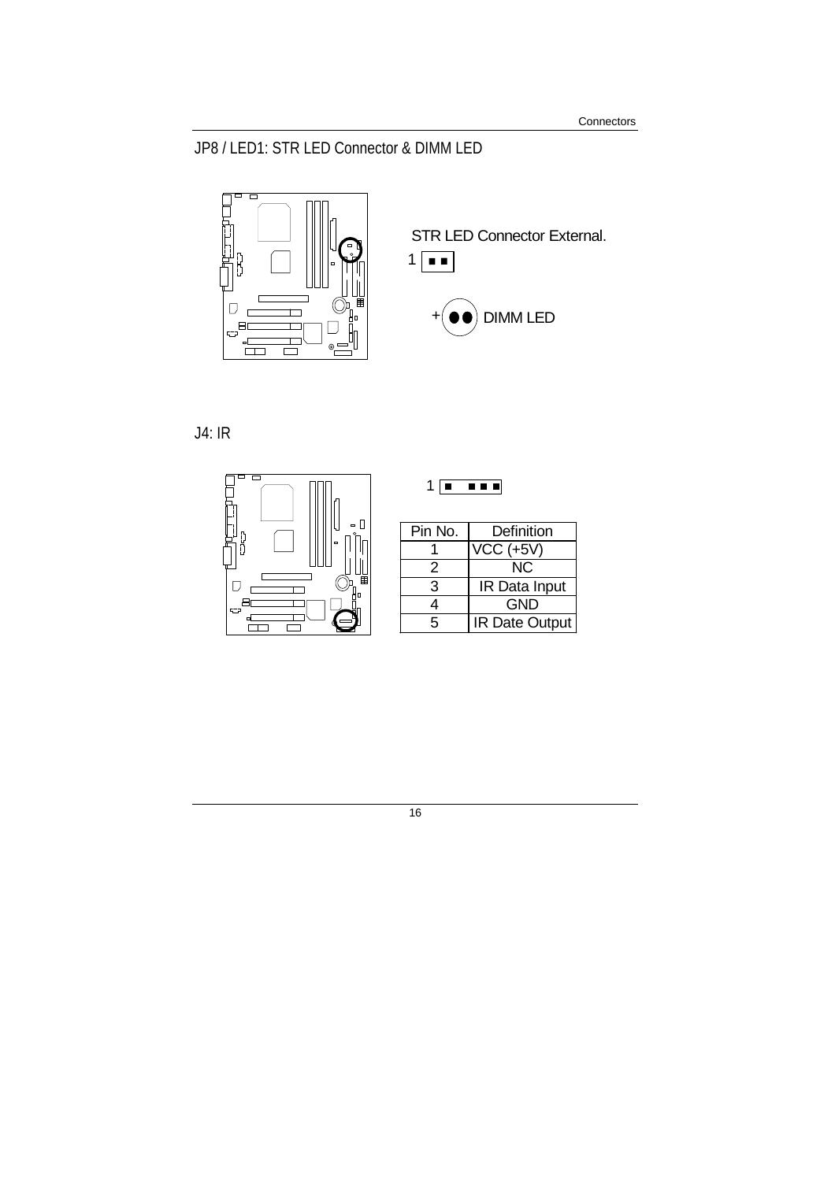### JP8 / LED1: STR LED Connector & DIMM LED



J4: IR



| Pin No. | Definition           |
|---------|----------------------|
|         | VCC (+5V)            |
| 2       | NC.                  |
| 3       | <b>IR Data Input</b> |
|         | GND                  |

1 **1 1 1 1 1** 

5 **IR Date Output**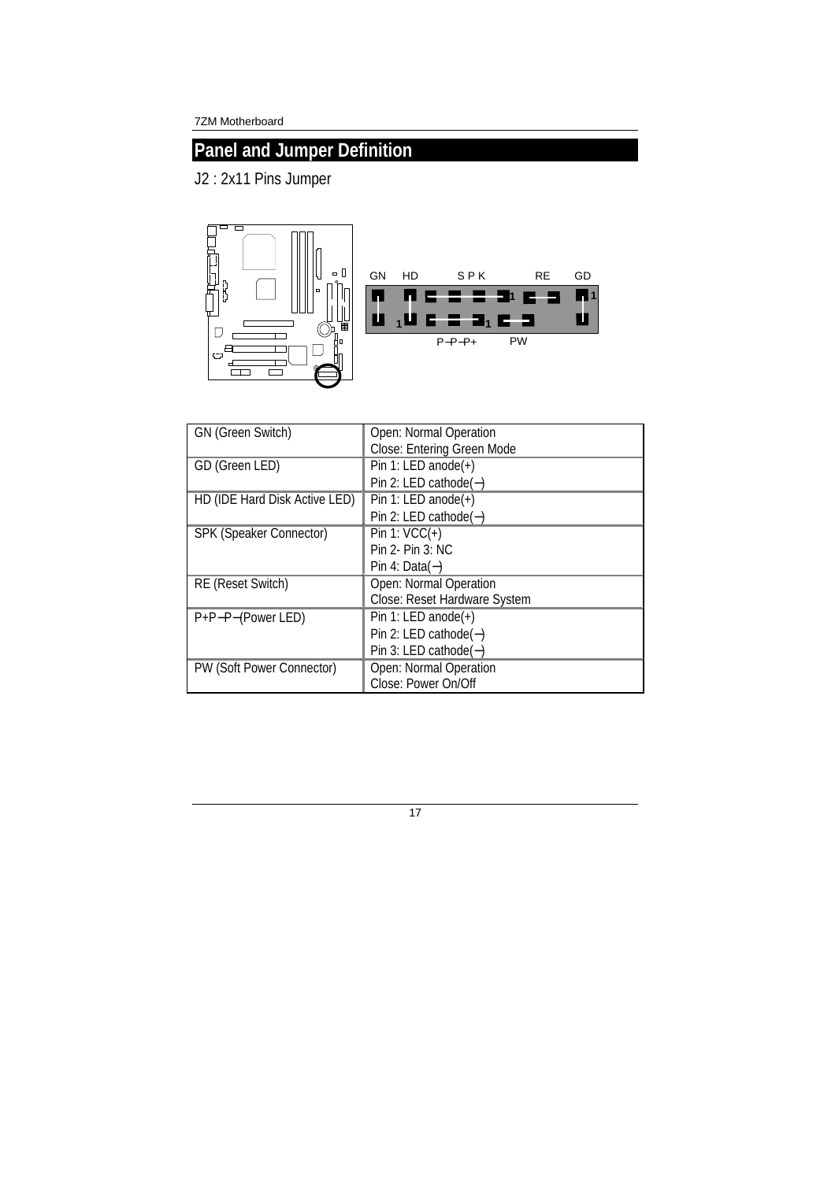## **Panel and Jumper Definition**

J2 : 2x11 Pins Jumper



| <b>GN (Green Switch)</b>      | Open: Normal Operation       |
|-------------------------------|------------------------------|
|                               | Close: Entering Green Mode   |
| GD (Green LED)                | Pin 1: LED anode(+)          |
|                               | Pin 2: LED cathode $(-)$     |
| HD (IDE Hard Disk Active LED) | Pin 1: LED anode $(+)$       |
|                               | Pin 2: LED cathode $(-)$     |
| SPK (Speaker Connector)       | Pin 1: $VCC(+)$              |
|                               | $Pin 2-Pin 3: NC$            |
|                               | Pin 4: Data $(-)$            |
| <b>RE</b> (Reset Switch)      | Open: Normal Operation       |
|                               | Close: Reset Hardware System |
| P+P-P-(Power LED)             | Pin 1: LED anode $(+)$       |
|                               | Pin 2: LED cathode $(-)$     |
|                               | Pin 3: LED cathode $(-)$     |
| PW (Soft Power Connector)     | Open: Normal Operation       |
|                               | Close: Power On/Off          |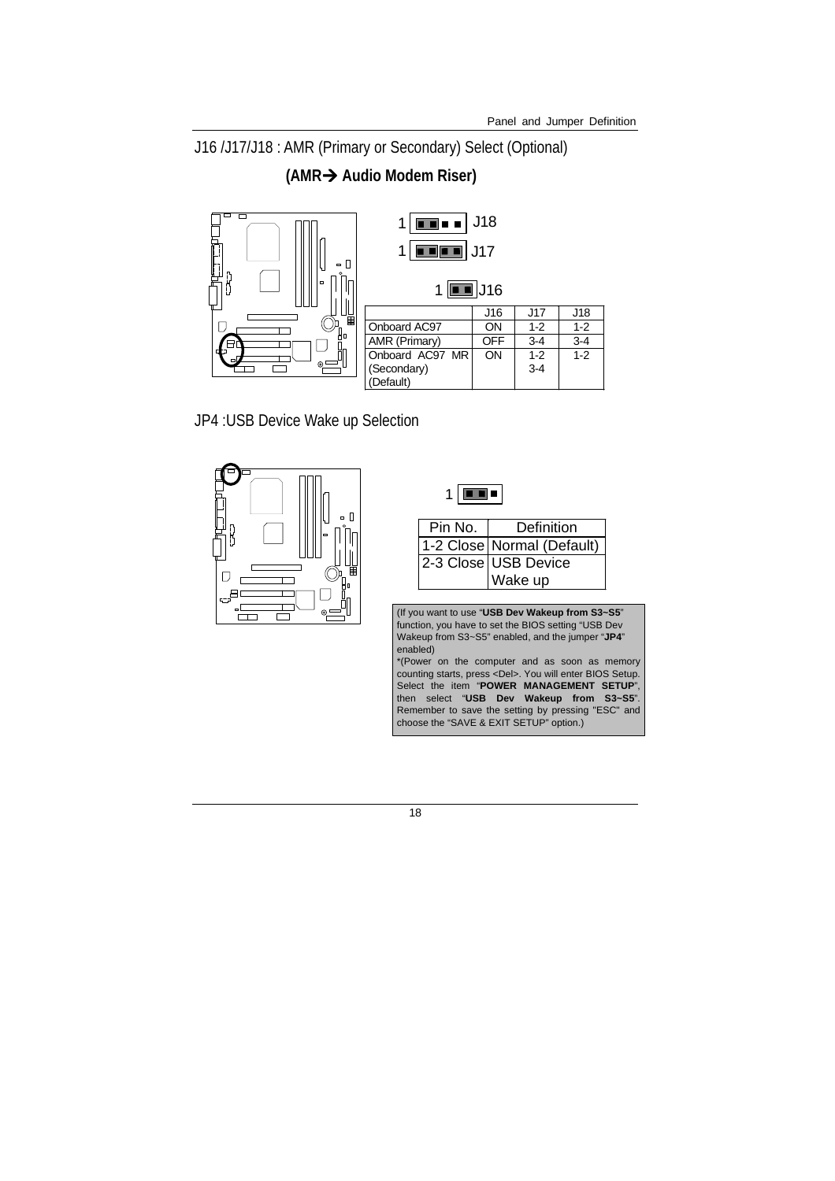J16 /J17/J18 : AMR (Primary or Secondary) Select (Optional)

**(AMR Audio Modem Riser)**



JP4 :USB Device Wake up Selection





| Pin No. | Definition                   |  |
|---------|------------------------------|--|
|         | 1-2 Close   Normal (Default) |  |
|         | 2-3 Close USB Device         |  |
|         | Wake up                      |  |

(If you want to use "**USB Dev Wakeup from S3~S5**" function, you have to set the BIOS setting "USB Dev Wakeup from S3~S5" enabled, and the jumper "**JP4**" enabled)

\*(Power on the computer and as soon as memory counting starts, press <Del>. You will enter BIOS Setup. Select the item "**POWER MANAGEMENT SETUP**", then select "**USB Dev Wakeup from S3~S5**". Remember to save the setting by pressing "ESC" and choose the "SAVE & EXIT SETUP" option.)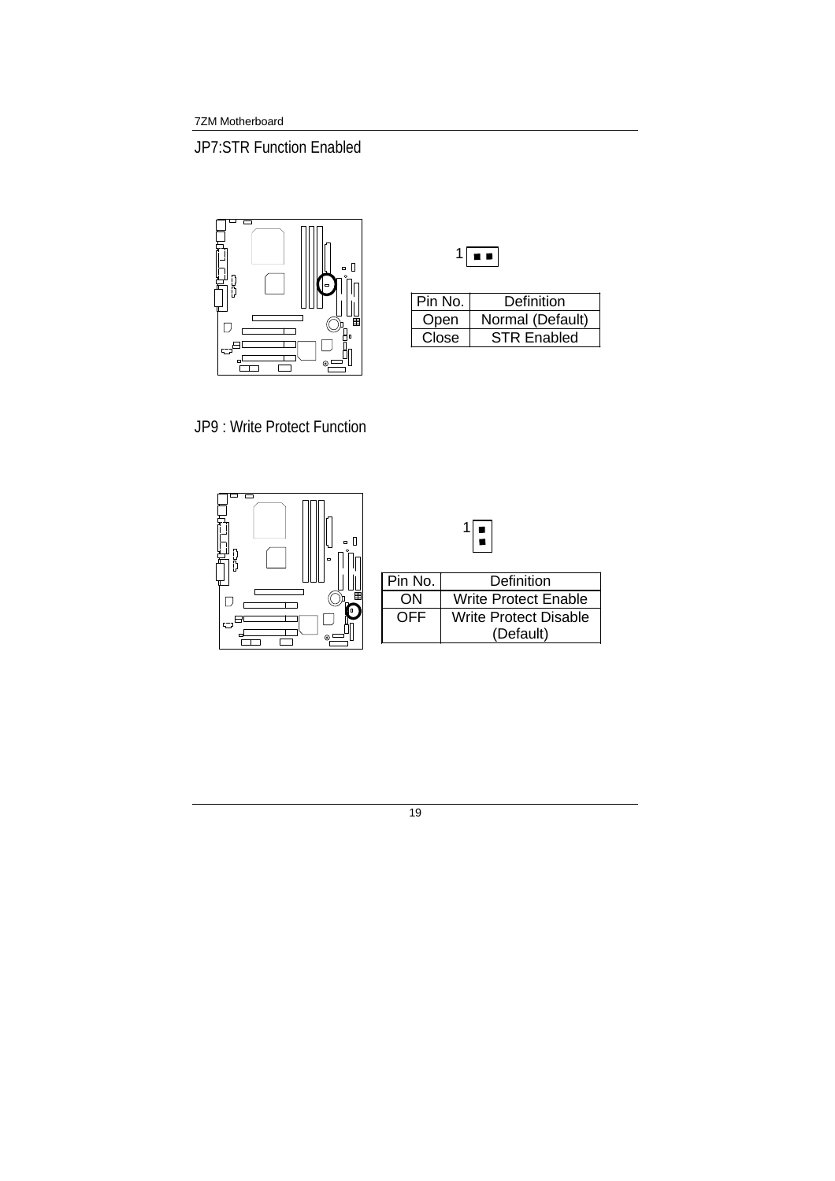JP7:STR Function Enabled



| Pin No. | Definition         |
|---------|--------------------|
| Open    | Normal (Default)   |
| Close   | <b>STR Enabled</b> |

JP9 : Write Protect Function

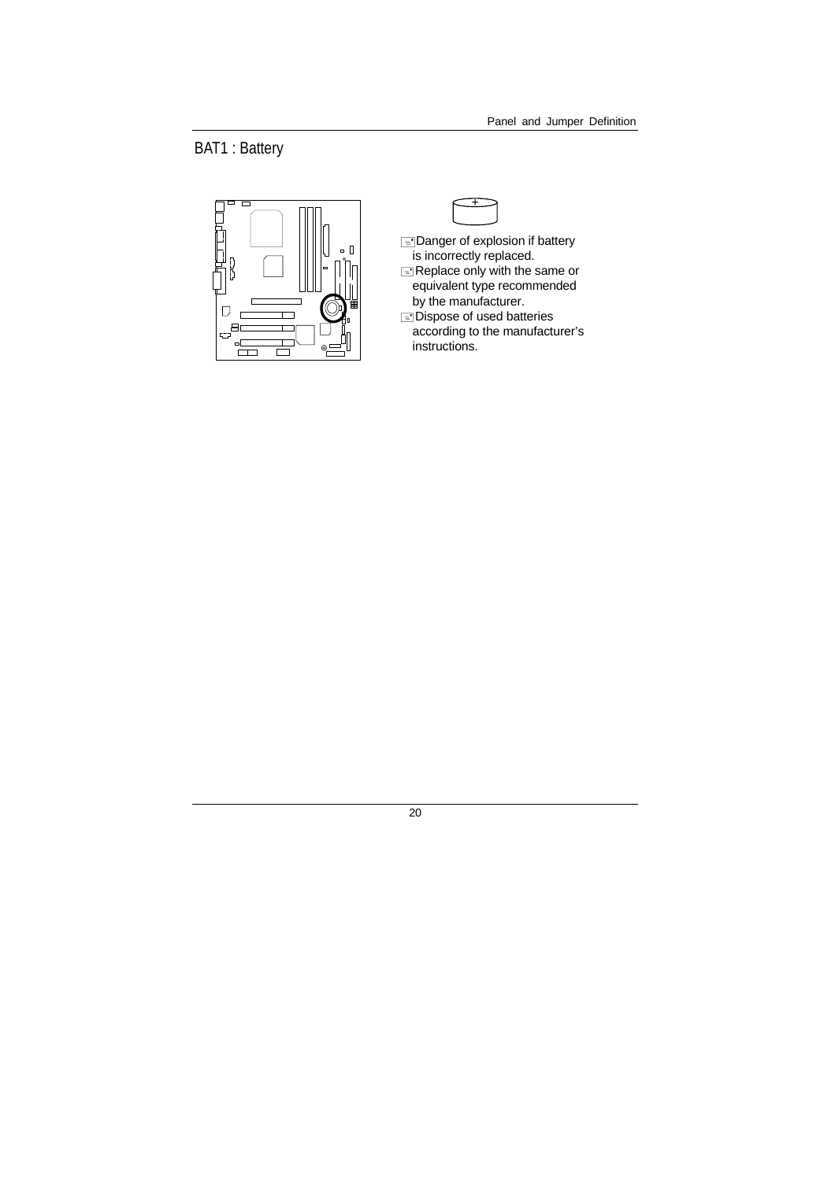BAT1 : Battery



- $\equiv$ Danger of explosion if battery is incorrectly replaced.  $\equiv$  Replace only with the same or equivalent type recommended
- by the manufacturer.
- Dispose of used batteries according to the manufacturer's instructions.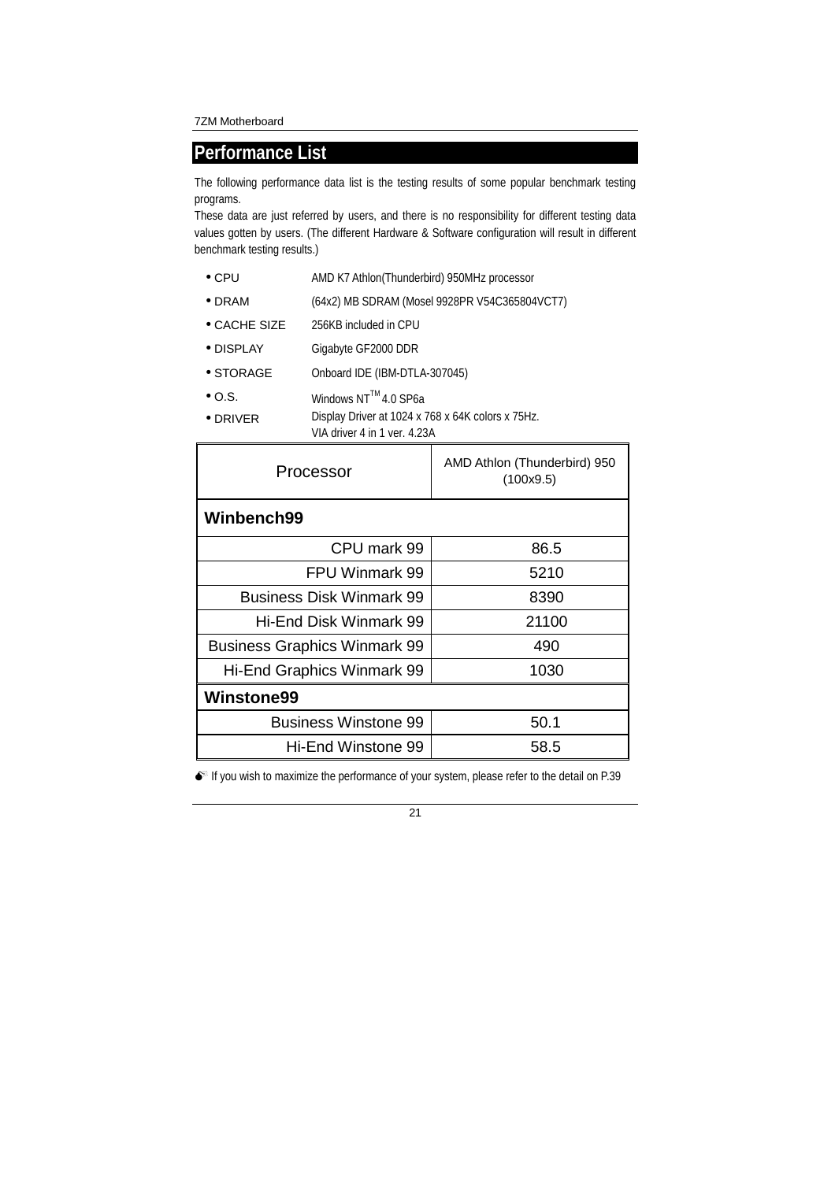### **Performance List**

The following performance data list is the testing results of some popular benchmark testing programs.

These data are just referred by users, and there is no responsibility for different testing data values gotten by users. (The different Hardware & Software configuration will result in different benchmark testing results.)

- CPU AMD K7 Athlon(Thunderbird) 950MHz processor
- DRAM (64x2) MB SDRAM (Mosel 9928PR V54C365804VCT7)
- CACHE SIZE 256KB included in CPU
- DISPLAY Gigabyte GF2000 DDR
- STORAGE Onboard IDE (IBM-DTLA-307045)
- $\bullet$  O.S. Windows NT<sup>TM</sup> 4.0 SP6a
- DRIVER Display Driver at 1024 x 768 x 64K colors x 75Hz. VIA driver 4 in 1 ver. 4.23A

| Processor                           | AMD Athlon (Thunderbird) 950<br>(100x9.5) |  |  |  |  |
|-------------------------------------|-------------------------------------------|--|--|--|--|
| Winbench99                          |                                           |  |  |  |  |
| CPU mark 99                         | 86.5                                      |  |  |  |  |
| FPU Winmark 99                      | 5210                                      |  |  |  |  |
| <b>Business Disk Winmark 99</b>     | 8390                                      |  |  |  |  |
| Hi-End Disk Winmark 99              | 21100                                     |  |  |  |  |
| <b>Business Graphics Winmark 99</b> | 490                                       |  |  |  |  |
| Hi-End Graphics Winmark 99          | 1030                                      |  |  |  |  |
| <b>Winstone99</b>                   |                                           |  |  |  |  |
| <b>Business Winstone 99</b>         | 50.1                                      |  |  |  |  |
| Hi-End Winstone 99                  | 58.5                                      |  |  |  |  |

 $\bullet^*$  If you wish to maximize the performance of your system, please refer to the detail on P.39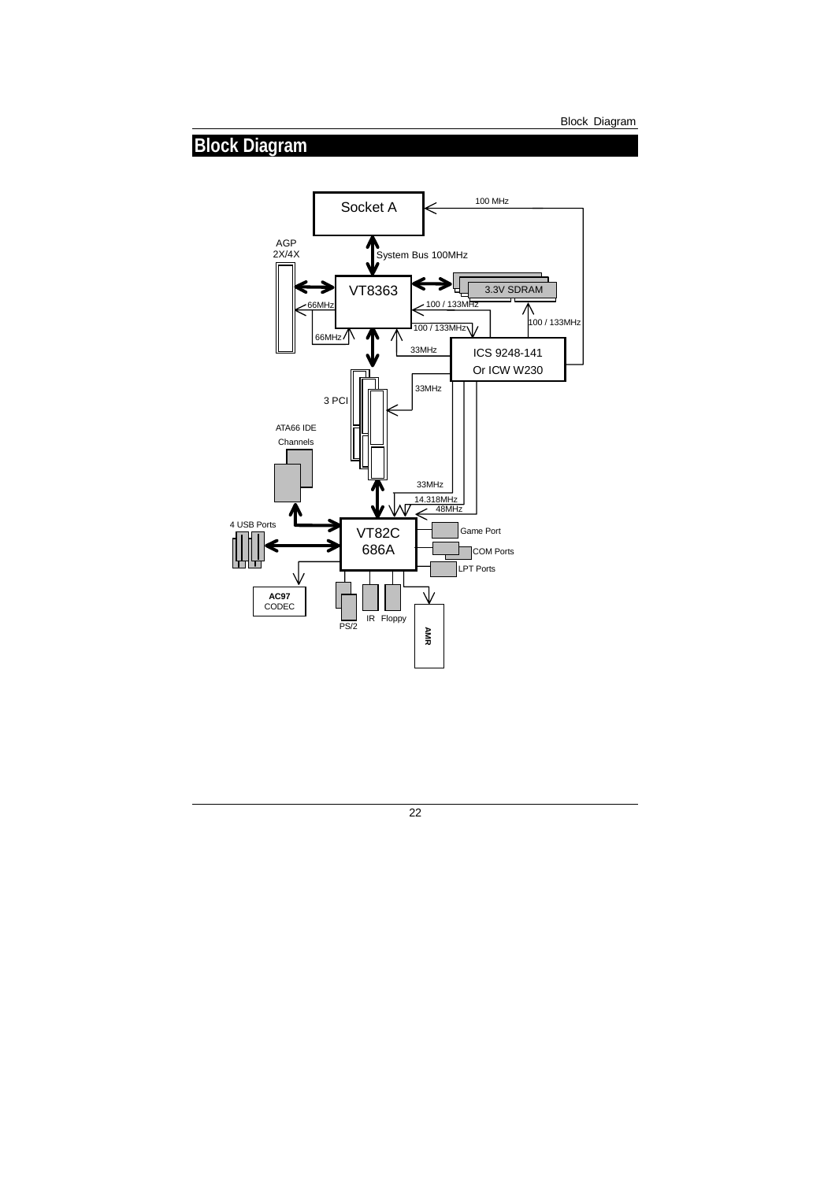## **Block Diagram**

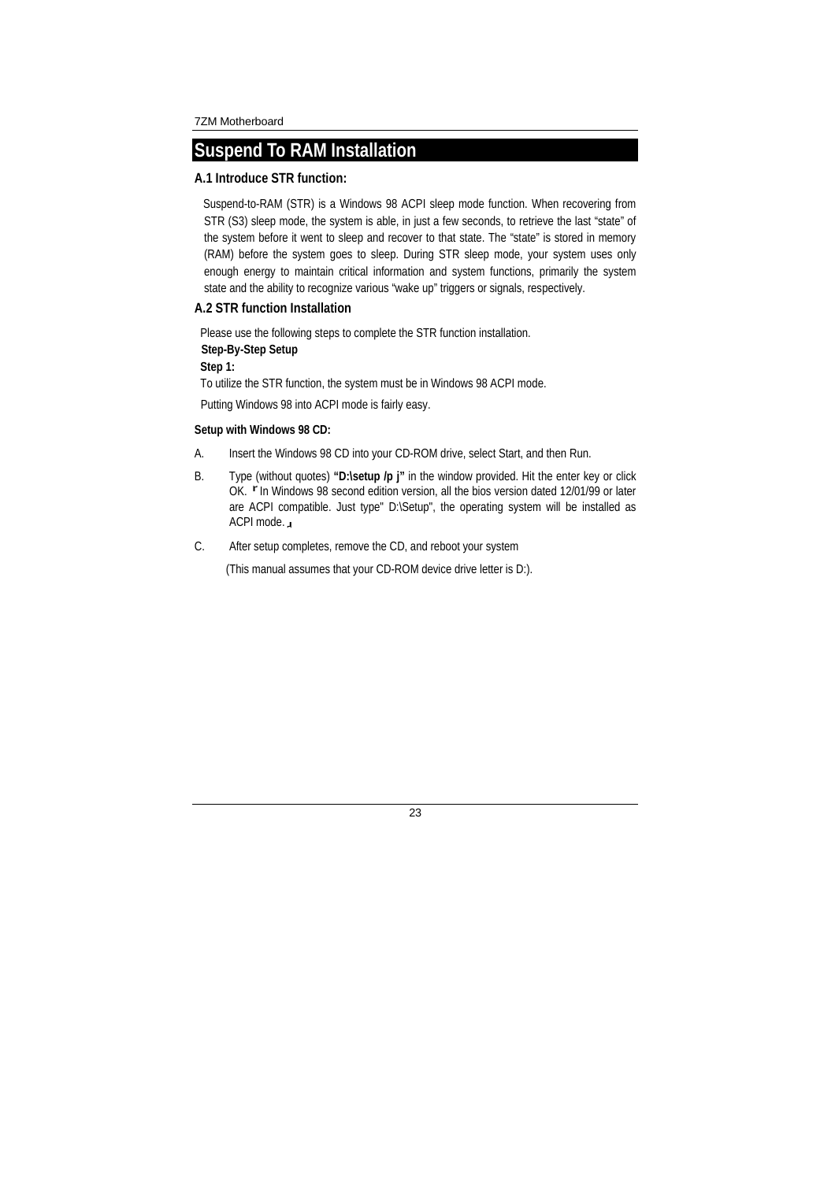### **Suspend To RAM Installation**

### **A.1 Introduce STR function:**

Suspend-to-RAM (STR) is a Windows 98 ACPI sleep mode function. When recovering from STR (S3) sleep mode, the system is able, in just a few seconds, to retrieve the last "state" of the system before it went to sleep and recover to that state. The "state" is stored in memory (RAM) before the system goes to sleep. During STR sleep mode, your system uses only enough energy to maintain critical information and system functions, primarily the system state and the ability to recognize various "wake up" triggers or signals, respectively.

### **A.2 STR function Installation**

Please use the following steps to complete the STR function installation.

**Step-By-Step Setup** 

**Step 1:**

To utilize the STR function, the system must be in Windows 98 ACPI mode.

Putting Windows 98 into ACPI mode is fairly easy.

#### **Setup with Windows 98 CD:**

- A. Insert the Windows 98 CD into your CD-ROM drive, select Start, and then Run.
- B. Type (without quotes) **"D:\setup /p j"** in the window provided. Hit the enter key or click OK. F In Windows 98 second edition version, all the bios version dated 12/01/99 or later are ACPI compatible. Just type" D:\Setup", the operating system will be installed as ACPI mode.』
- C. After setup completes, remove the CD, and reboot your system

(This manual assumes that your CD-ROM device drive letter is D:).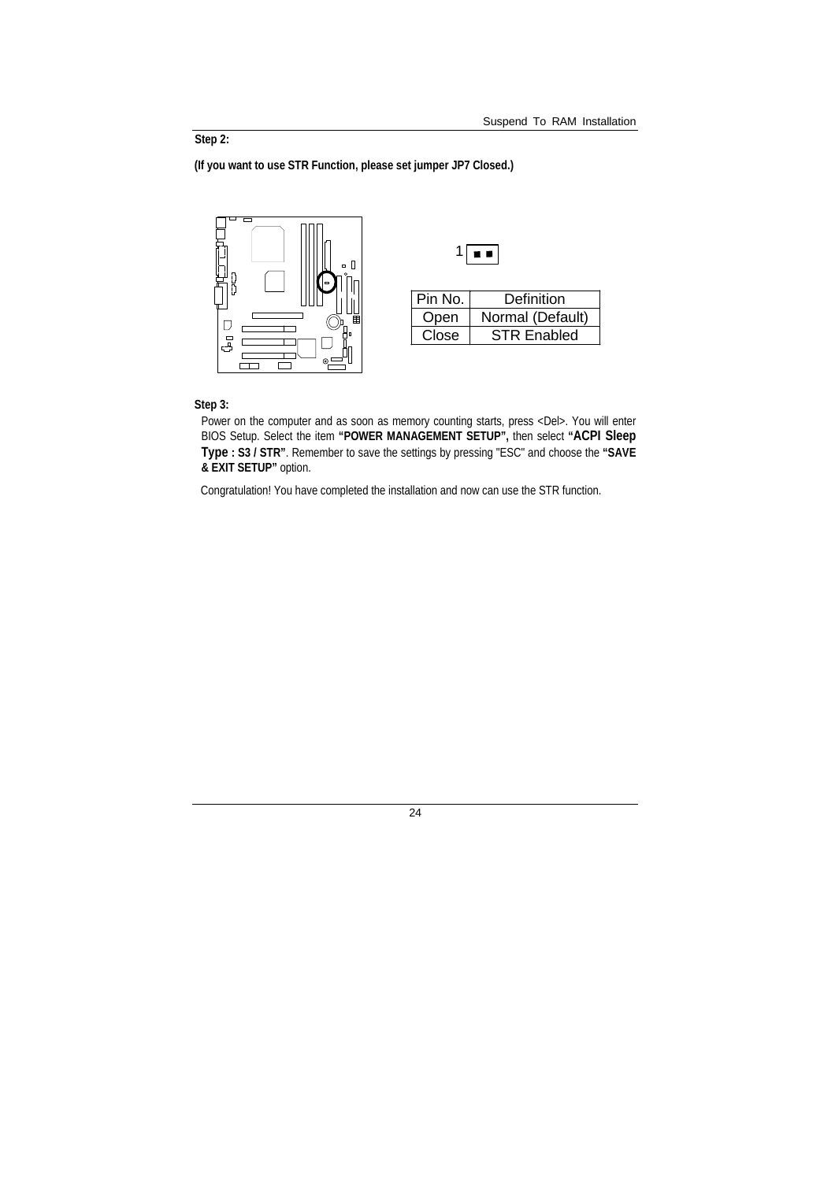### **Step 2:**

**(If you want to use STR Function, please set jumper JP7 Closed.)** 



#### **Step 3:**

Power on the computer and as soon as memory counting starts, press <Del>. You will enter BIOS Setup. Select the item **"POWER MANAGEMENT SETUP",** then select **"ACPI Sleep Type : S3 / STR"**. Remember to save the settings by pressing "ESC" and choose the **"SAVE & EXIT SETUP"** option.

Congratulation! You have completed the installation and now can use the STR function.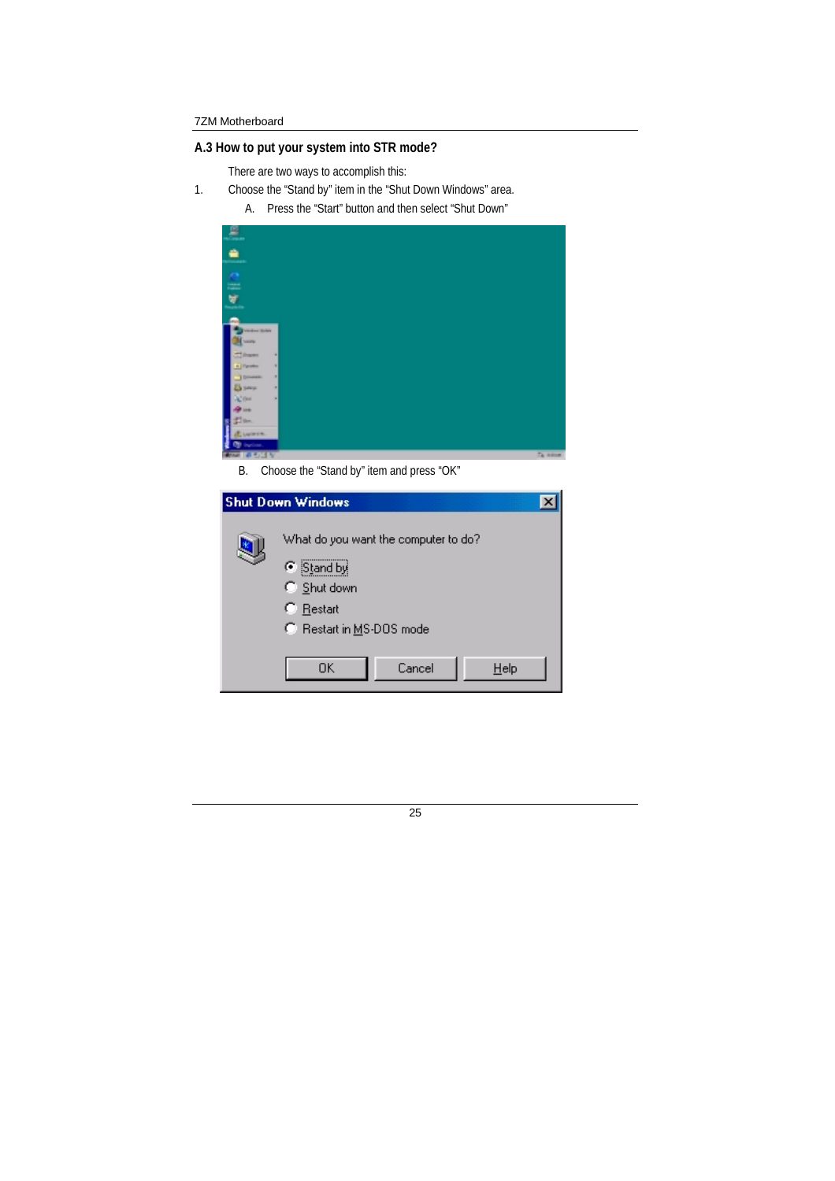### **A.3 How to put your system into STR mode?**

There are two ways to accomplish this:

- 1. Choose the "Stand by" item in the "Shut Down Windows" area.
	- A. Press the "Start" button and then select "Shut Down"

| 요.                                       |                 |
|------------------------------------------|-----------------|
| ≐<br>mas.                                |                 |
| $\cong$                                  |                 |
| Ŵ<br><b><i><u><u>Spirate</u></u></i></b> |                 |
|                                          |                 |
| Vinker Schie<br><b>Long</b>              |                 |
| <b>CONTRACTOR</b><br>в<br>4 Payment<br>o |                 |
| ٠<br><b>TOMAK</b><br>سيسدوغ<br>٠         |                 |
| ag our<br>٠<br><b>Pine</b>               |                 |
| gi ne.                                   |                 |
| <b>Liquera</b><br><b>Co</b> incluse.     |                 |
| <b>CONTRACTOR</b>                        | <b>Ca store</b> |

B. Choose the "Stand by" item and press "OK"

| <b>Shut Down Windows</b>                                                                                 |
|----------------------------------------------------------------------------------------------------------|
| What do you want the computer to do?<br>Stand by<br>C Shut down<br>C Restart<br>C Restart in MS-DOS mode |
| Cancel<br>OΚ<br>$He$ lp                                                                                  |

| ł |          |
|---|----------|
| ٠ | ۰.<br>۰. |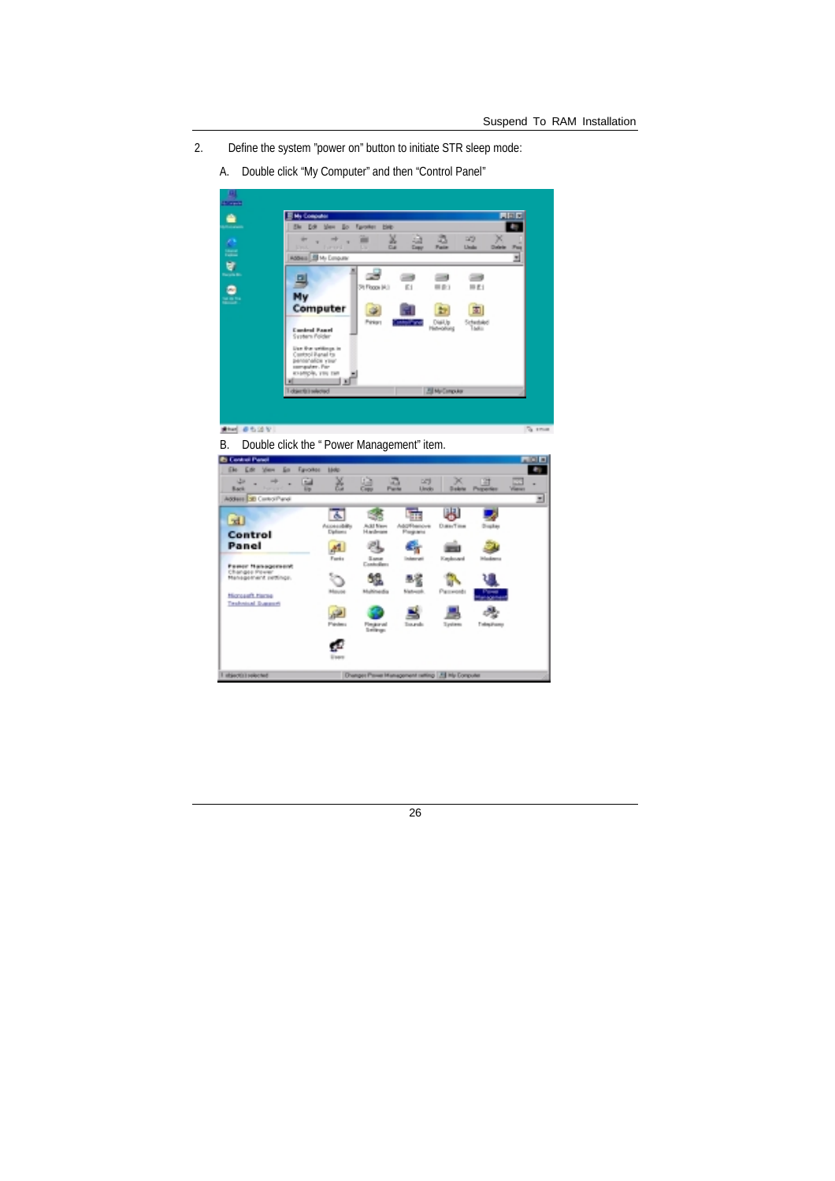- 2. Define the system "power on" button to initiate STR sleep mode:
	- A. Double click "My Computer" and then "Control Panel"



**RM SSIVI** 

B. Double click the " Power Management" item.

| <b>El Control Panol</b>                                                            |                  |                                     |                                          |                                                     |                       |               |   | <b>FIND</b> |
|------------------------------------------------------------------------------------|------------------|-------------------------------------|------------------------------------------|-----------------------------------------------------|-----------------------|---------------|---|-------------|
| EAL EAR<br><b>Set</b><br><b>State</b>                                              | Egyptian         | <b>Molg</b>                         |                                          |                                                     |                       |               |   | ŧ           |
| ست<br>mb.<br>۰<br><b>Back</b><br><b>Donald Control</b>                             | 面<br><b>Ergy</b> | ě                                   | 鷐                                        | a<br><b>DFS</b><br>Parte<br>Lincks                  | ×<br>Dakota           | 凹<br>Pagenter | 昷 | ۰           |
| Addess LtD Control Panel                                                           |                  |                                     |                                          |                                                     |                       |               |   | Ξ           |
| 田<br>Control<br>Panel                                                              |                  | 木<br>Accessibility<br>Diplomis<br>Æ | Add New<br>14 and engine                 | A&DFlamove<br><b>Plays and</b><br>x                 | 閧<br>Date/Time        | Drughay       |   |             |
| <b>Peace Nanagoneant</b><br>Changes Power<br>Management settings.<br>Nonsent Haras |                  | Furts<br>ం<br>Mayor                 | <b>Same</b><br>Controllers<br>Multimedia | Internet<br><b><i><u>Sighwood</u></i></b>           | Keskowel<br>Passwords | <b>Hoders</b> |   |             |
| <b>Technical Duestic</b>                                                           |                  | <b>Président</b><br>Eses            | Finderval<br>Leibun.                     | ≝<br>Tourak                                         | Typlem                | Telephany     |   |             |
| stactic releted                                                                    |                  |                                     |                                          | Drumper Plewe Humagement ratting [ Fill He Computer |                       |               |   |             |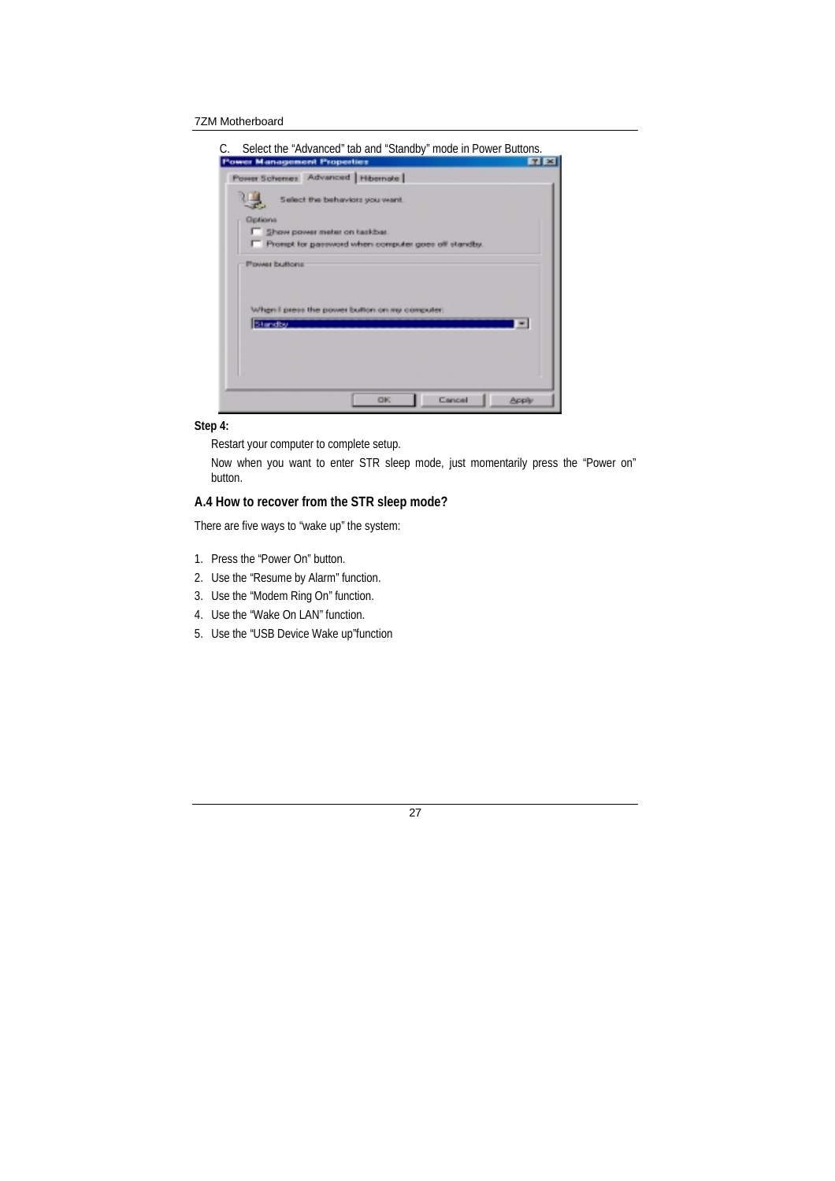

### **Step 4:**

Restart your computer to complete setup.

Now when you want to enter STR sleep mode, just momentarily press the "Power on" button.

### **A.4 How to recover from the STR sleep mode?**

There are five ways to "wake up" the system:

- 1. Press the "Power On" button.
- 2. Use the "Resume by Alarm" function.
- 3. Use the "Modem Ring On" function.
- 4. Use the "Wake On LAN" function.
- 5. Use the "USB Device Wake up"function

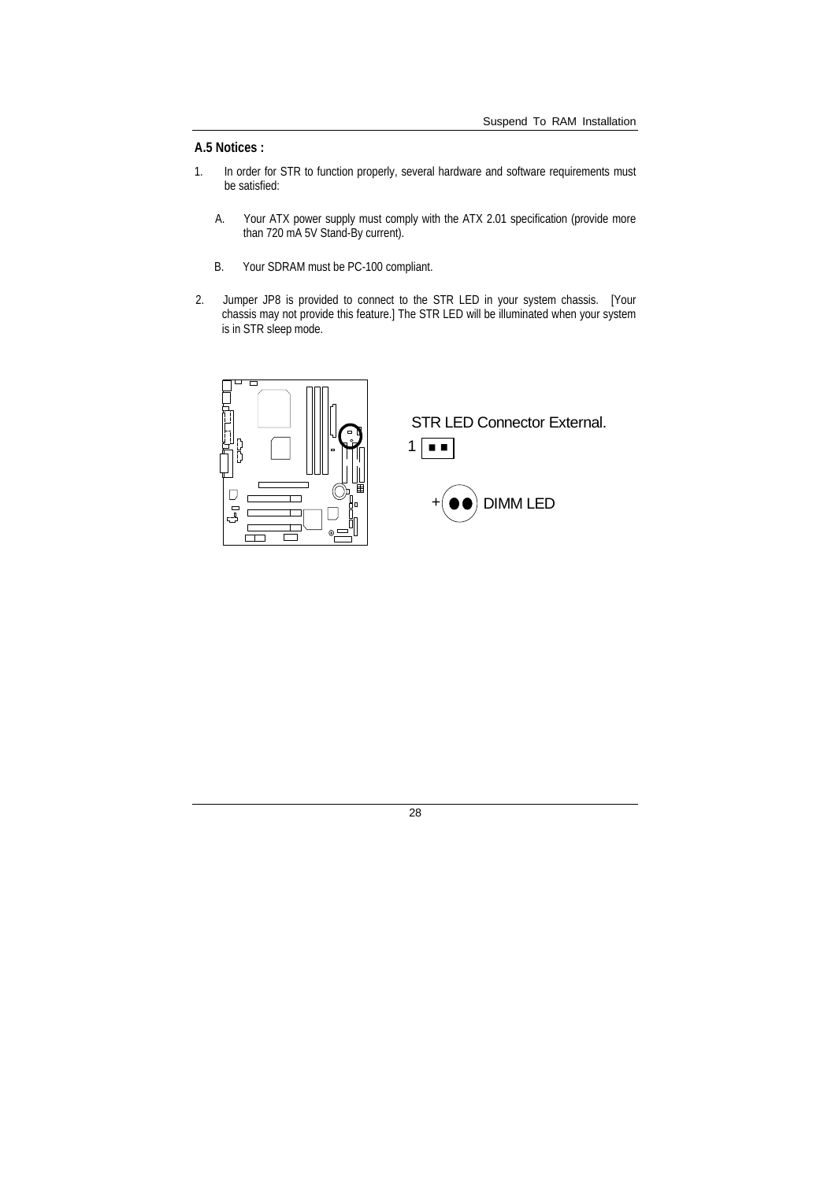### **A.5 Notices :**

- 1. In order for STR to function properly, several hardware and software requirements must be satisfied:
	- A. Your ATX power supply must comply with the ATX 2.01 specification (provide more than 720 mA 5V Stand-By current).
	- B. Your SDRAM must be PC-100 compliant.
- 2. Jumper JP8 is provided to connect to the STR LED in your system chassis. [Your chassis may not provide this feature.] The STR LED will be illuminated when your system is in STR sleep mode.



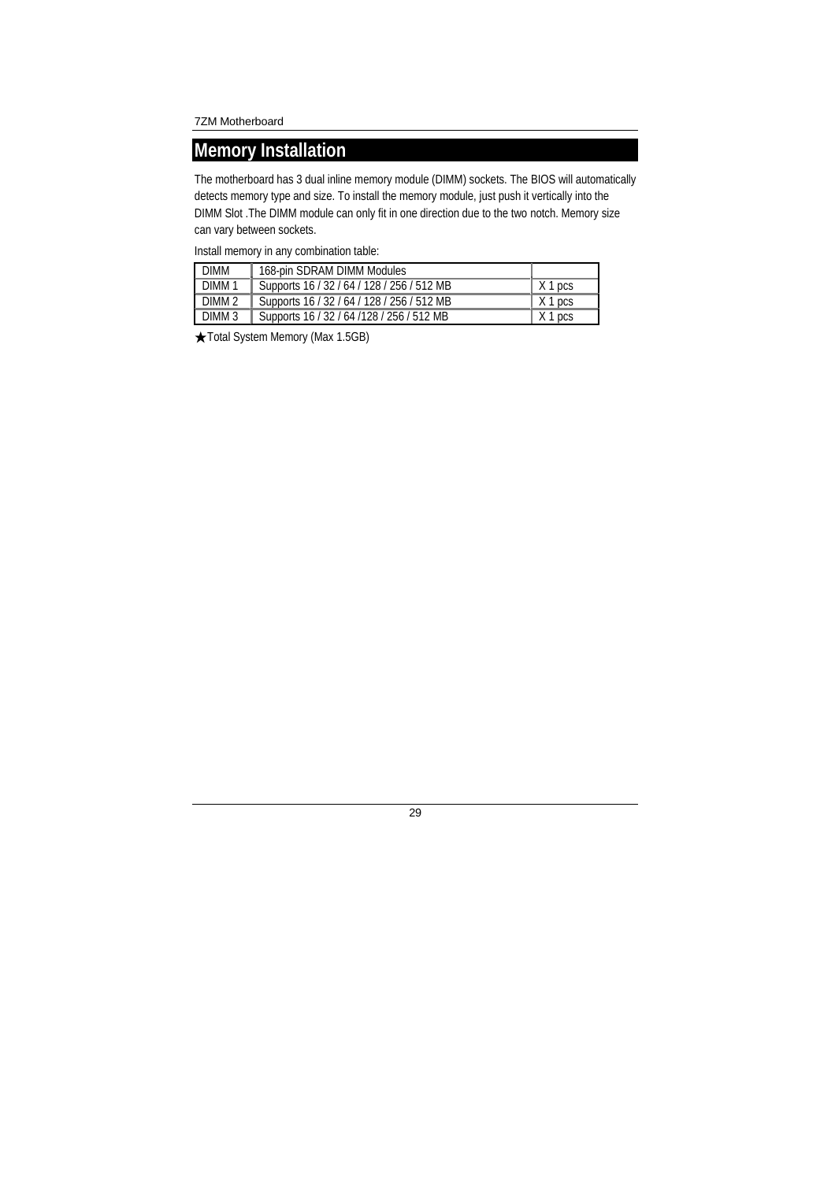### **Memory Installation**

The motherboard has 3 dual inline memory module (DIMM) sockets. The BIOS will automatically detects memory type and size. To install the memory module, just push it vertically into the DIMM Slot .The DIMM module can only fit in one direction due to the two notch. Memory size can vary between sockets.

Install memory in any combination table:

| DIMM              | 168-pin SDRAM DIMM Modules                 |                   |
|-------------------|--------------------------------------------|-------------------|
| DIMM 1            | Supports 16 / 32 / 64 / 128 / 256 / 512 MB | X 1 pcs           |
| DIMM 2            | Supports 16 / 32 / 64 / 128 / 256 / 512 MB | X1 <sub>DCS</sub> |
| DIMM <sub>3</sub> | Supports 16 / 32 / 64 / 128 / 256 / 512 MB | $X$ 1 pcs         |

★Total System Memory (Max 1.5GB)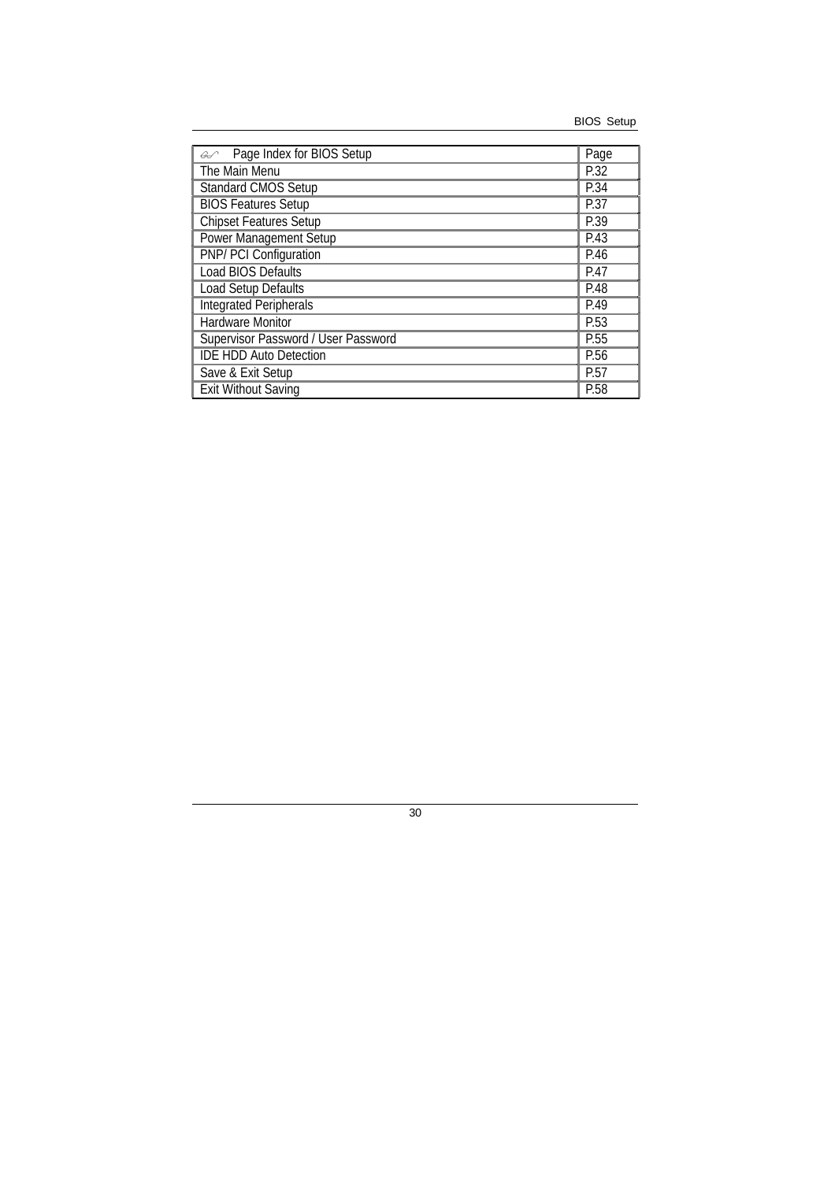| Page Index for BIOS Setup<br>$\mathcal{L}$ | Page              |
|--------------------------------------------|-------------------|
| The Main Menu                              | P.32              |
| <b>Standard CMOS Setup</b>                 | P.34              |
| <b>BIOS Features Setup</b>                 | $\overline{P.}37$ |
| <b>Chipset Features Setup</b>              | P.39              |
| <b>Power Management Setup</b>              | P.43              |
| PNP/ PCI Configuration                     | P.46              |
| <b>Load BIOS Defaults</b><br>P.47          |                   |
| Load Setup Defaults                        |                   |
| <b>Integrated Peripherals</b>              |                   |
| <b>Hardware Monitor</b>                    | P.53              |
| Supervisor Password / User Password        | P.55              |
| <b>IDE HDD Auto Detection</b>              | P.56              |
| Save & Exit Setup<br>P.57                  |                   |
| <b>Exit Without Saving</b>                 |                   |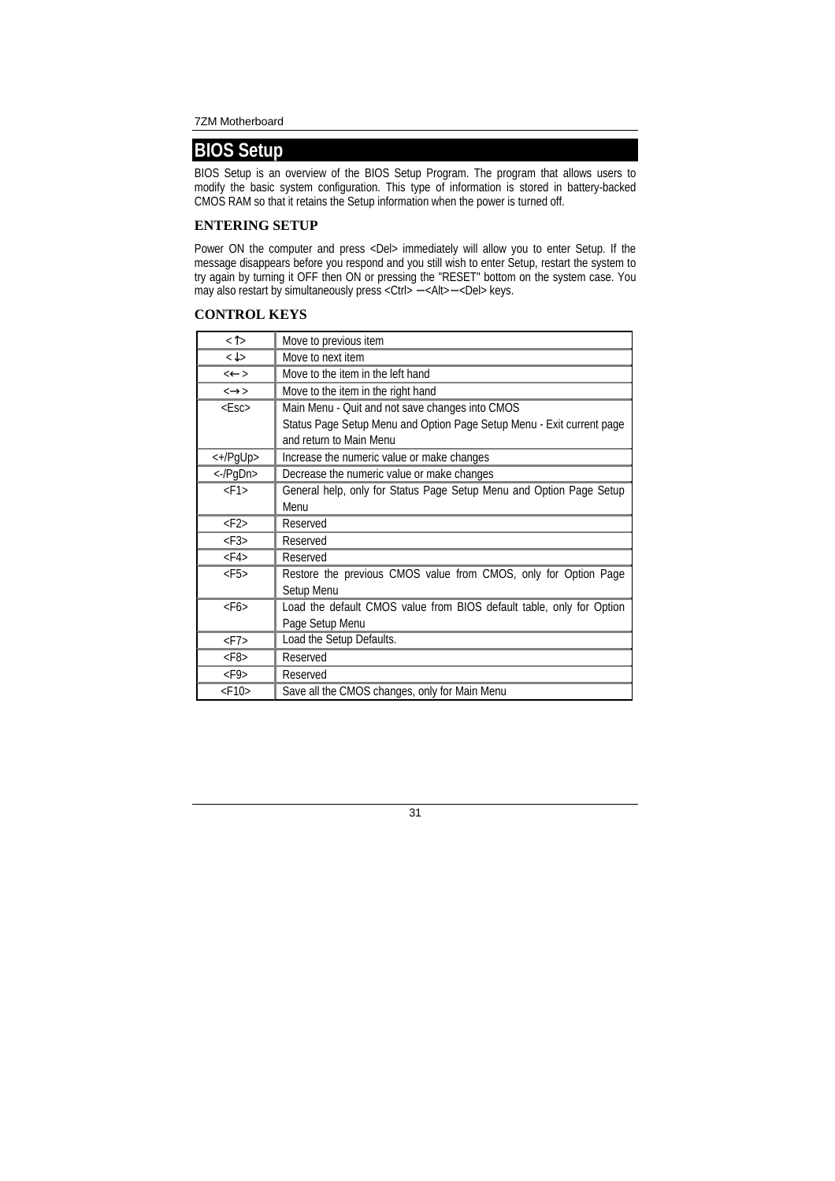# **BIOS Setup**

BIOS Setup is an overview of the BIOS Setup Program. The program that allows users to modify the basic system configuration. This type of information is stored in battery-backed CMOS RAM so that it retains the Setup information when the power is turned off.

### **ENTERING SETUP**

Power ON the computer and press <Del> immediately will allow you to enter Setup. If the message disappears before you respond and you still wish to enter Setup, restart the system to try again by turning it OFF then ON or pressing the "RESET" bottom on the system case. You may also restart by simultaneously press <Ctrl> − <Alt>− <Del> keys.

#### **CONTROL KEYS**

| $\langle \uparrow \rangle$                         | Move to previous item                                                 |
|----------------------------------------------------|-----------------------------------------------------------------------|
| $\overline{\left\langle \downarrow \right\rangle}$ | Move to next item                                                     |
| $\leftarrow$                                       | Move to the item in the left hand                                     |
| $\leftrightarrow$                                  | Move to the item in the right hand                                    |
| $<$ Esc $>$                                        | Main Menu - Quit and not save changes into CMOS                       |
|                                                    | Status Page Setup Menu and Option Page Setup Menu - Exit current page |
|                                                    | and return to Main Menu                                               |
| <+/PgUp>                                           | Increase the numeric value or make changes                            |
| $\langle -PqDn \rangle$                            | Decrease the numeric value or make changes                            |
| $<$ F1>                                            | General help, only for Status Page Setup Menu and Option Page Setup   |
|                                                    | Menu                                                                  |
| $<$ F2>                                            | Reserved                                                              |
| $\langle$ F3>                                      | Reserved                                                              |
| $<$ F4>                                            | Reserved                                                              |
| $<$ F5>                                            | Restore the previous CMOS value from CMOS, only for Option Page       |
|                                                    | Setup Menu                                                            |
| $<$ F6>                                            | Load the default CMOS value from BIOS default table, only for Option  |
|                                                    | Page Setup Menu                                                       |
| $\langle$ F7>                                      | Load the Setup Defaults.                                              |
| $<$ F8>                                            | Reserved                                                              |
| $<$ F9>                                            | Reserved                                                              |
| $<$ F10 $>$                                        | Save all the CMOS changes, only for Main Menu                         |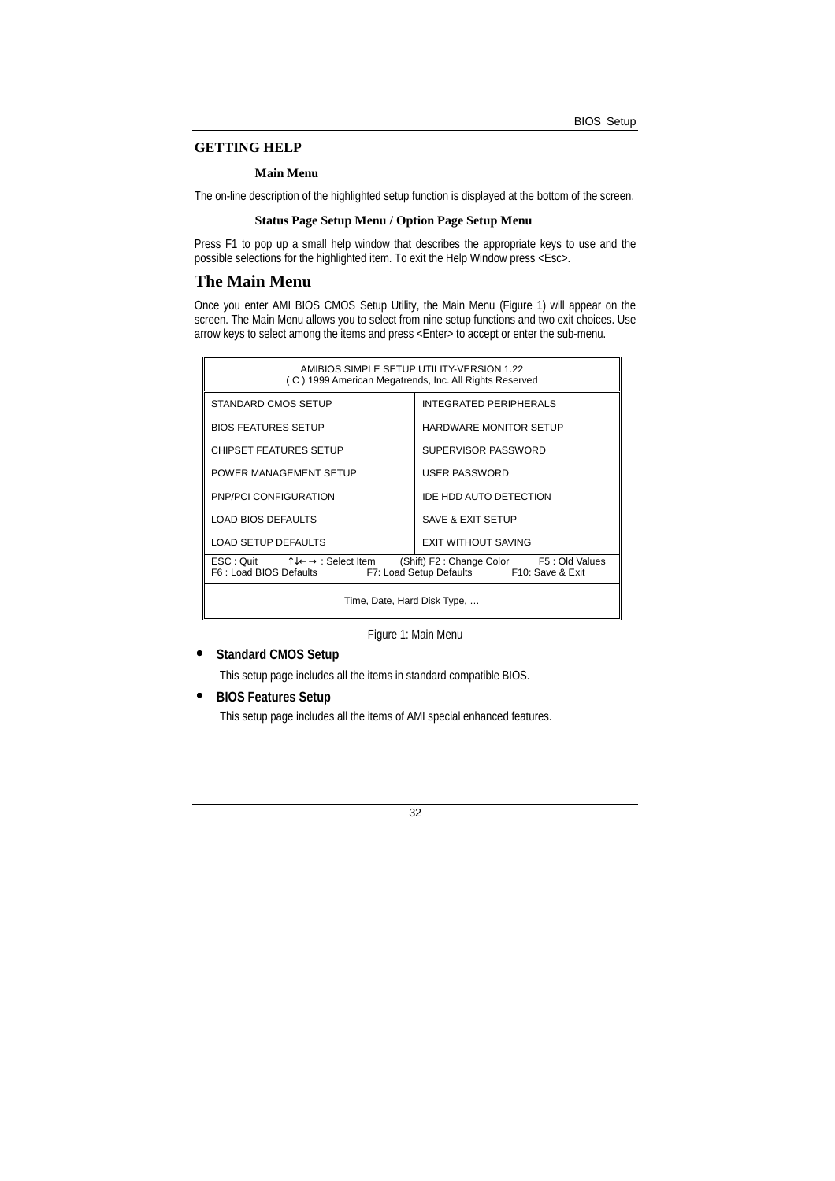#### **GETTING HELP**

#### **Main Menu**

The on-line description of the highlighted setup function is displayed at the bottom of the screen.

#### **Status Page Setup Menu / Option Page Setup Menu**

Press F1 to pop up a small help window that describes the appropriate keys to use and the possible selections for the highlighted item. To exit the Help Window press <Esc>.

#### **The Main Menu**

Once you enter AMI BIOS CMOS Setup Utility, the Main Menu (Figure 1) will appear on the screen. The Main Menu allows you to select from nine setup functions and two exit choices. Use arrow keys to select among the items and press <Enter> to accept or enter the sub-menu.

| AMIBIOS SIMPLE SETUP UTILITY-VERSION 1.22<br>(C) 1999 American Megatrends, Inc. All Rights Reserved                                                                                                                      |                               |
|--------------------------------------------------------------------------------------------------------------------------------------------------------------------------------------------------------------------------|-------------------------------|
| STANDARD CMOS SETUP                                                                                                                                                                                                      | <b>INTEGRATED PERIPHERALS</b> |
| <b>BIOS FEATURES SETUP</b>                                                                                                                                                                                               | <b>HARDWARE MONITOR SETUP</b> |
| <b>CHIPSET FEATURES SETUP</b>                                                                                                                                                                                            | SUPERVISOR PASSWORD           |
| POWER MANAGEMENT SETUP                                                                                                                                                                                                   | USER PASSWORD                 |
| PNP/PCI CONFIGURATION                                                                                                                                                                                                    | IDE HDD AUTO DETECTION        |
| <b>LOAD BIOS DEFAULTS</b>                                                                                                                                                                                                | SAVE & EXIT SETUP             |
| <b>LOAD SETUP DEFAULTS</b><br><b>EXIT WITHOUT SAVING</b>                                                                                                                                                                 |                               |
| $\mathsf{FSC} : \mathsf{Quit} \qquad \mathsf{TL} \longleftrightarrow : \mathsf{Select}\ \mathsf{Item}$<br>(Shift) F2: Change Color F5: Old Values<br>F7: Load Setup Defaults F10: Save & Exit<br>F6 : Load BIOS Defaults |                               |
| Time, Date, Hard Disk Type,                                                                                                                                                                                              |                               |

Figure 1: Main Menu

#### • **Standard CMOS Setup**

This setup page includes all the items in standard compatible BIOS.

#### • **BIOS Features Setup**

This setup page includes all the items of AMI special enhanced features.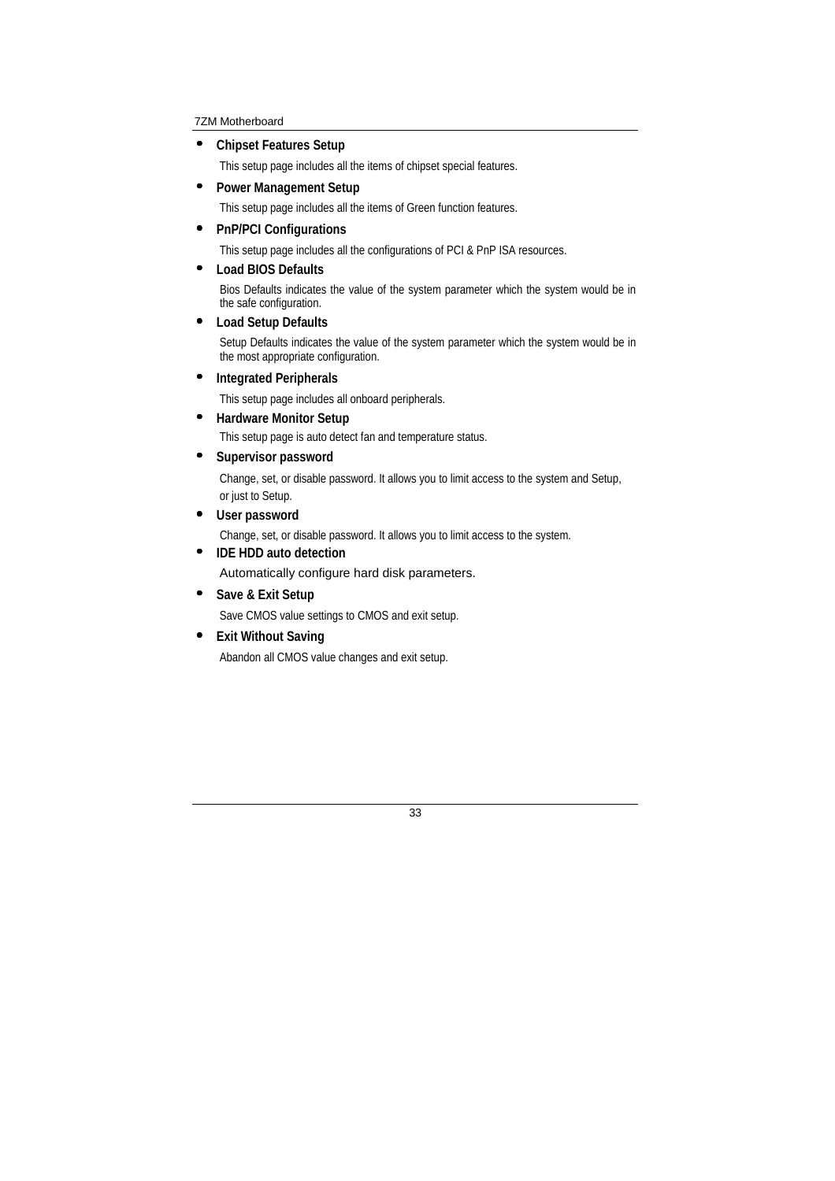• **Chipset Features Setup** 

This setup page includes all the items of chipset special features.

• **Power Management Setup** 

This setup page includes all the items of Green function features.

• **PnP/PCI Configurations** 

This setup page includes all the configurations of PCI & PnP ISA resources.

• **Load BIOS Defaults** 

Bios Defaults indicates the value of the system parameter which the system would be in the safe configuration.

#### • **Load Setup Defaults**

Setup Defaults indicates the value of the system parameter which the system would be in the most appropriate configuration.

• **Integrated Peripherals** 

This setup page includes all onboard peripherals.

• **Hardware Monitor Setup** 

This setup page is auto detect fan and temperature status.

• **Supervisor password** 

 Change, set, or disable password. It allows you to limit access to the system and Setup, or just to Setup.

• **User password** 

Change, set, or disable password. It allows you to limit access to the system.

• **IDE HDD auto detection** 

Automatically configure hard disk parameters.

• **Save & Exit Setup** 

Save CMOS value settings to CMOS and exit setup.

#### • **Exit Without Saving**

Abandon all CMOS value changes and exit setup.

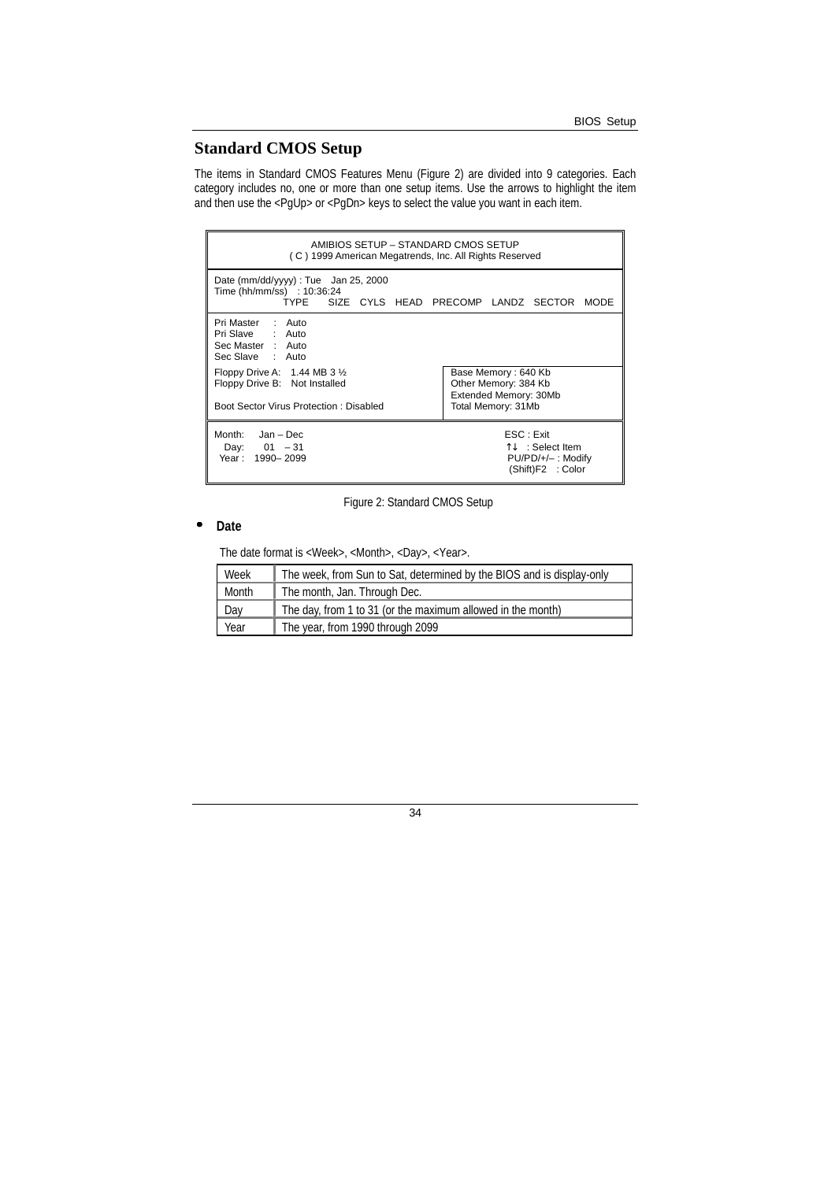## **Standard CMOS Setup**

The items in Standard CMOS Features Menu (Figure 2) are divided into 9 categories. Each category includes no, one or more than one setup items. Use the arrows to highlight the item and then use the <PgUp> or <PgDn> keys to select the value you want in each item.

| AMIBIOS SETUP - STANDARD CMOS SETUP<br>(C) 1999 American Megatrends, Inc. All Rights Reserved                        |                                                                                               |
|----------------------------------------------------------------------------------------------------------------------|-----------------------------------------------------------------------------------------------|
| Date ( $mm/dd/yyy$ ) : Tue Jan 25, 2000<br>Time (hh/mm/ss) : 10:36:24<br>TYPE SIZE CYLS HEAD PRECOMP LANDZ SECTOR    | <b>MODE</b>                                                                                   |
| Pri Master : Auto<br>Pri Slave : Auto<br>Sec Master : Auto<br>Sec Slave : Auto                                       |                                                                                               |
| Floppy Drive A: $1.44$ MB 3 $\frac{1}{2}$<br>Floppy Drive B: Not Installed<br>Boot Sector Virus Protection: Disabled | Base Memory: 640 Kb<br>Other Memory: 384 Kb<br>Extended Memory: 30Mb<br>Total Memory: 31Mb    |
| Month: Jan - Dec<br>Day: $01 - 31$<br>Year: 1990-2099                                                                | ESC : Exit<br>$\uparrow\downarrow$ : Select Item<br>$PU/PD/+/-$ : Modify<br>(Shift)F2 : Color |

Figure 2: Standard CMOS Setup

#### • **Date**

The date format is <Week>, <Month>, <Day>, <Year>.

| Week  | The week, from Sun to Sat, determined by the BIOS and is display-only |
|-------|-----------------------------------------------------------------------|
| Month | The month, Jan. Through Dec.                                          |
| Day   | The day, from 1 to 31 (or the maximum allowed in the month)           |
| Year  | The year, from 1990 through 2099                                      |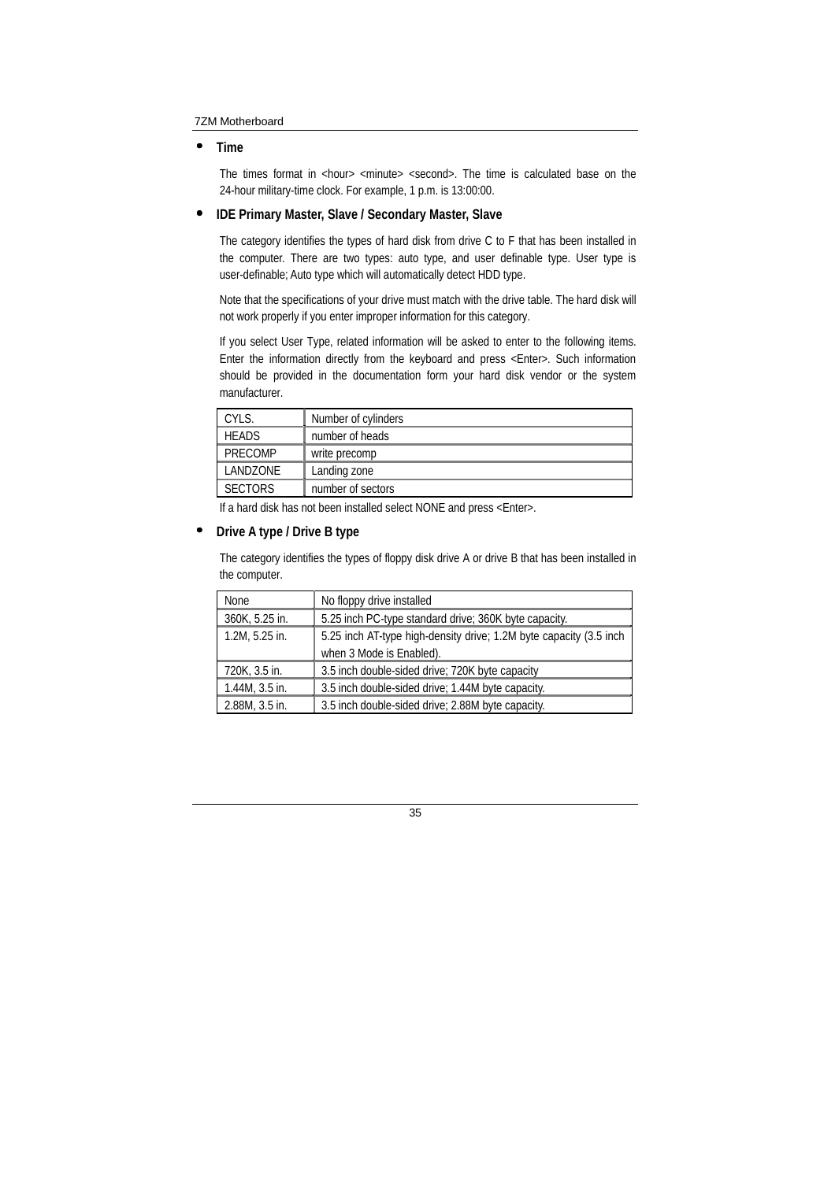#### • **Time**

The times format in <hour> <minute> <second>. The time is calculated base on the 24-hour military-time clock. For example, 1 p.m. is 13:00:00.

#### • **IDE Primary Master, Slave / Secondary Master, Slave**

The category identifies the types of hard disk from drive C to F that has been installed in the computer. There are two types: auto type, and user definable type. User type is user-definable; Auto type which will automatically detect HDD type.

Note that the specifications of your drive must match with the drive table. The hard disk will not work properly if you enter improper information for this category.

If you select User Type, related information will be asked to enter to the following items. Enter the information directly from the keyboard and press <Enter>. Such information should be provided in the documentation form your hard disk vendor or the system manufacturer.

| CYLS.          | Number of cylinders |
|----------------|---------------------|
| <b>HEADS</b>   | number of heads     |
| PRECOMP        | write precomp       |
| LANDZONE       | Landing zone        |
| <b>SECTORS</b> | number of sectors   |

If a hard disk has not been installed select NONE and press <Enter>.

#### • **Drive A type / Drive B type**

The category identifies the types of floppy disk drive A or drive B that has been installed in the computer.

| None           | No floppy drive installed                                          |
|----------------|--------------------------------------------------------------------|
| 360K, 5.25 in. | 5.25 inch PC-type standard drive; 360K byte capacity.              |
| 1.2M, 5.25 in. | 5.25 inch AT-type high-density drive; 1.2M byte capacity (3.5 inch |
|                | when 3 Mode is Enabled).                                           |
| 720K, 3.5 in.  | 3.5 inch double-sided drive; 720K byte capacity                    |
| 1.44M, 3.5 in. | 3.5 inch double-sided drive; 1.44M byte capacity.                  |
| 2.88M, 3.5 in. | 3.5 inch double-sided drive; 2.88M byte capacity.                  |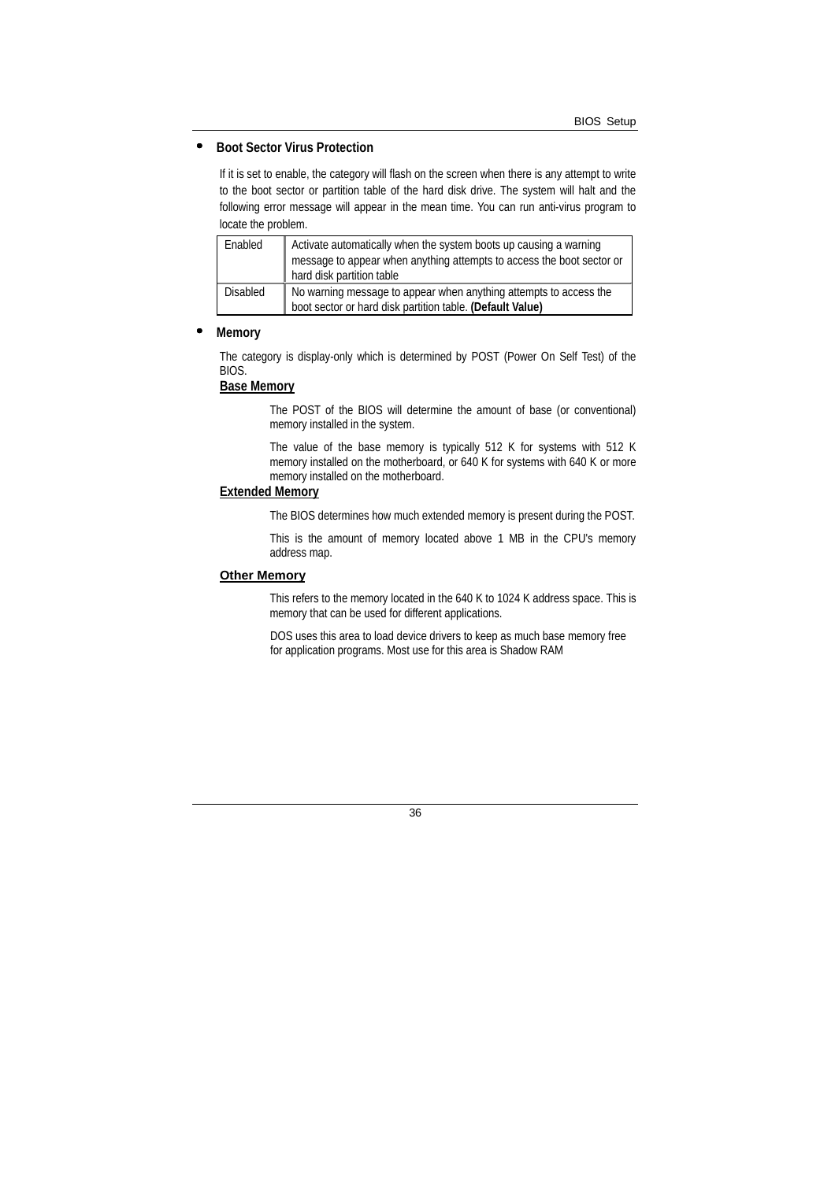#### • **Boot Sector Virus Protection**

If it is set to enable, the category will flash on the screen when there is any attempt to write to the boot sector or partition table of the hard disk drive. The system will halt and the following error message will appear in the mean time. You can run anti-virus program to locate the problem.

| Enabled  | Activate automatically when the system boots up causing a warning<br>message to appear when anything attempts to access the boot sector or<br>hard disk partition table |
|----------|-------------------------------------------------------------------------------------------------------------------------------------------------------------------------|
| Disabled | No warning message to appear when anything attempts to access the<br>boot sector or hard disk partition table. (Default Value)                                          |

#### • **Memory**

The category is display-only which is determined by POST (Power On Self Test) of the BIOS.

#### **Base Memory**

The POST of the BIOS will determine the amount of base (or conventional) memory installed in the system.

The value of the base memory is typically 512 K for systems with 512 K memory installed on the motherboard, or 640 K for systems with 640 K or more memory installed on the motherboard.

#### **Extended Memory**

The BIOS determines how much extended memory is present during the POST.

This is the amount of memory located above 1 MB in the CPU's memory address map.

#### **Other Memory**

This refers to the memory located in the 640 K to 1024 K address space. This is memory that can be used for different applications.

DOS uses this area to load device drivers to keep as much base memory free for application programs. Most use for this area is Shadow RAM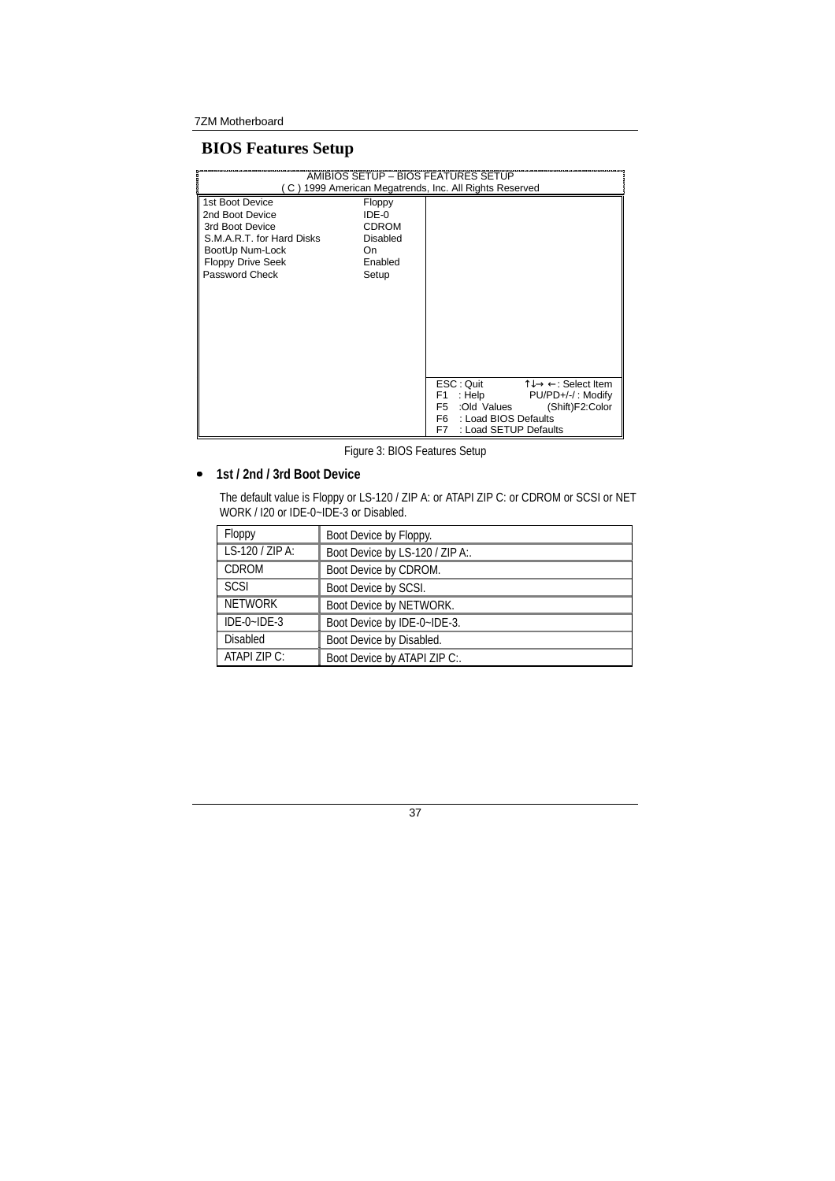# **BIOS Features Setup**

|                                                                                                                                                     |                                                                               | <b>AMIBIOS SETUP - BIOS FEATURES SETUP</b><br>(C) 1999 American Megatrends, Inc. All Rights Reserved                                                                                                                           |
|-----------------------------------------------------------------------------------------------------------------------------------------------------|-------------------------------------------------------------------------------|--------------------------------------------------------------------------------------------------------------------------------------------------------------------------------------------------------------------------------|
| 1st Boot Device<br>2nd Boot Device<br>3rd Boot Device<br>S.M.A.R.T. for Hard Disks<br>BootUp Num-Lock<br><b>Floppy Drive Seek</b><br>Password Check | Floppy<br>IDE-0<br><b>CDROM</b><br><b>Disabled</b><br>On.<br>Enabled<br>Setup |                                                                                                                                                                                                                                |
|                                                                                                                                                     |                                                                               | $\uparrow \downarrow \rightarrow \leftarrow$ : Select Item<br>ESC: Quit<br>: Help<br>PU/PD+/-/: Modify<br>F1<br>:Old Values<br>(Shift)F2:Color<br>F <sub>5</sub><br>F6.<br>: Load BIOS Defaults<br>F7<br>: Load SETUP Defaults |

Figure 3: BIOS Features Setup

# • **1st / 2nd / 3rd Boot Device**

The default value is Floppy or LS-120 / ZIP A: or ATAPI ZIP C: or CDROM or SCSI or NET WORK / I20 or IDE-0~IDE-3 or Disabled.

| Floppy          | Boot Device by Floppy.          |
|-----------------|---------------------------------|
| LS-120 / ZIP A: | Boot Device by LS-120 / ZIP A:. |
| <b>CDROM</b>    | Boot Device by CDROM.           |
| <b>SCSI</b>     | Boot Device by SCSI.            |
| <b>NETWORK</b>  | Boot Device by NETWORK.         |
| $IDE-0-IDE-3$   | Boot Device by IDE-0~IDE-3.     |
| <b>Disabled</b> | Boot Device by Disabled.        |
| ATAPI ZIP C:    | Boot Device by ATAPI ZIP C:.    |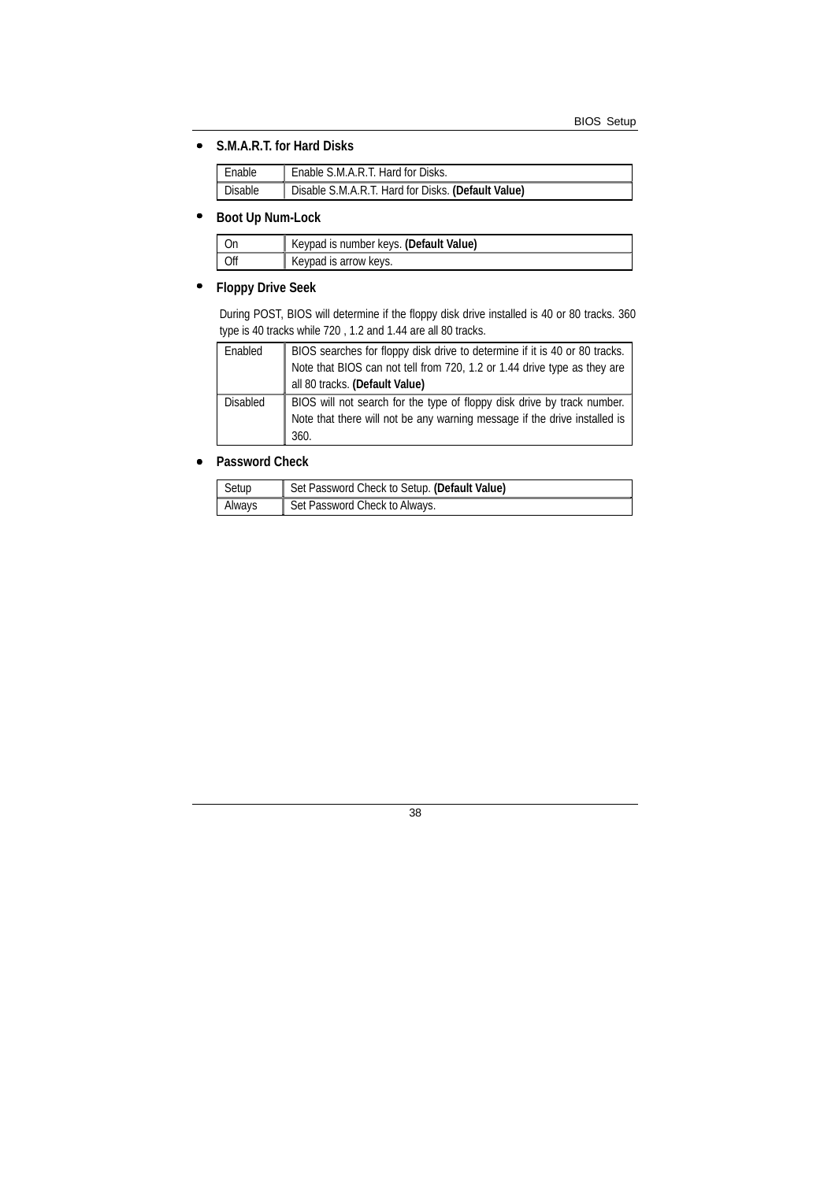#### • **S.M.A.R.T. for Hard Disks**

| Enable  | Enable S.M.A.R.T. Hard for Disks.                  |
|---------|----------------------------------------------------|
| Disable | Disable S.M.A.R.T. Hard for Disks. (Default Value) |

### • **Boot Up Num-Lock**

| Keypad is number keys. (Default Value) |
|----------------------------------------|
| Keypad is arrow keys.                  |

# • **Floppy Drive Seek**

During POST, BIOS will determine if the floppy disk drive installed is 40 or 80 tracks. 360 type is 40 tracks while 720 , 1.2 and 1.44 are all 80 tracks.

| Enabled  | BIOS searches for floppy disk drive to determine if it is 40 or 80 tracks. |
|----------|----------------------------------------------------------------------------|
|          | Note that BIOS can not tell from 720, 1.2 or 1.44 drive type as they are   |
|          | all 80 tracks. (Default Value)                                             |
| Disabled | BIOS will not search for the type of floppy disk drive by track number.    |
|          | Note that there will not be any warning message if the drive installed is  |
|          | 360.                                                                       |

#### • **Password Check**

| Setup  | Set Password Check to Setup. (Default Value) |
|--------|----------------------------------------------|
| Always | Set Password Check to Always.                |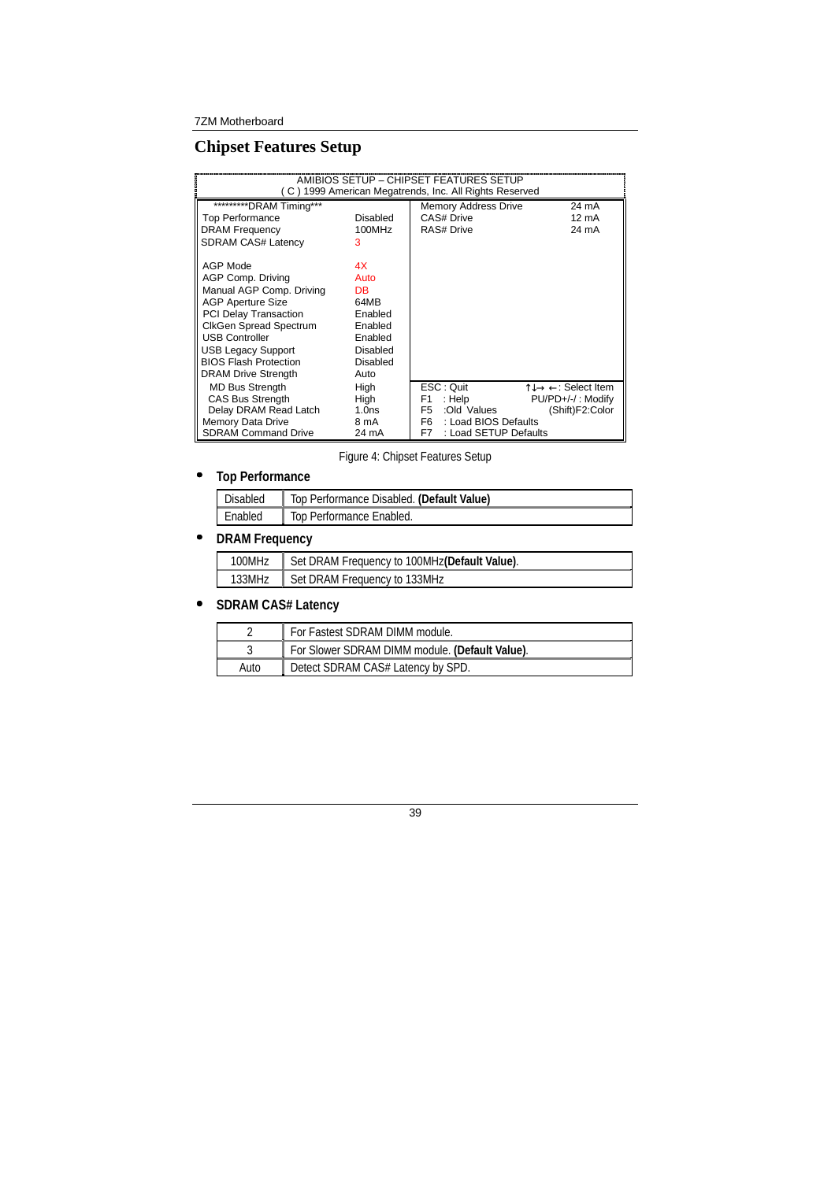# **Chipset Features Setup**

|                               |                   | AMIBIOS SETUP - CHIPSET FEATURES SETUP<br>(C) 1999 American Megatrends, Inc. All Rights Reserved |                                                            |
|-------------------------------|-------------------|--------------------------------------------------------------------------------------------------|------------------------------------------------------------|
| **********DRAM Timing***      |                   | <b>Memory Address Drive</b>                                                                      | 24 mA                                                      |
| <b>Top Performance</b>        | <b>Disabled</b>   | CAS# Drive                                                                                       | 12 mA                                                      |
| <b>DRAM Frequency</b>         | 100MHz            | <b>RAS# Drive</b>                                                                                | 24 mA                                                      |
| <b>SDRAM CAS# Latency</b>     | 3                 |                                                                                                  |                                                            |
|                               |                   |                                                                                                  |                                                            |
| AGP Mode                      | 4X                |                                                                                                  |                                                            |
| AGP Comp. Driving             | Auto              |                                                                                                  |                                                            |
| Manual AGP Comp. Driving      | DB.               |                                                                                                  |                                                            |
| <b>AGP Aperture Size</b>      | 64MB              |                                                                                                  |                                                            |
| <b>PCI Delay Transaction</b>  | Enabled           |                                                                                                  |                                                            |
| <b>CIkGen Spread Spectrum</b> | Enabled           |                                                                                                  |                                                            |
| <b>USB Controller</b>         | Enabled           |                                                                                                  |                                                            |
| <b>USB Legacy Support</b>     | Disabled          |                                                                                                  |                                                            |
| <b>BIOS Flash Protection</b>  | <b>Disabled</b>   |                                                                                                  |                                                            |
| <b>DRAM Drive Strength</b>    | Auto              |                                                                                                  |                                                            |
|                               |                   |                                                                                                  |                                                            |
| <b>MD Bus Strength</b>        | High              | ESC: Quit                                                                                        | $\uparrow \downarrow \rightarrow \leftarrow$ : Select Item |
| <b>CAS Bus Strength</b>       | High              | : Help<br>F1                                                                                     | PU/PD+/-/: Modify                                          |
| Delay DRAM Read Latch         | 1.0 <sub>ns</sub> | F <sub>5</sub><br>:Old Values                                                                    | (Shift)F2:Color                                            |
| Memory Data Drive             | 8 mA              | F <sub>6</sub><br>: Load BIOS Defaults<br>F7                                                     |                                                            |
| <b>SDRAM Command Drive</b>    | 24 mA             |                                                                                                  | : Load SETUP Defaults                                      |

Figure 4: Chipset Features Setup

# • **Top Performance**

| Disabled | Top Performance Disabled. (Default Value) |
|----------|-------------------------------------------|
| Enabled  | Top Performance Enabled.                  |

# • **DRAM Frequency**

| 100MHz | Set DRAM Frequency to 100MHz(Default Value). |
|--------|----------------------------------------------|
| 133MHz | Set DRAM Frequency to 133MHz                 |

# • **SDRAM CAS# Latency**

|      | For Fastest SDRAM DIMM module.                 |
|------|------------------------------------------------|
|      | For Slower SDRAM DIMM module. (Default Value). |
| Auto | Detect SDRAM CAS# Latency by SPD.              |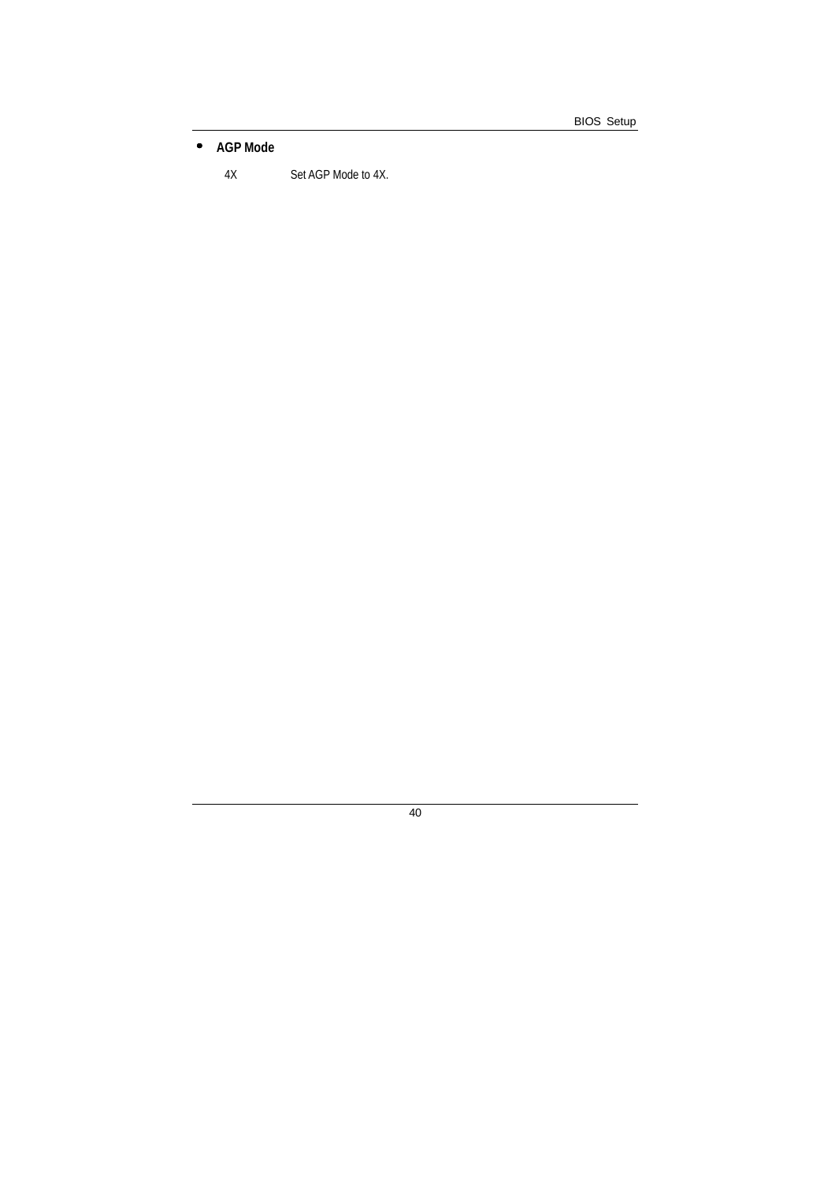• **AGP Mode** 

4X Set AGP Mode to 4X.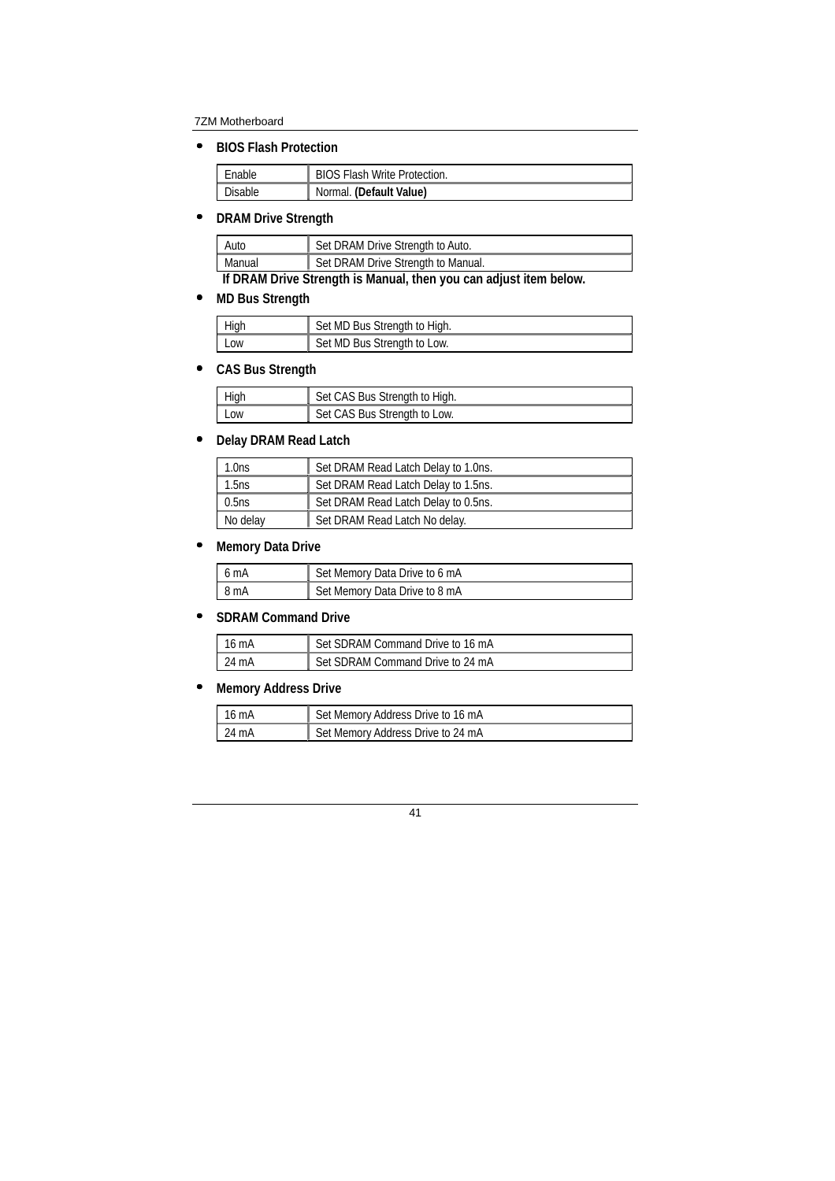• **BIOS Flash Protection** 

| Enable  | <b>BIOS Flash Write Protection.</b> |
|---------|-------------------------------------|
| Disable | Normal. (Default Value)             |

# • **DRAM Drive Strength**

| Auto                                                                                                                                                                                                                                                                                                                               | Set DRAM Drive Strength to Auto.   |
|------------------------------------------------------------------------------------------------------------------------------------------------------------------------------------------------------------------------------------------------------------------------------------------------------------------------------------|------------------------------------|
| Manual                                                                                                                                                                                                                                                                                                                             | Set DRAM Drive Strength to Manual. |
| $\mathbf{r}$ $\mathbf{r}$ $\mathbf{r}$ $\mathbf{r}$ $\mathbf{r}$ $\mathbf{r}$ $\mathbf{r}$ $\mathbf{r}$ $\mathbf{r}$ $\mathbf{r}$ $\mathbf{r}$ $\mathbf{r}$ $\mathbf{r}$ $\mathbf{r}$ $\mathbf{r}$ $\mathbf{r}$ $\mathbf{r}$ $\mathbf{r}$ $\mathbf{r}$ $\mathbf{r}$ $\mathbf{r}$ $\mathbf{r}$ $\mathbf{r}$ $\mathbf{r}$ $\mathbf{$ |                                    |

**If DRAM Drive Strength is Manual, then you can adjust item below.** 

# • **MD Bus Strength**

| High | Set MD Bus Strength to High. |
|------|------------------------------|
| LOW  | Set MD Bus Strength to Low.  |

# • **CAS Bus Strength**

| High       | Set CAS Bus Strength to High. |
|------------|-------------------------------|
| <b>Low</b> | Set CAS Bus Strength to Low.  |

# • **Delay DRAM Read Latch**

| $1.0$ ns | Set DRAM Read Latch Delay to 1.0ns. |
|----------|-------------------------------------|
| 1.5ns    | Set DRAM Read Latch Delay to 1.5ns. |
| 0.5ns    | Set DRAM Read Latch Delay to 0.5ns. |
| No delay | Set DRAM Read Latch No delay.       |

### • **Memory Data Drive**

| l 6 mA | Set Memory Data Drive to 6 mA |
|--------|-------------------------------|
| 18mA   | Set Memory Data Drive to 8 mA |

### • **SDRAM Command Drive**

| 16 mA | Set SDRAM Command Drive to 16 mA |
|-------|----------------------------------|
| 24 mA | Set SDRAM Command Drive to 24 mA |

# • **Memory Address Drive**

| 116 <sub>m</sub> | Set Memory Address Drive to 16 mA |
|------------------|-----------------------------------|
| $124 \text{ mA}$ | Set Memory Address Drive to 24 mA |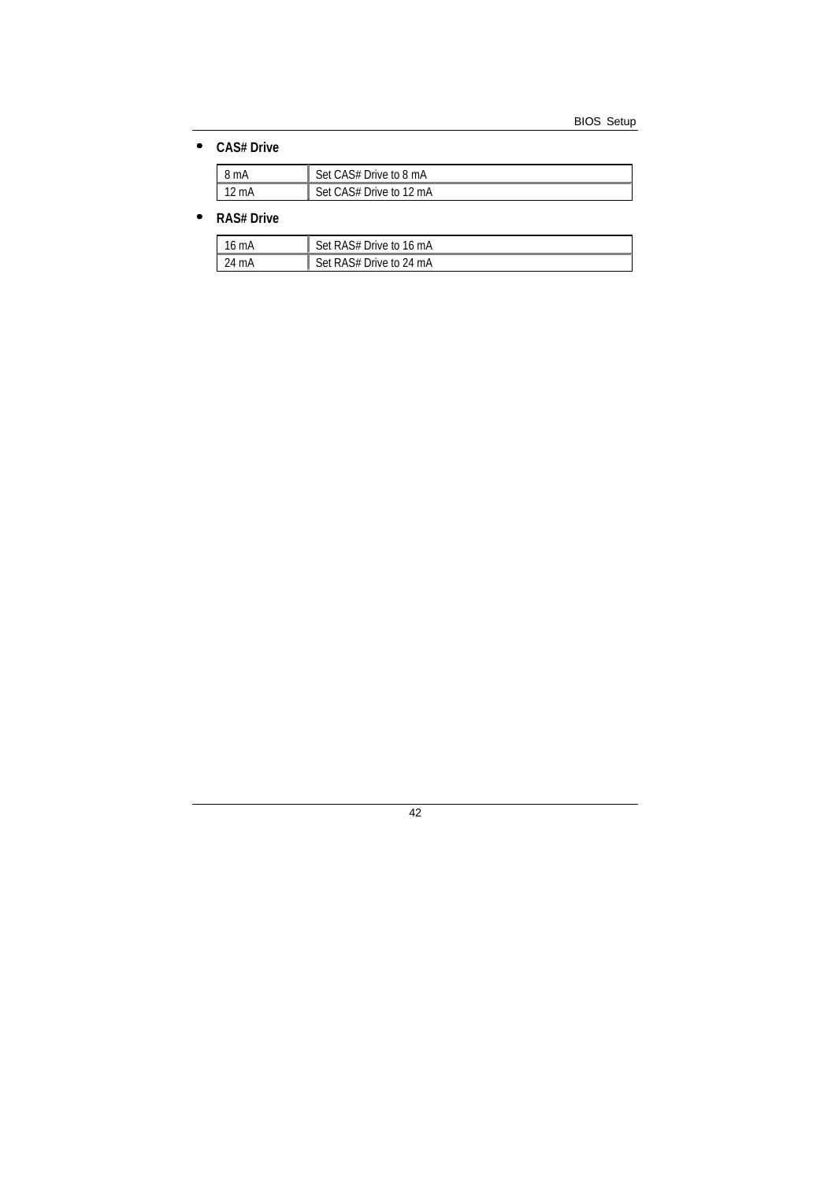### • **CAS# Drive**

| 8 mA            | Set CAS# Drive to 8 mA  |
|-----------------|-------------------------|
| $12 \text{ mA}$ | Set CAS# Drive to 12 mA |

### • **RAS# Drive**

| 16 mA | Set RAS# Drive to 16 mA |
|-------|-------------------------|
| 24 mA | Set RAS# Drive to 24 mA |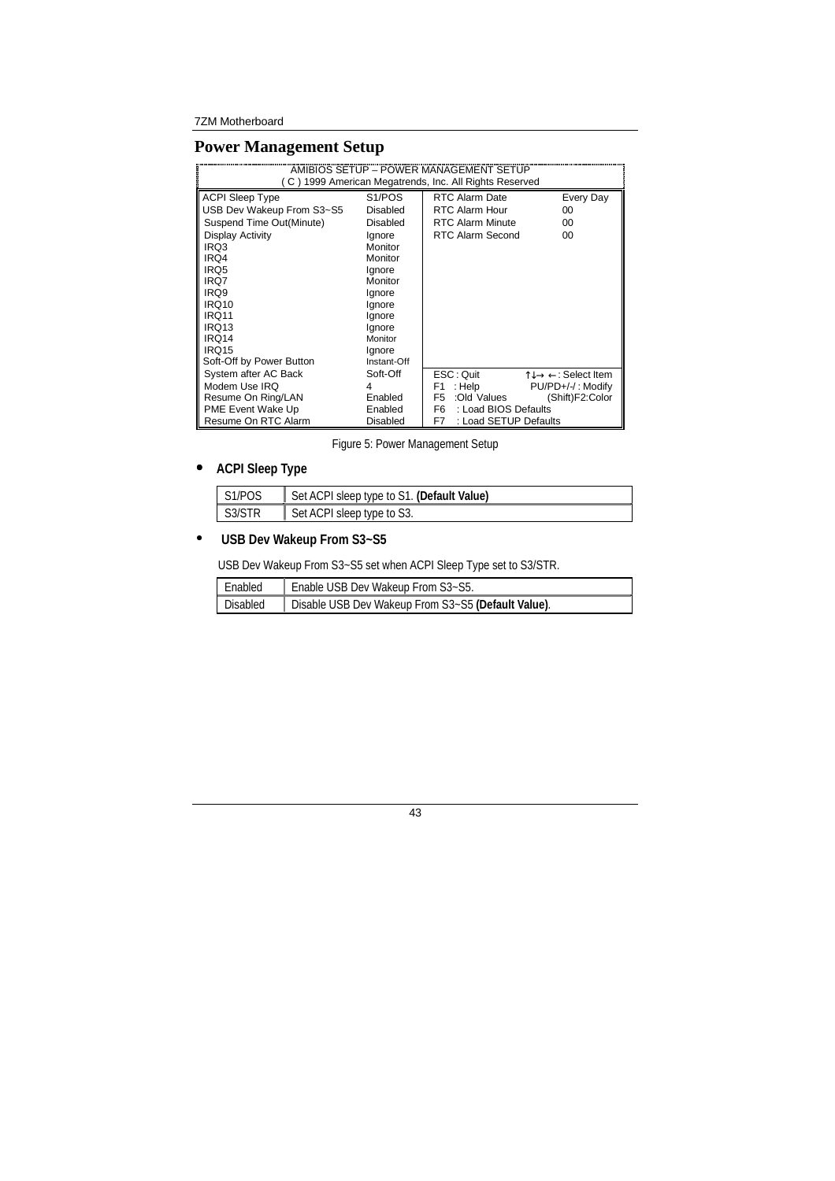## **Power Management Setup**

|                                  |                     | AMIBIOS SETUP – POWER MANAGEMENT SETUP<br>C) 1999 American Megatrends, Inc. All Rights Reserved |  |
|----------------------------------|---------------------|-------------------------------------------------------------------------------------------------|--|
| <b>ACPI Sleep Type</b>           | S <sub>1</sub> /POS | <b>RTC Alarm Date</b><br>Every Day                                                              |  |
| USB Dev Wakeup From S3~S5        | Disabled            | <b>RTC Alarm Hour</b><br>00                                                                     |  |
| Suspend Time Out(Minute)         | Disabled            | <b>RTC Alarm Minute</b><br>00                                                                   |  |
| Display Activity                 | Ignore              | RTC Alarm Second<br>$00 \,$                                                                     |  |
| IRQ3                             | Monitor             |                                                                                                 |  |
| IRQ4                             | Monitor             |                                                                                                 |  |
| IRQ5                             | lgnore              |                                                                                                 |  |
| IRQ7                             | Monitor             |                                                                                                 |  |
| IRQ9                             | Ignore              |                                                                                                 |  |
| <b>IRQ10</b>                     | Ignore              |                                                                                                 |  |
| IRQ11                            | lgnore              |                                                                                                 |  |
| IRQ13                            | Ignore              |                                                                                                 |  |
| IRQ14<br>Monitor                 |                     |                                                                                                 |  |
| IRQ15<br>lgnore                  |                     |                                                                                                 |  |
| Soft-Off by Power Button         | Instant-Off         |                                                                                                 |  |
| System after AC Back<br>Soft-Off |                     | ESC: Quit<br>$\uparrow \downarrow \rightarrow \leftarrow$ : Select Item                         |  |
| Modem Use IRQ<br>4               |                     | : Help<br>PU/PD+/-/: Modify<br>F1                                                               |  |
| Resume On Ring/LAN<br>Enabled    |                     | :Old Values<br>(Shift)F2:Color<br>F <sub>5</sub>                                                |  |
| PME Event Wake Up<br>Enabled     |                     | : Load BIOS Defaults<br>F6                                                                      |  |
| Resume On RTC Alarm<br>Disabled  |                     | : Load SETUP Defaults<br>F7                                                                     |  |

Figure 5: Power Management Setup

### • **ACPI Sleep Type**

| I S1/POS | <sup>1</sup> Set ACPI sleep type to S1. (Default Value) |
|----------|---------------------------------------------------------|
| S3/STR   | <sup>1</sup> Set ACPI sleep type to S3.                 |

# • **USB Dev Wakeup From S3~S5**

USB Dev Wakeup From S3~S5 set when ACPI Sleep Type set to S3/STR.

| Enabled         | Enable USB Dev Wakeup From S3~S5.                  |
|-----------------|----------------------------------------------------|
| <b>Disabled</b> | Disable USB Dev Wakeup From S3~S5 (Default Value). |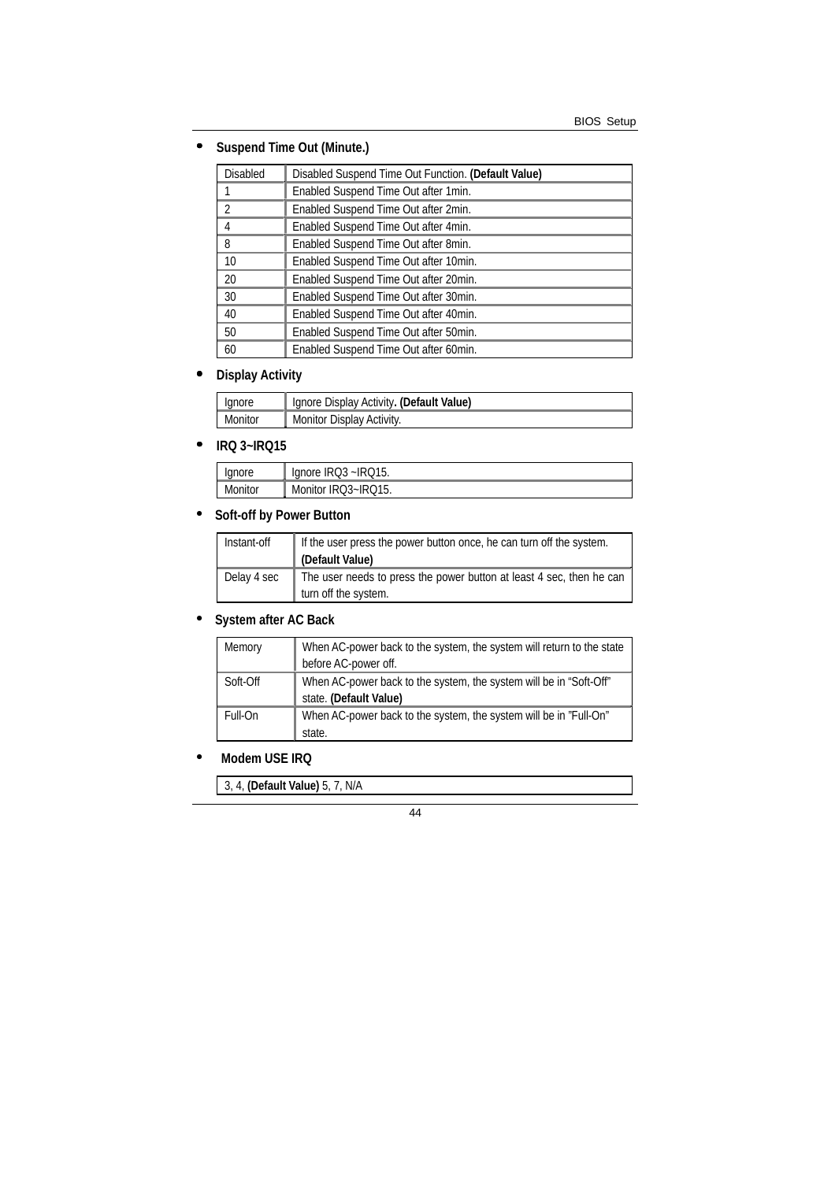## • **Suspend Time Out (Minute.)**

| <b>Disabled</b> | Disabled Suspend Time Out Function. (Default Value) |
|-----------------|-----------------------------------------------------|
|                 | Enabled Suspend Time Out after 1 min.               |
| $\mathfrak{D}$  | Enabled Suspend Time Out after 2min.                |
| 4               | Enabled Suspend Time Out after 4min.                |
| 8               | Enabled Suspend Time Out after 8min.                |
| 10              | Enabled Suspend Time Out after 10min.               |
| 20              | Enabled Suspend Time Out after 20min.               |
| 30              | Enabled Suspend Time Out after 30min.               |
| 40              | Enabled Suspend Time Out after 40min.               |
| 50              | Enabled Suspend Time Out after 50min.               |
| 60              | Enabled Suspend Time Out after 60min.               |

#### • **Display Activity**

| Ignore  | Ignore Display Activity. (Default Value) |
|---------|------------------------------------------|
| Monitor | Monitor Display Activity.                |

#### • **IRQ 3~IRQ15**

| anore   | 215.<br>$\sim$ IRQ3 ~IRQ.<br>lanore |
|---------|-------------------------------------|
| Monitor | $IRO3-IRO15$<br>Monitor<br>$\sim$   |

# • **Soft-off by Power Button**

| Instant-off | If the user press the power button once, he can turn off the system.<br>(Default Value)      |
|-------------|----------------------------------------------------------------------------------------------|
| Delay 4 sec | The user needs to press the power button at least 4 sec, then he can<br>turn off the system. |

## • **System after AC Back**

| Memory   | When AC-power back to the system, the system will return to the state |
|----------|-----------------------------------------------------------------------|
|          | before AC-power off.                                                  |
| Soft-Off | When AC-power back to the system, the system will be in "Soft-Off"    |
|          | state. (Default Value)                                                |
| Full-On  | When AC-power back to the system, the system will be in "Full-On"     |
|          | state.                                                                |

### • **Modem USE IRQ**

3, 4, **(Default Value)** 5, 7, N/A

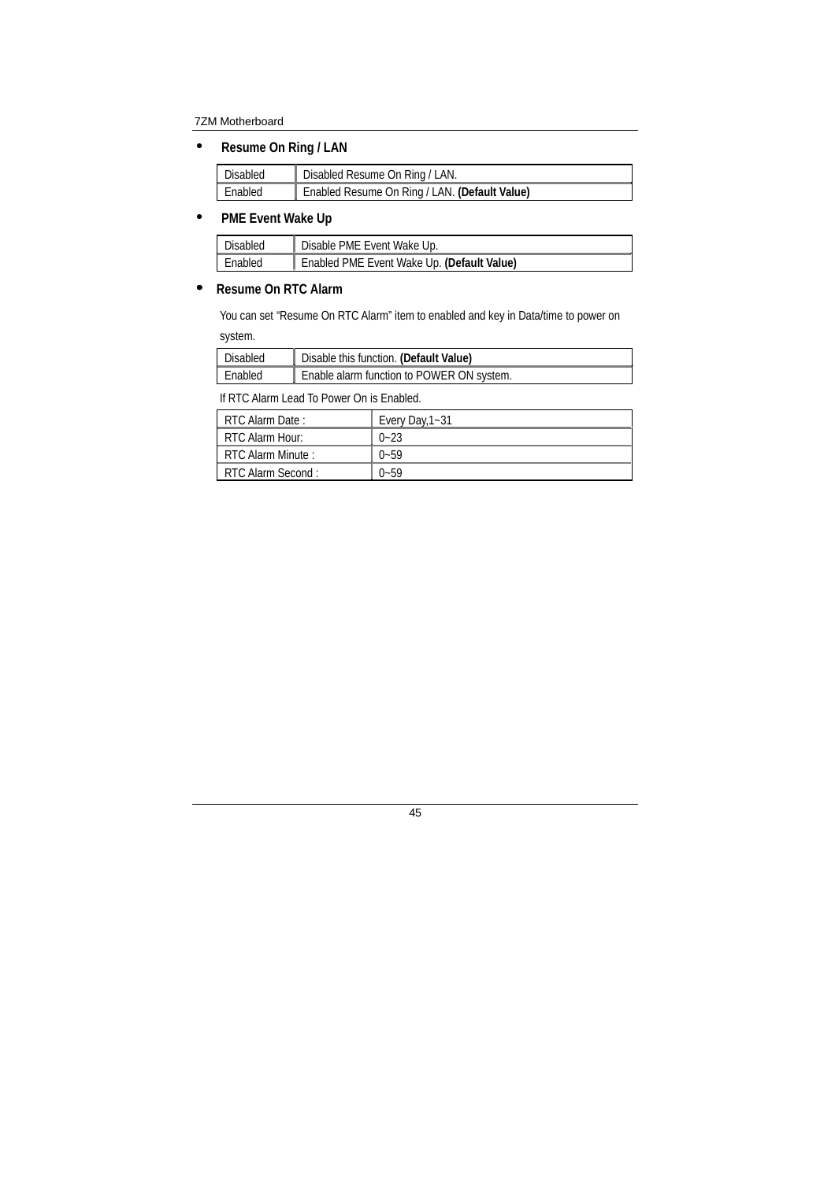• **Resume On Ring / LAN** 

| Disabled | Disabled Resume On Ring / LAN.                |
|----------|-----------------------------------------------|
| Enabled  | Enabled Resume On Ring / LAN. (Default Value) |

### • **PME Event Wake Up**

| Disabled | Disable PME Event Wake Up.                 |
|----------|--------------------------------------------|
| Enabled  | Enabled PME Event Wake Up. (Default Value) |

### • **Resume On RTC Alarm**

You can set "Resume On RTC Alarm" item to enabled and key in Data/time to power on system.

| Disabled | Disable this function. (Default Value)    |
|----------|-------------------------------------------|
| Enabled  | Enable alarm function to POWER ON system. |

If RTC Alarm Lead To Power On is Enabled.

| RTC Alarm Date:   | Every Day, 1~31 |
|-------------------|-----------------|
| RTC Alarm Hour:   | $0 - 23$        |
| RTC Alarm Minute: | $0 - 59$        |
| RTC Alarm Second: | $0 - 59$        |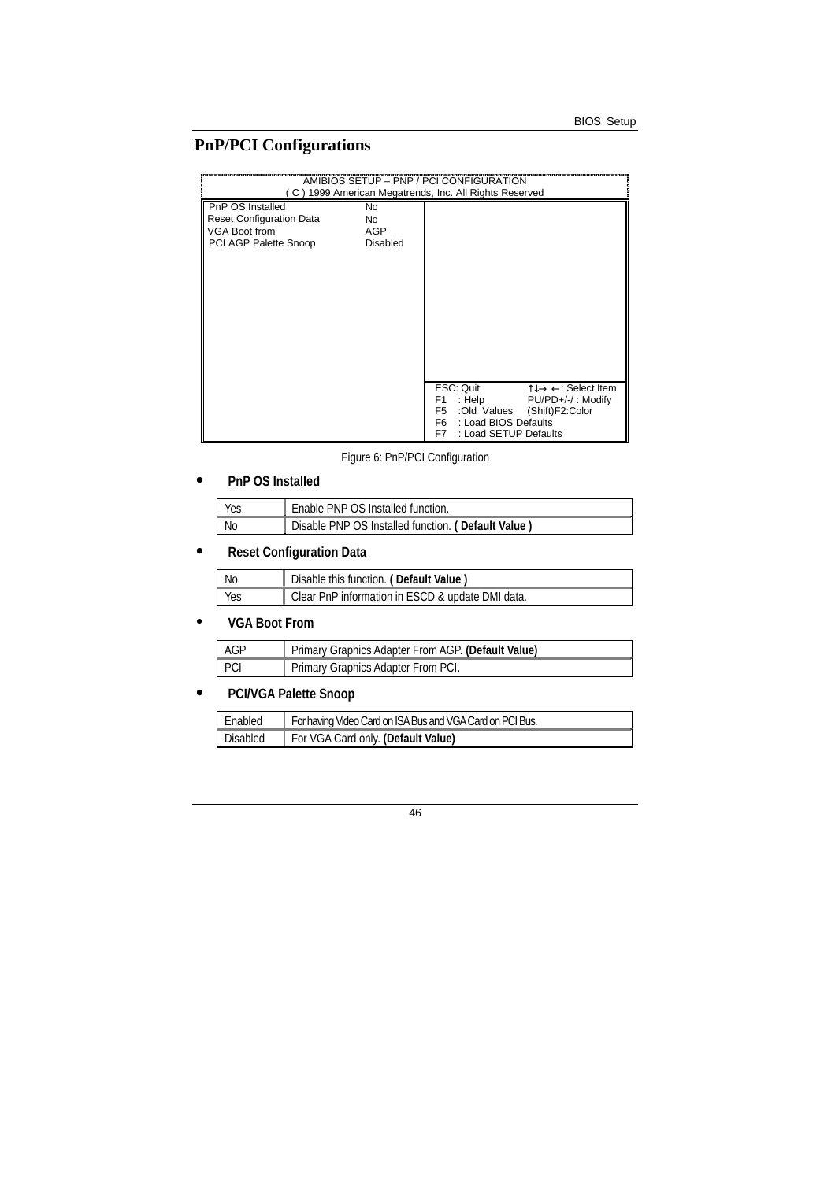# **PnP/PCI Configurations**

| AMIBIOS SETUP - PNP / PCI CONFIGURATION<br>(C) 1999 American Megatrends, Inc. All Rights Reserved    |                             |                                                                                                                                                                                                              |  |
|------------------------------------------------------------------------------------------------------|-----------------------------|--------------------------------------------------------------------------------------------------------------------------------------------------------------------------------------------------------------|--|
| PnP OS Installed<br><b>Reset Configuration Data</b><br><b>VGA Boot from</b><br>PCI AGP Palette Snoop | No<br>No<br>AGP<br>Disabled |                                                                                                                                                                                                              |  |
|                                                                                                      |                             | $\uparrow \downarrow \rightarrow \leftarrow$ : Select Item<br>ESC: Quit<br>: Help $PU/PD+/-/$ : Modify<br>F1.<br>:Old Values (Shift)F2:Color<br>F5<br>F6 : Load BIOS Defaults<br>: Load SETUP Defaults<br>F7 |  |

Figure 6: PnP/PCI Configuration

### • **PnP OS Installed**

| <b>Yes</b> | Enable PNP OS Installed function.                  |
|------------|----------------------------------------------------|
| - No       | Disable PNP OS Installed function. (Default Value) |

# • **Reset Configuration Data**

| No  | Disable this function. (Default Value)           |
|-----|--------------------------------------------------|
| Yes | Clear PnP information in ESCD & update DMI data. |

## • **VGA Boot From**

| I AGP | Primary Graphics Adapter From AGP. (Default Value) |
|-------|----------------------------------------------------|
| I PCI | Primary Graphics Adapter From PCI.                 |

# • **PCI/VGA Palette Snoop**

| Enabled         | For having Video Card on ISA Bus and VGA Card on PCI Bus. |
|-----------------|-----------------------------------------------------------|
| <b>Disabled</b> | For VGA Card only. (Default Value)                        |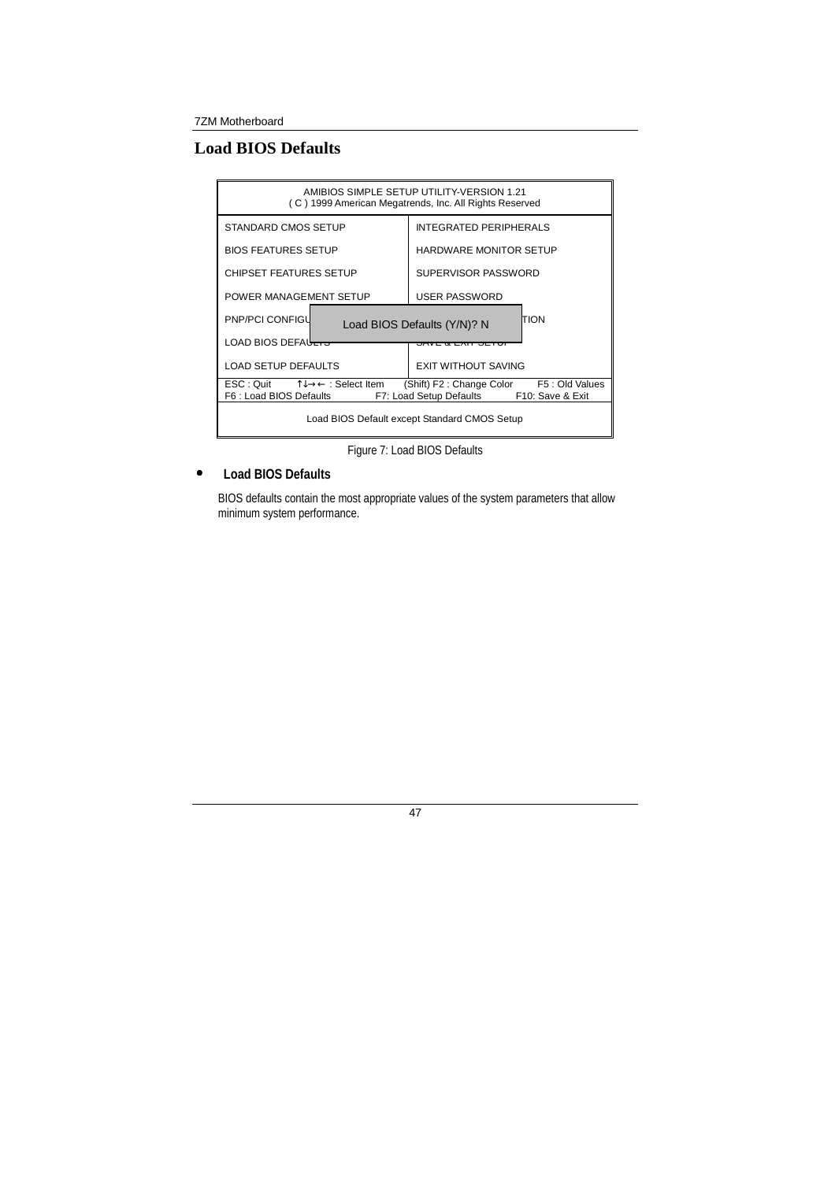# **Load BIOS Defaults**

| AMIBIOS SIMPLE SETUP UTILITY-VERSION 1.21<br>(C) 1999 American Megatrends, Inc. All Rights Reserved                                                                                                                           |                                  |  |  |
|-------------------------------------------------------------------------------------------------------------------------------------------------------------------------------------------------------------------------------|----------------------------------|--|--|
| STANDARD CMOS SETUP                                                                                                                                                                                                           | <b>INTEGRATED PERIPHERALS</b>    |  |  |
| <b>BIOS FEATURES SETUP</b>                                                                                                                                                                                                    | <b>HARDWARE MONITOR SETUP</b>    |  |  |
| <b>CHIPSET FEATURES SETUP</b>                                                                                                                                                                                                 | SUPERVISOR PASSWORD              |  |  |
| POWER MANAGEMENT SETUP                                                                                                                                                                                                        | USER PASSWORD                    |  |  |
| <b>PNP/PCI CONFIGL</b><br>TION<br>Load BIOS Defaults (Y/N)? N                                                                                                                                                                 |                                  |  |  |
| LOAD BIOS DEFALLERS                                                                                                                                                                                                           | <del>OAVE &amp; EAIT OETUR</del> |  |  |
| <b>LOAD SETUP DEFAULTS</b>                                                                                                                                                                                                    | EXIT WITHOUT SAVING              |  |  |
| $\mathsf{ESC} : \mathsf{Quit} \qquad \uparrow \downarrow \rightarrow \leftarrow : \mathsf{Select}$ Item<br>F5: Old Values<br>(Shift) F2 : Change Color<br>F6 : Load BIOS Defaults<br>F7: Load Setup Defaults F10: Save & Exit |                                  |  |  |
| Load BIOS Default except Standard CMOS Setup                                                                                                                                                                                  |                                  |  |  |

Figure 7: Load BIOS Defaults

### • **Load BIOS Defaults**

BIOS defaults contain the most appropriate values of the system parameters that allow minimum system performance.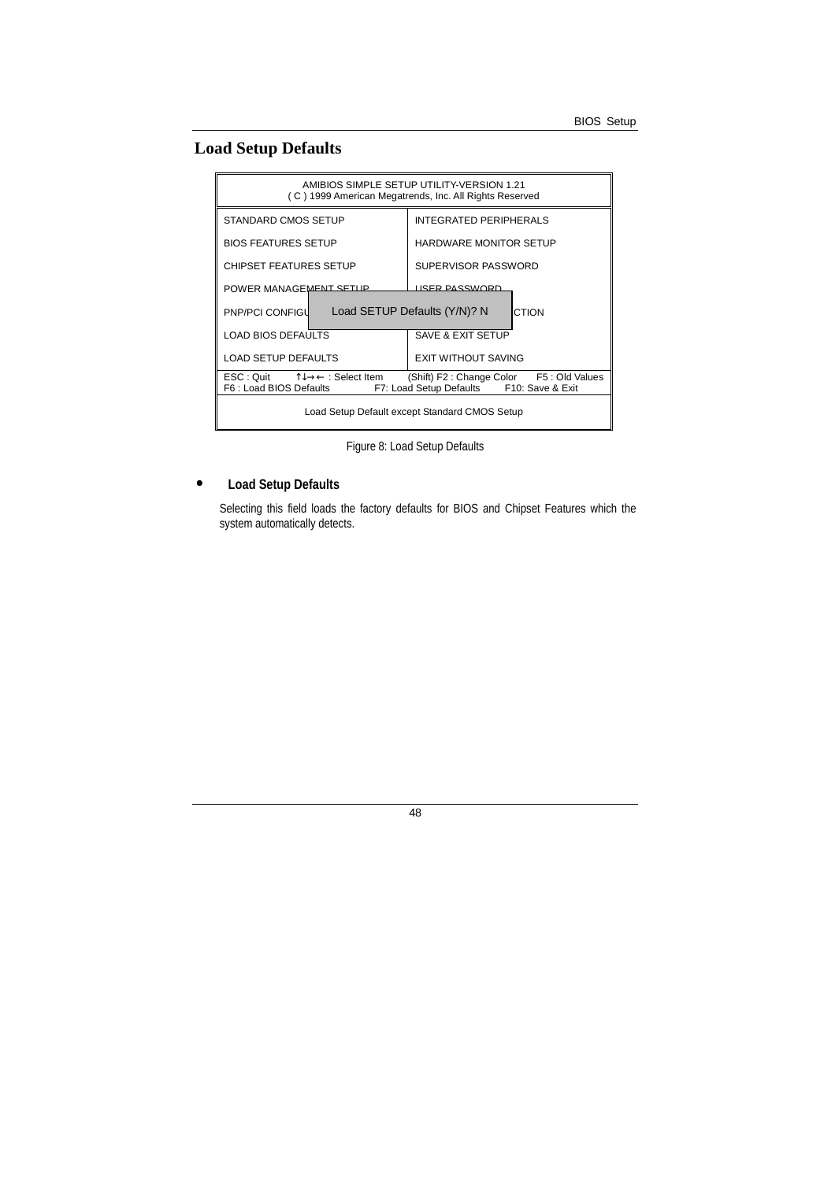# **Load Setup Defaults**

| AMIBIOS SIMPLE SETUP UTILITY-VERSION 1.21<br>(C) 1999 American Megatrends, Inc. All Rights Reserved                                                |                               |  |  |
|----------------------------------------------------------------------------------------------------------------------------------------------------|-------------------------------|--|--|
| STANDARD CMOS SETUP                                                                                                                                | <b>INTEGRATED PERIPHERALS</b> |  |  |
| <b>BIOS FEATURES SETUP</b>                                                                                                                         | <b>HARDWARE MONITOR SETUP</b> |  |  |
| <b>CHIPSET FEATURES SETUP</b>                                                                                                                      | SUPERVISOR PASSWORD           |  |  |
| POWER MANAGEMENT SETTIP                                                                                                                            | <b>LISER PASSWORD</b>         |  |  |
| Load SETUP Defaults (Y/N)? N<br><b>PNP/PCI CONFIGU</b><br>CTION                                                                                    |                               |  |  |
| LOAD BIOS DEFAULTS                                                                                                                                 | SAVE & EXIT SETUP             |  |  |
| LOAD SETUP DEFAULTS                                                                                                                                | <b>EXIT WITHOUT SAVING</b>    |  |  |
| ી↓→← : Select Item<br>ESC : Quit<br>(Shift) F2: Change Color F5: Old Values<br>F6 : Load BIOS Defaults<br>F7: Load Setup Defaults F10: Save & Exit |                               |  |  |
| Load Setup Default except Standard CMOS Setup                                                                                                      |                               |  |  |

Figure 8: Load Setup Defaults

### • **Load Setup Defaults**

 Selecting this field loads the factory defaults for BIOS and Chipset Features which the system automatically detects.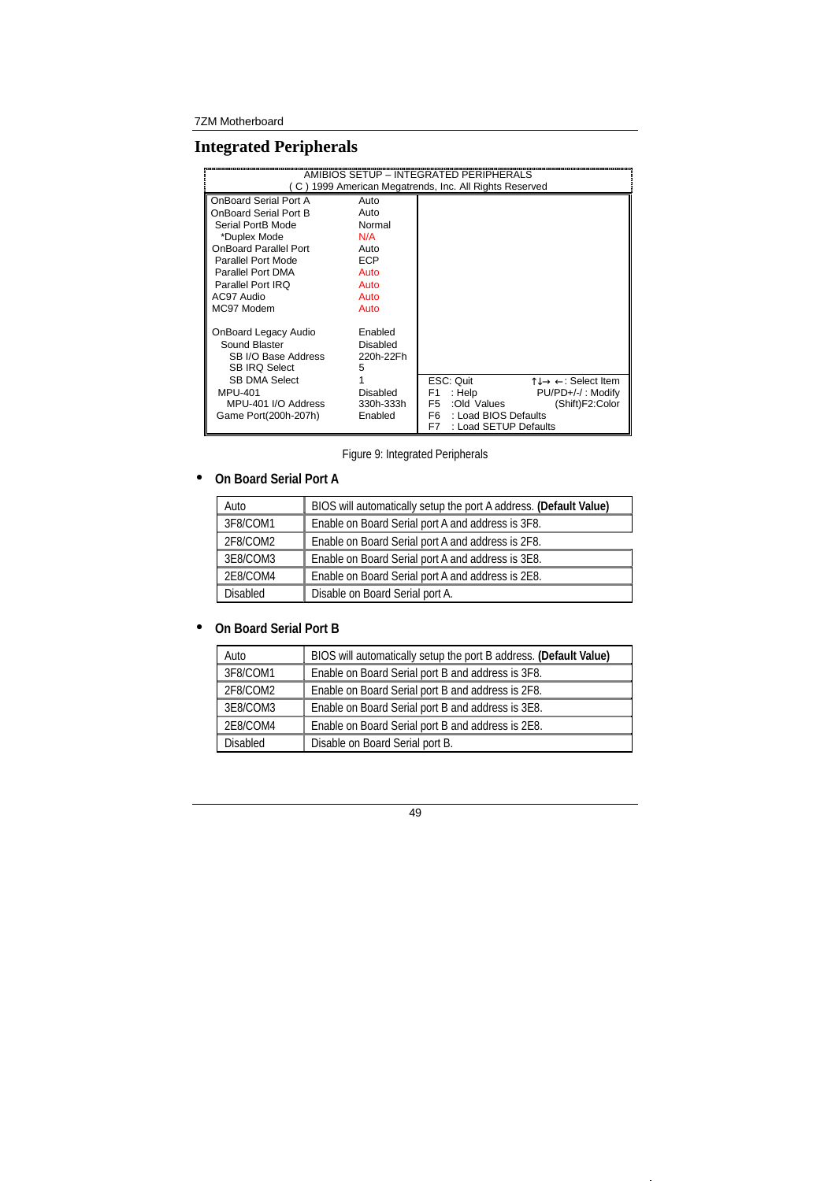# **Integrated Peripherals**

| AMIBIOS SETUP - INTEGRATED PERIPHERALS<br>(C) 1999 American Megatrends, Inc. All Rights Reserved                                                                                    |                                                              |                                                                                                             |                                                                                                    |
|-------------------------------------------------------------------------------------------------------------------------------------------------------------------------------------|--------------------------------------------------------------|-------------------------------------------------------------------------------------------------------------|----------------------------------------------------------------------------------------------------|
| OnBoard Serial Port A<br>OnBoard Serial Port B<br>Serial PortB Mode<br>*Duplex Mode<br><b>OnBoard Parallel Port</b><br>Parallel Port Mode<br>Parallel Port DMA<br>Parallel Port IRQ | Auto<br>Auto<br>Normal<br>N/A<br>Auto<br>ECP<br>Auto<br>Auto |                                                                                                             |                                                                                                    |
| AC97 Audio<br>MC97 Modem<br>OnBoard Legacy Audio<br>Sound Blaster<br>SB I/O Base Address<br><b>SB IRO Select</b>                                                                    | Auto<br>Auto<br>Enabled<br>Disabled<br>220h-22Fh<br>5        |                                                                                                             |                                                                                                    |
| <b>SB DMA Select</b><br><b>MPU-401</b><br>MPU-401 I/O Address<br>Game Port(200h-207h)                                                                                               | Disabled<br>330h-333h<br>Enabled                             | ESC: Quit<br>: Help<br>F1<br>F5<br>:Old Values<br>F6<br>: Load BIOS Defaults<br>F7<br>: Load SETUP Defaults | $\uparrow \downarrow \rightarrow \leftarrow$ : Select Item<br>PU/PD+/-/: Modify<br>(Shift)F2:Color |

Figure 9: Integrated Peripherals

### • **On Board Serial Port A**

 $\mathbf{I}$ 

| Auto            | BIOS will automatically setup the port A address. (Default Value) |
|-----------------|-------------------------------------------------------------------|
| 3F8/COM1        | Enable on Board Serial port A and address is 3F8.                 |
| 2F8/COM2        | Enable on Board Serial port A and address is 2F8.                 |
| 3E8/COM3        | Enable on Board Serial port A and address is 3E8.                 |
| 2E8/COM4        | Enable on Board Serial port A and address is 2E8.                 |
| <b>Disabled</b> | Disable on Board Serial port A.                                   |

### • **On Board Serial Port B**

| Auto            | BIOS will automatically setup the port B address. (Default Value) |
|-----------------|-------------------------------------------------------------------|
| 3F8/COM1        | Enable on Board Serial port B and address is 3F8.                 |
| 2F8/COM2        | Enable on Board Serial port B and address is 2F8.                 |
| 3E8/COM3        | Enable on Board Serial port B and address is 3E8.                 |
| 2E8/COM4        | Enable on Board Serial port B and address is 2E8.                 |
| <b>Disabled</b> | Disable on Board Serial port B.                                   |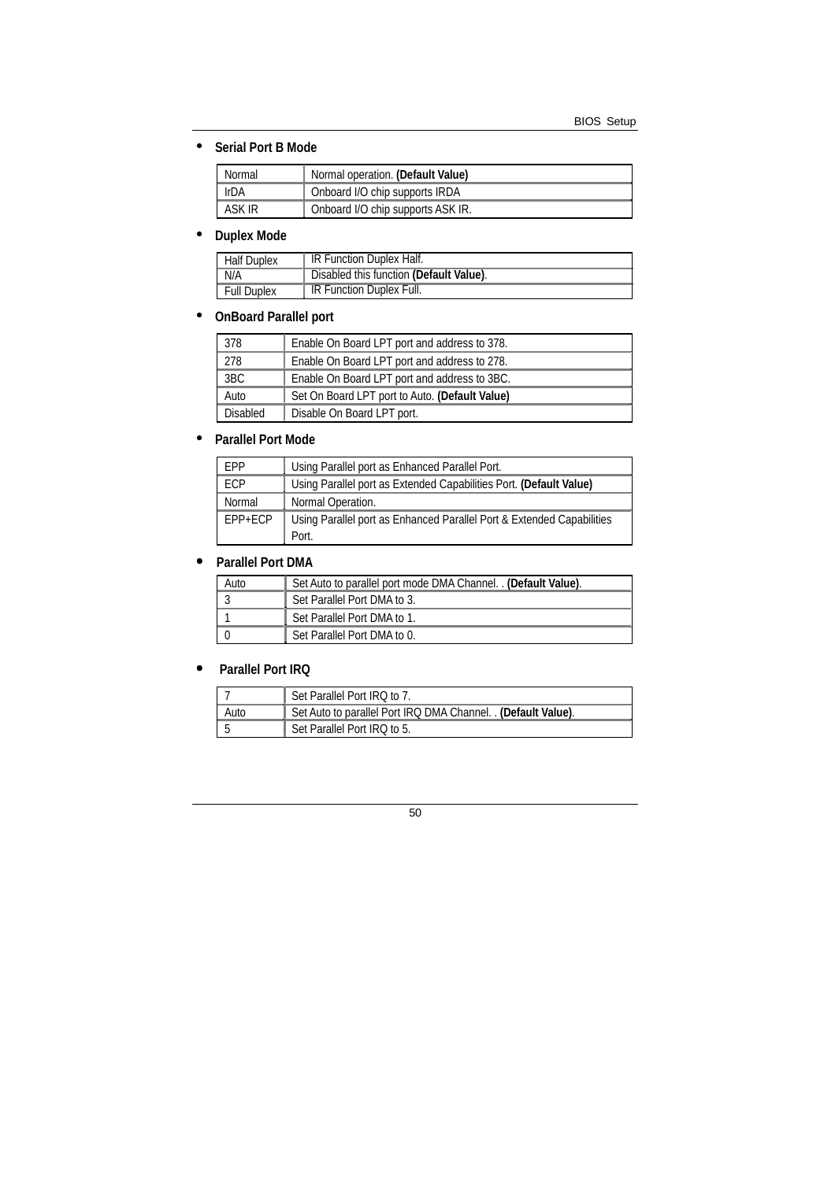### • **Serial Port B Mode**

| Normal      | Normal operation. (Default Value) |
|-------------|-----------------------------------|
| <b>IrDA</b> | Onboard I/O chip supports IRDA    |
| ASK IR      | Onboard I/O chip supports ASK IR. |

# • **Duplex Mode**

| <b>Half Duplex</b> | IR Function Duplex Half.                |
|--------------------|-----------------------------------------|
| N/A                | Disabled this function (Default Value). |
| <b>Full Duplex</b> | IR Function Duplex Full.                |

# • **OnBoard Parallel port**

| 378      | Enable On Board LPT port and address to 378.   |
|----------|------------------------------------------------|
| 278      | Enable On Board LPT port and address to 278.   |
| 3BC      | Enable On Board LPT port and address to 3BC.   |
| Auto     | Set On Board LPT port to Auto. (Default Value) |
| Disabled | Disable On Board LPT port.                     |

### • **Parallel Port Mode**

| <b>FPP</b>  | Using Parallel port as Enhanced Parallel Port.                        |
|-------------|-----------------------------------------------------------------------|
| ECP         | Using Parallel port as Extended Capabilities Port. (Default Value)    |
| Normal      | Normal Operation.                                                     |
| $EPP + ECP$ | Using Parallel port as Enhanced Parallel Port & Extended Capabilities |
|             | Port.                                                                 |

### • **Parallel Port DMA**

| Auto | Set Auto to parallel port mode DMA Channel. . (Default Value). |
|------|----------------------------------------------------------------|
|      | Set Parallel Port DMA to 3.                                    |
|      | Set Parallel Port DMA to 1.                                    |
|      | Set Parallel Port DMA to 0.                                    |

## • **Parallel Port IRQ**

|      | Set Parallel Port IRQ to 7.                                 |
|------|-------------------------------------------------------------|
| Auto | Set Auto to parallel Port IRQ DMA Channel. (Default Value). |
|      | Set Parallel Port IRQ to 5.                                 |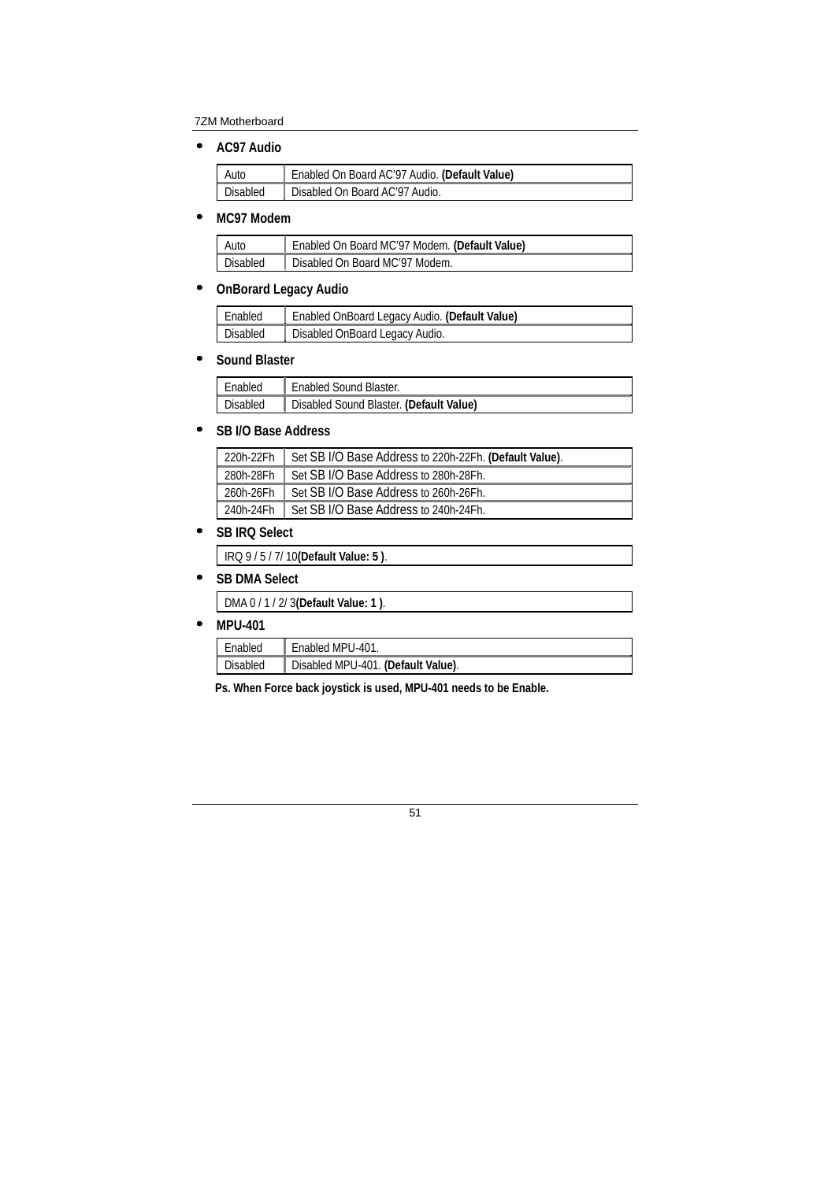• **AC97 Audio** 

| Auto     | Enabled On Board AC'97 Audio. (Default Value) |
|----------|-----------------------------------------------|
| Disabled | Disabled On Board AC'97 Audio.                |

#### • **MC97 Modem**

| Auto     | ↑ Enabled On Board MC'97 Modem. (Default Value) |
|----------|-------------------------------------------------|
| Disabled | Disabled On Board MC'97 Modem.                  |

### • **OnBorard Legacy Audio**

| Enabled         | Enabled OnBoard Legacy Audio. (Default Value) |
|-----------------|-----------------------------------------------|
| <b>Disabled</b> | Disabled OnBoard Legacy Audio.                |

#### • **Sound Blaster**

| Enabled         | <sup>1</sup> Enabled Sound Blaster.     |
|-----------------|-----------------------------------------|
| <b>Disabled</b> | Disabled Sound Blaster. (Default Value) |

#### • **SB I/O Base Address**

| 220h-22Fh | Set SB I/O Base Address to 220h-22Fh. (Default Value). |
|-----------|--------------------------------------------------------|
| 280h-28Fh | Set SB I/O Base Address to 280h-28Fh.                  |
| 260h-26Fh | Set SB I/O Base Address to 260h-26Fh.                  |
| 240h-24Fh | Set SB I/O Base Address to 240h-24Fh.                  |

### • **SB IRQ Select**

IRQ 9 / 5 / 7/ 10**(Default Value: 5 )**.

### • **SB DMA Select**

| DMA 0 / 1 / 2/ 3 (Default Value: 1). |  |
|--------------------------------------|--|
|--------------------------------------|--|

## • **MPU-401**

| Enabled         | Enabled MPU-401.                   |
|-----------------|------------------------------------|
| <b>Disabled</b> | Disabled MPU-401. (Default Value). |

**Ps. When Force back joystick is used, MPU-401 needs to be Enable.**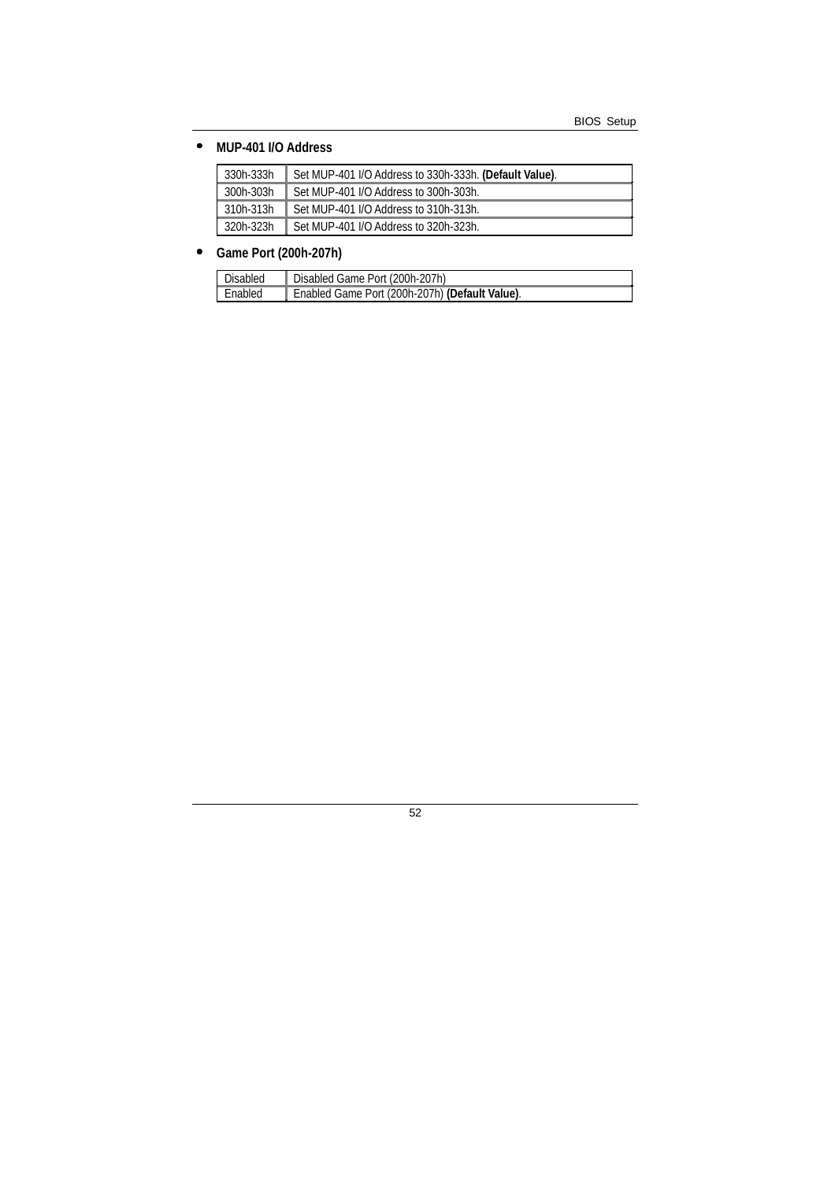### • **MUP-401 I/O Address**

| 330h-333h | Set MUP-401 I/O Address to 330h-333h. (Default Value). |
|-----------|--------------------------------------------------------|
| 300h-303h | Set MUP-401 I/O Address to 300h-303h.                  |
| 310h-313h | Set MUP-401 I/O Address to 310h-313h.                  |
| 320h-323h | Set MUP-401 I/O Address to 320h-323h.                  |

### • **Game Port (200h-207h)**

| Disabled | Disabled Game Port (200h-207h)                 |
|----------|------------------------------------------------|
| Enabled  | Enabled Game Port (200h-207h) (Default Value). |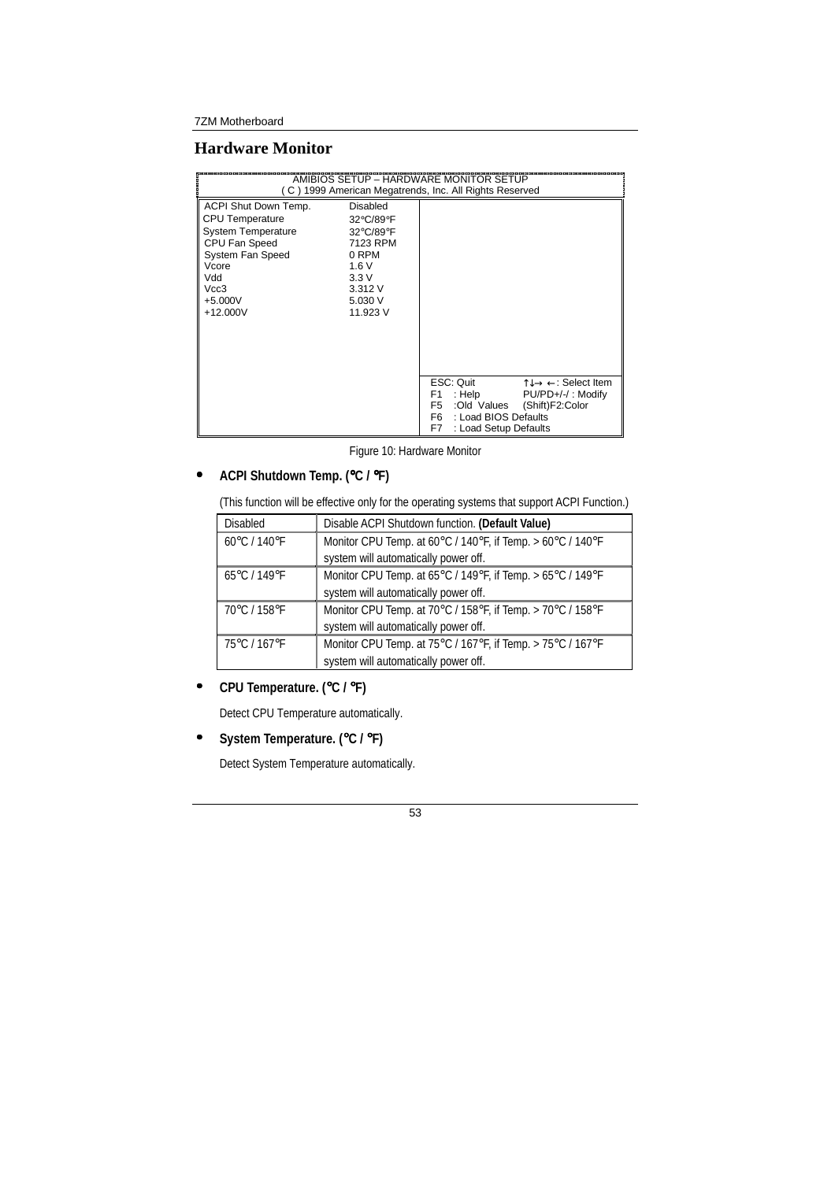### **Hardware Monitor**

|                                                                                                                                                              |                                                                                                                 | AMIBIOS SETUP - HARDWARE MONITOR SETUP<br>C) 1999 American Megatrends, Inc. All Rights Reserved                                                                                                                                  |
|--------------------------------------------------------------------------------------------------------------------------------------------------------------|-----------------------------------------------------------------------------------------------------------------|----------------------------------------------------------------------------------------------------------------------------------------------------------------------------------------------------------------------------------|
| ACPI Shut Down Temp.<br><b>CPU</b> Temperature<br>System Temperature<br>CPU Fan Speed<br>System Fan Speed<br>Vcore<br>Vdd<br>Vcc3<br>$+5.000V$<br>$+12.000V$ | <b>Disabled</b><br>32°C/89°F<br>32°C/89°F<br>7123 RPM<br>0 RPM<br>1.6V<br>3.3V<br>3.312V<br>5.030 V<br>11.923 V |                                                                                                                                                                                                                                  |
|                                                                                                                                                              |                                                                                                                 | ESC: Quit<br>$\uparrow \downarrow \rightarrow \leftarrow$ : Select Item<br>PU/PD+/-/: Modify<br>F1.<br>: Help<br>F <sub>5</sub><br>:Old Values<br>(Shift)F2:Color<br>F6 F<br>: Load BIOS Defaults<br>F7<br>: Load Setup Defaults |

Figure 10: Hardware Monitor

# • **ACPI Shutdown Temp. (**°**C /** °**F)**

(This function will be effective only for the operating systems that support ACPI Function.)

| <b>Disabled</b>                   | Disable ACPI Shutdown function. (Default Value)            |  |
|-----------------------------------|------------------------------------------------------------|--|
| 60°C / 140°F                      | Monitor CPU Temp. at 60°C / 140°F, if Temp. > 60°C / 140°F |  |
|                                   | system will automatically power off.                       |  |
| $65^{\circ}$ C / 149 $^{\circ}$ F | Monitor CPU Temp. at 65°C / 149°F, if Temp. > 65°C / 149°F |  |
|                                   | system will automatically power off.                       |  |
| 70°C / 158°F                      | Monitor CPU Temp. at 70°C / 158°F, if Temp. > 70°C / 158°F |  |
|                                   | system will automatically power off.                       |  |
| 75°C / 167°F                      | Monitor CPU Temp. at 75°C / 167°F, if Temp. > 75°C / 167°F |  |
|                                   | system will automatically power off.                       |  |

• **CPU Temperature. (**°**C /** °**F)** 

Detect CPU Temperature automatically.

• **System Temperature. (**°**C /** °**F)** 

Detect System Temperature automatically.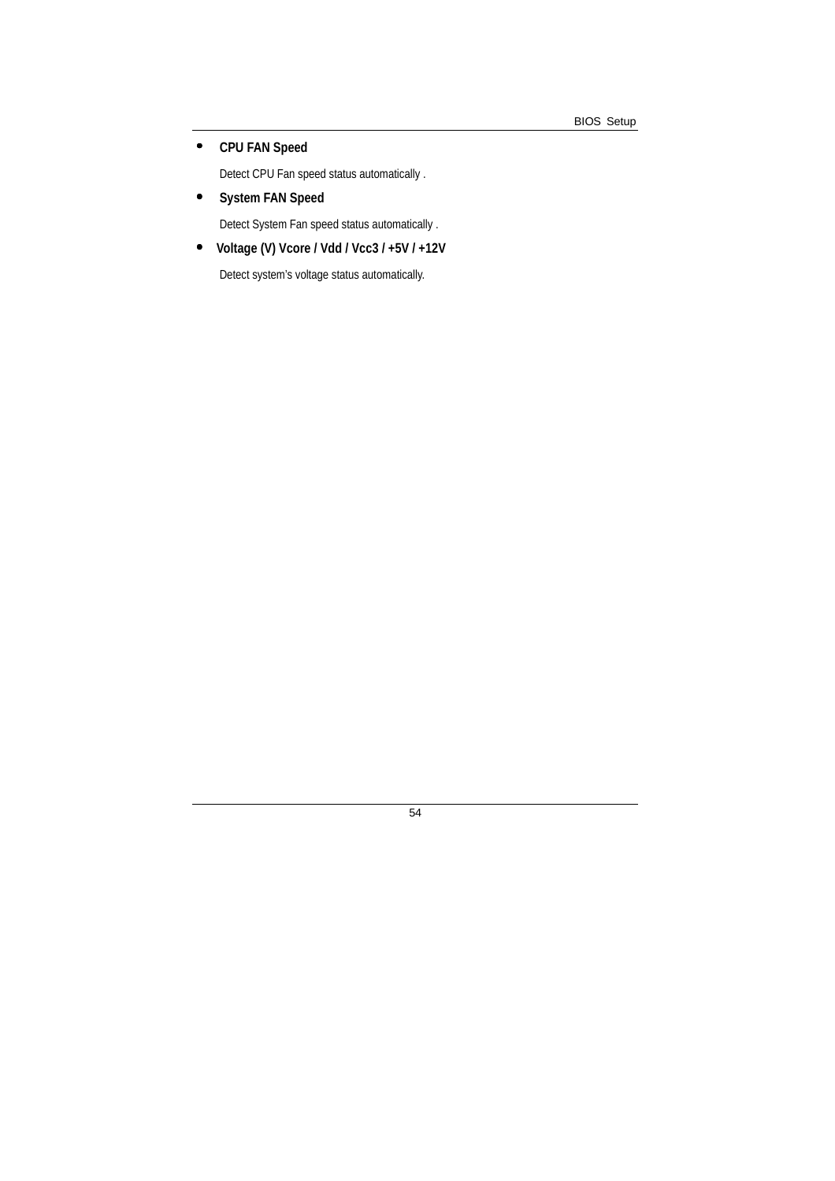## • **CPU FAN Speed**

Detect CPU Fan speed status automatically .

• **System FAN Speed** 

Detect System Fan speed status automatically .

• **Voltage (V) Vcore / Vdd / Vcc3 / +5V / +12V** 

Detect system's voltage status automatically.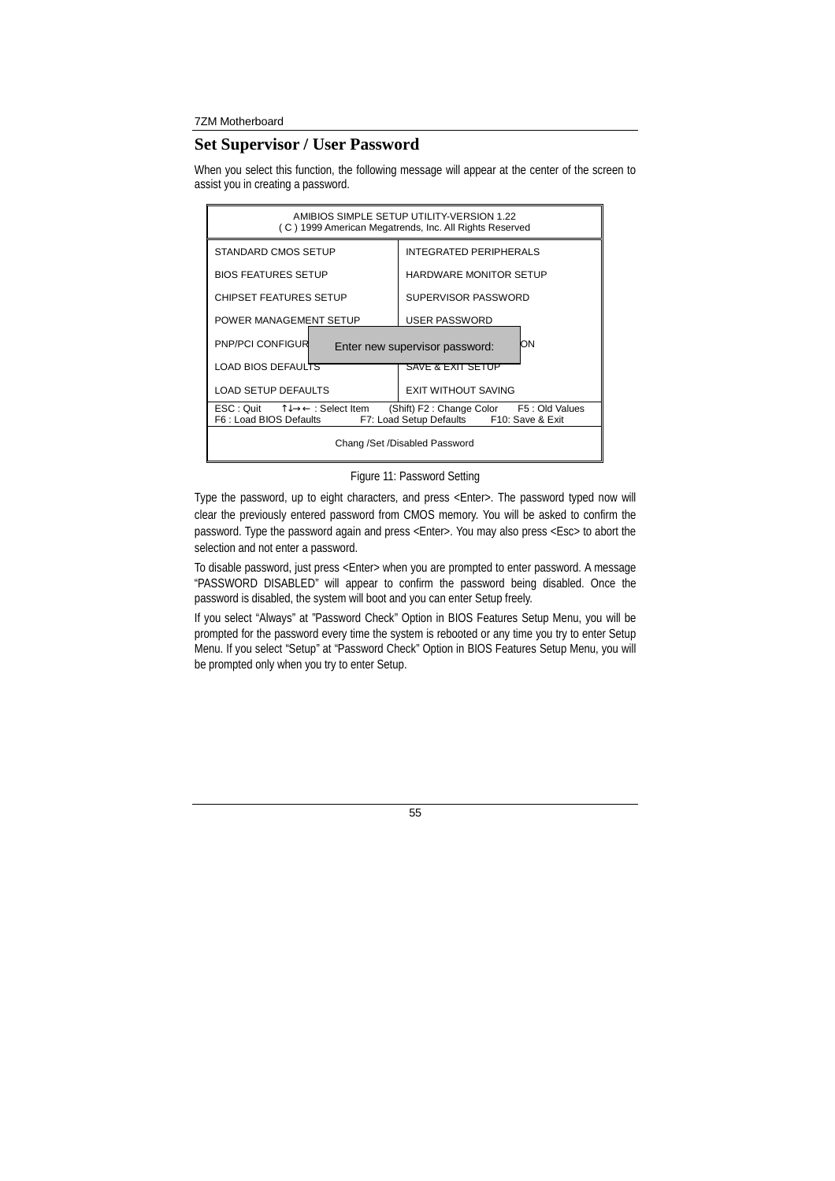### **Set Supervisor / User Password**

When you select this function, the following message will appear at the center of the screen to assist you in creating a password.

| AMIBIOS SIMPLE SETUP UTILITY-VERSION 1.22<br>(C) 1999 American Megatrends, Inc. All Rights Reserved                                                                                                                       |                                      |  |
|---------------------------------------------------------------------------------------------------------------------------------------------------------------------------------------------------------------------------|--------------------------------------|--|
| STANDARD CMOS SETUP                                                                                                                                                                                                       | <b>INTEGRATED PERIPHERALS</b>        |  |
| <b>BIOS FEATURES SETUP</b>                                                                                                                                                                                                | <b>HARDWARE MONITOR SETUP</b>        |  |
| <b>CHIPSET FEATURES SETUP</b>                                                                                                                                                                                             | SUPERVISOR PASSWORD                  |  |
| POWER MANAGEMENT SETUP                                                                                                                                                                                                    | <b>USER PASSWORD</b>                 |  |
| <b>PNP/PCI CONFIGUR</b>                                                                                                                                                                                                   | OΝ<br>Enter new supervisor password: |  |
| <b>LOAD BIOS DEFAULTS</b>                                                                                                                                                                                                 | SAVE & EXIT SETUP                    |  |
| <b>LOAD SETUP DEFAULTS</b>                                                                                                                                                                                                | <b>EXIT WITHOUT SAVING</b>           |  |
| $\mathsf{ESC} : \mathsf{Quit} \qquad \uparrow \downarrow \rightarrow \leftarrow : \mathsf{Select}$ Item<br>(Shift) F2: Change Color F5: Old Values<br>F7: Load Setup Defaults F10: Save & Exit<br>F6 : Load BIOS Defaults |                                      |  |
| Chang /Set /Disabled Password                                                                                                                                                                                             |                                      |  |

#### Figure 11: Password Setting

Type the password, up to eight characters, and press <Enter>. The password typed now will clear the previously entered password from CMOS memory. You will be asked to confirm the password. Type the password again and press <Enter>. You may also press <Esc> to abort the selection and not enter a password.

To disable password, just press <Enter> when you are prompted to enter password. A message "PASSWORD DISABLED" will appear to confirm the password being disabled. Once the password is disabled, the system will boot and you can enter Setup freely.

If you select "Always" at "Password Check" Option in BIOS Features Setup Menu, you will be prompted for the password every time the system is rebooted or any time you try to enter Setup Menu. If you select "Setup" at "Password Check" Option in BIOS Features Setup Menu, you will be prompted only when you try to enter Setup.

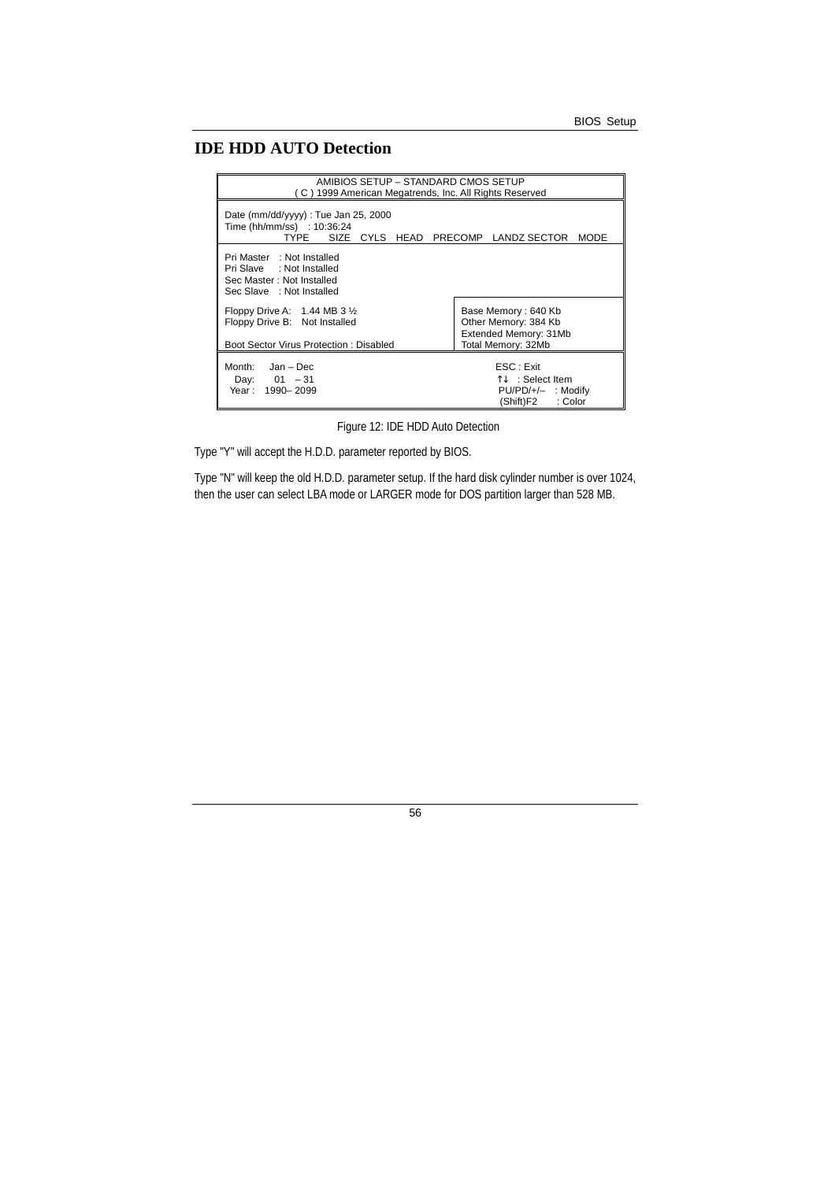# **IDE HDD AUTO Detection**

| AMIBIOS SETUP – STANDARD CMOS SETUP<br>(C) 1999 American Megatrends, Inc. All Rights Reserved                        |                                                                                                 |  |
|----------------------------------------------------------------------------------------------------------------------|-------------------------------------------------------------------------------------------------|--|
| Date ( $mm/dd/yyy$ ) : Tue Jan 25, 2000<br>Time (hh/mm/ss) : 10:36:24<br>TYPE<br>SIZE CYLS HEAD PRECOMP LANDZ SECTOR | <b>MODE</b>                                                                                     |  |
| Pri Master : Not Installed<br>Pri Slave : Not Installed<br>Sec Master: Not Installed<br>Sec Slave : Not Installed    |                                                                                                 |  |
| Floppy Drive A: $1.44$ MB 3 $\frac{1}{2}$<br>Floppy Drive B: Not Installed<br>Boot Sector Virus Protection: Disabled | Base Memory: 640 Kb<br>Other Memory: 384 Kb<br>Extended Memory: 31Mb<br>Total Memory: 32Mb      |  |
| Month: Jan - Dec<br>Day: $01 - 31$<br>Year: 1990-2099                                                                | ESC : Exit<br>$\uparrow \downarrow$ : Select Item<br>PU/PD/+/- : Modify<br>: Color<br>(Shift)F2 |  |

Figure 12: IDE HDD Auto Detection

Type "Y" will accept the H.D.D. parameter reported by BIOS.

Type "N" will keep the old H.D.D. parameter setup. If the hard disk cylinder number is over 1024, then the user can select LBA mode or LARGER mode for DOS partition larger than 528 MB.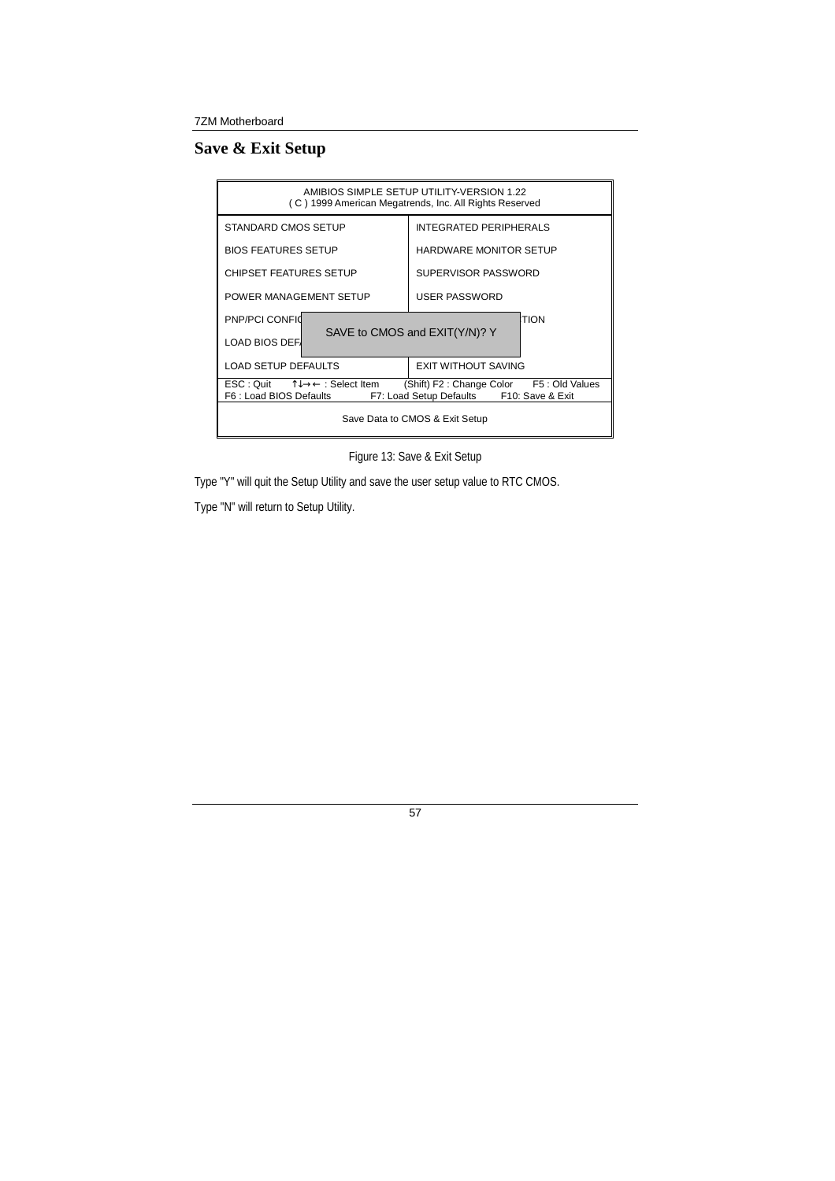# **Save & Exit Setup**

| AMIBIOS SIMPLE SETUP UTILITY-VERSION 1.22<br>(C) 1999 American Megatrends, Inc. All Rights Reserved                                                                                                                                 |                               |  |
|-------------------------------------------------------------------------------------------------------------------------------------------------------------------------------------------------------------------------------------|-------------------------------|--|
| STANDARD CMOS SETUP                                                                                                                                                                                                                 | <b>INTEGRATED PERIPHERALS</b> |  |
| <b>BIOS FEATURES SETUP</b>                                                                                                                                                                                                          | <b>HARDWARE MONITOR SETUP</b> |  |
| <b>CHIPSET FEATURES SETUP</b>                                                                                                                                                                                                       | SUPERVISOR PASSWORD           |  |
| POWER MANAGEMENT SETUP                                                                                                                                                                                                              | USER PASSWORD                 |  |
| PNP/PCI CONFID                                                                                                                                                                                                                      | TION                          |  |
| <b>LOAD BIOS DEF</b>                                                                                                                                                                                                                | SAVE to CMOS and EXIT(Y/N)? Y |  |
| <b>LOAD SETUP DEFAULTS</b>                                                                                                                                                                                                          | EXIT WITHOUT SAVING           |  |
| $\mathsf{ESC} : \mathsf{Quit} \qquad \uparrow \downarrow \rightarrow \leftarrow : \mathsf{Select}\ \mathsf{Item}$<br>(Shift) F2: Change Color F5: Old Values<br>F7: Load Setup Defaults F10: Save & Exit<br>F6 : Load BIOS Defaults |                               |  |
| Save Data to CMOS & Exit Setup                                                                                                                                                                                                      |                               |  |

Figure 13: Save & Exit Setup

Type "Y" will quit the Setup Utility and save the user setup value to RTC CMOS.

Type "N" will return to Setup Utility.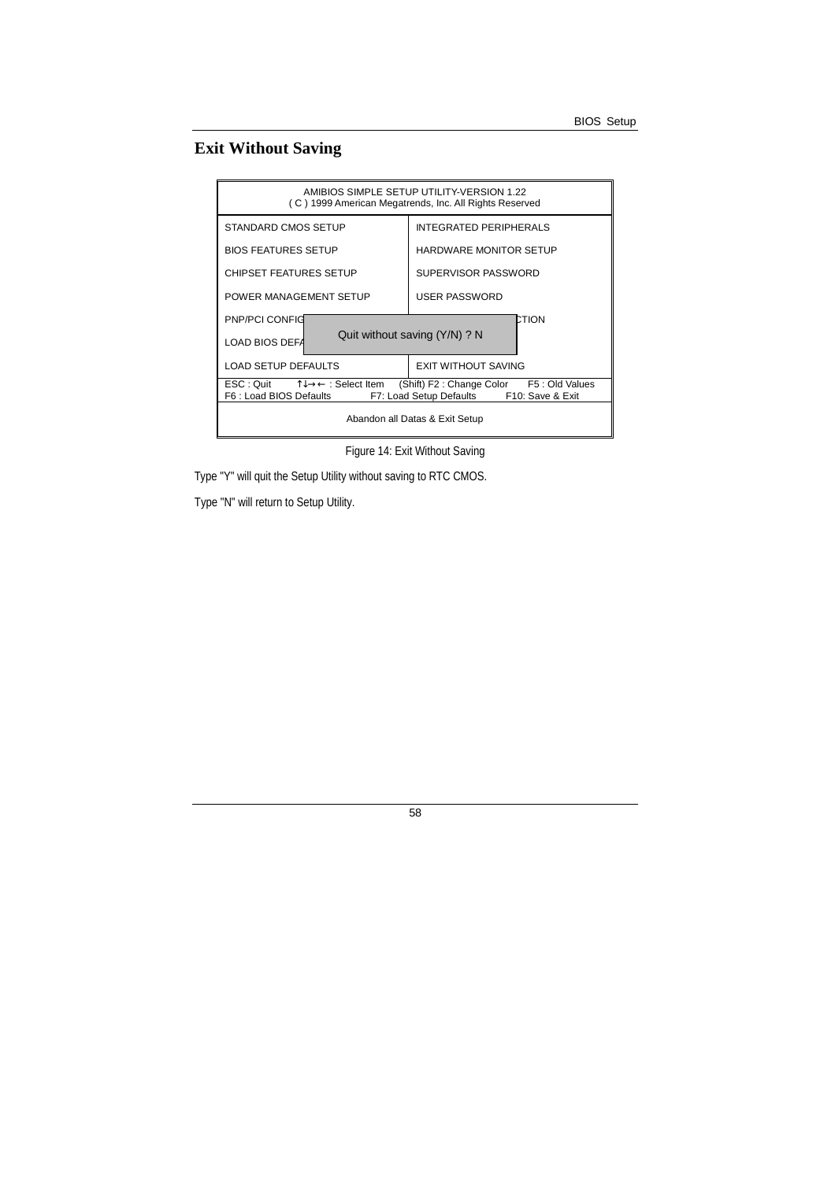# **Exit Without Saving**

| AMIBIOS SIMPLE SETUP UTILITY-VERSION 1.22<br>(C) 1999 American Megatrends, Inc. All Rights Reserved                                                                                                                       |                               |  |
|---------------------------------------------------------------------------------------------------------------------------------------------------------------------------------------------------------------------------|-------------------------------|--|
| STANDARD CMOS SETUP                                                                                                                                                                                                       | <b>INTEGRATED PERIPHERALS</b> |  |
| <b>BIOS FEATURES SETUP</b>                                                                                                                                                                                                | <b>HARDWARE MONITOR SETUP</b> |  |
| <b>CHIPSET FEATURES SETUP</b>                                                                                                                                                                                             | SUPERVISOR PASSWORD           |  |
| POWER MANAGEMENT SETUP                                                                                                                                                                                                    | <b>USER PASSWORD</b>          |  |
| PNP/PCI CONFIG                                                                                                                                                                                                            | CTION                         |  |
| LOAD BIOS DEFA                                                                                                                                                                                                            | Quit without saving (Y/N) ? N |  |
| LOAD SETUP DEFAULTS                                                                                                                                                                                                       | <b>EXIT WITHOUT SAVING</b>    |  |
| $\mathsf{ESC} : \mathsf{Quit} \qquad \uparrow \downarrow \rightarrow \leftarrow : \mathsf{Select}$ Item<br>(Shift) F2: Change Color F5: Old Values<br>F6 : Load BIOS Defaults<br>F7: Load Setup Defaults F10: Save & Exit |                               |  |
| Abandon all Datas & Exit Setup                                                                                                                                                                                            |                               |  |

Figure 14: Exit Without Saving

Type "Y" will quit the Setup Utility without saving to RTC CMOS.

Type "N" will return to Setup Utility.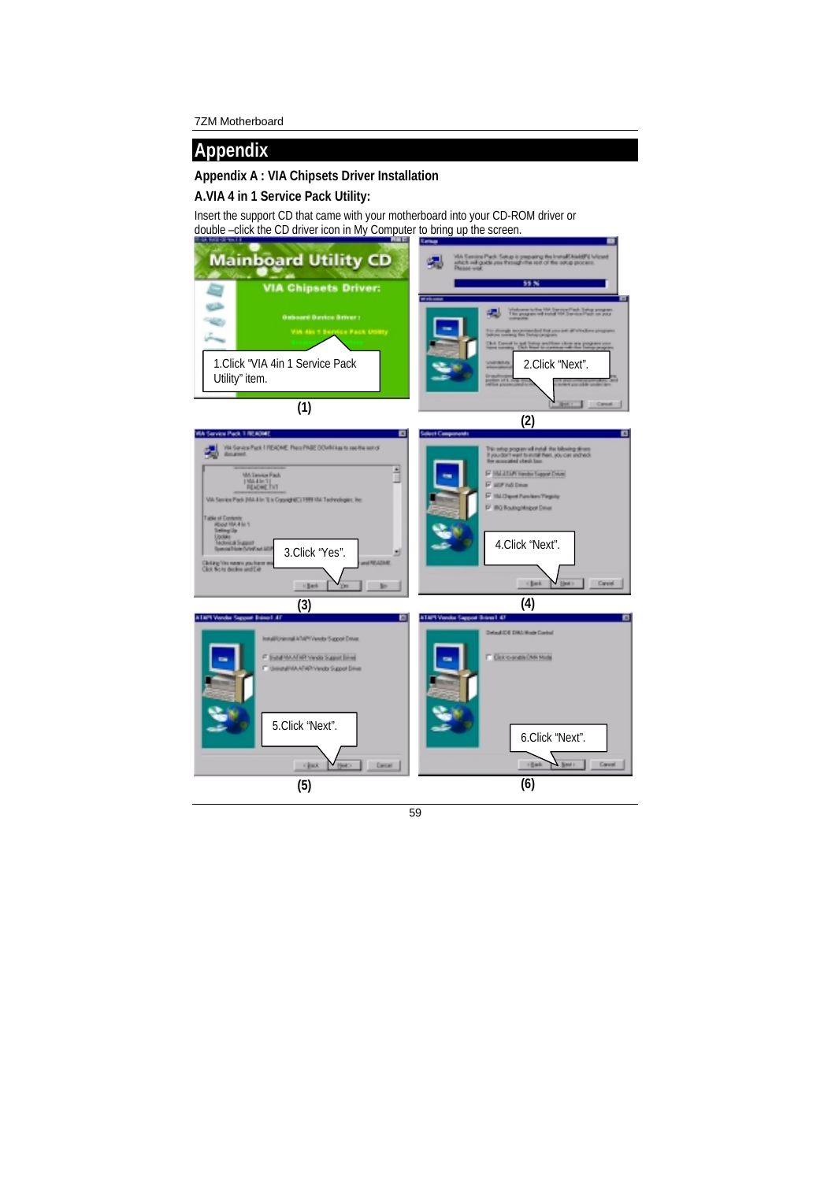# **Appendix**

### **Appendix A : VIA Chipsets Driver Installation**

### **A.VIA 4 in 1 Service Pack Utility:**

Insert the support CD that came with your motherboard into your CD-ROM driver or double –click the CD driver icon in My Computer to bring up the screen.

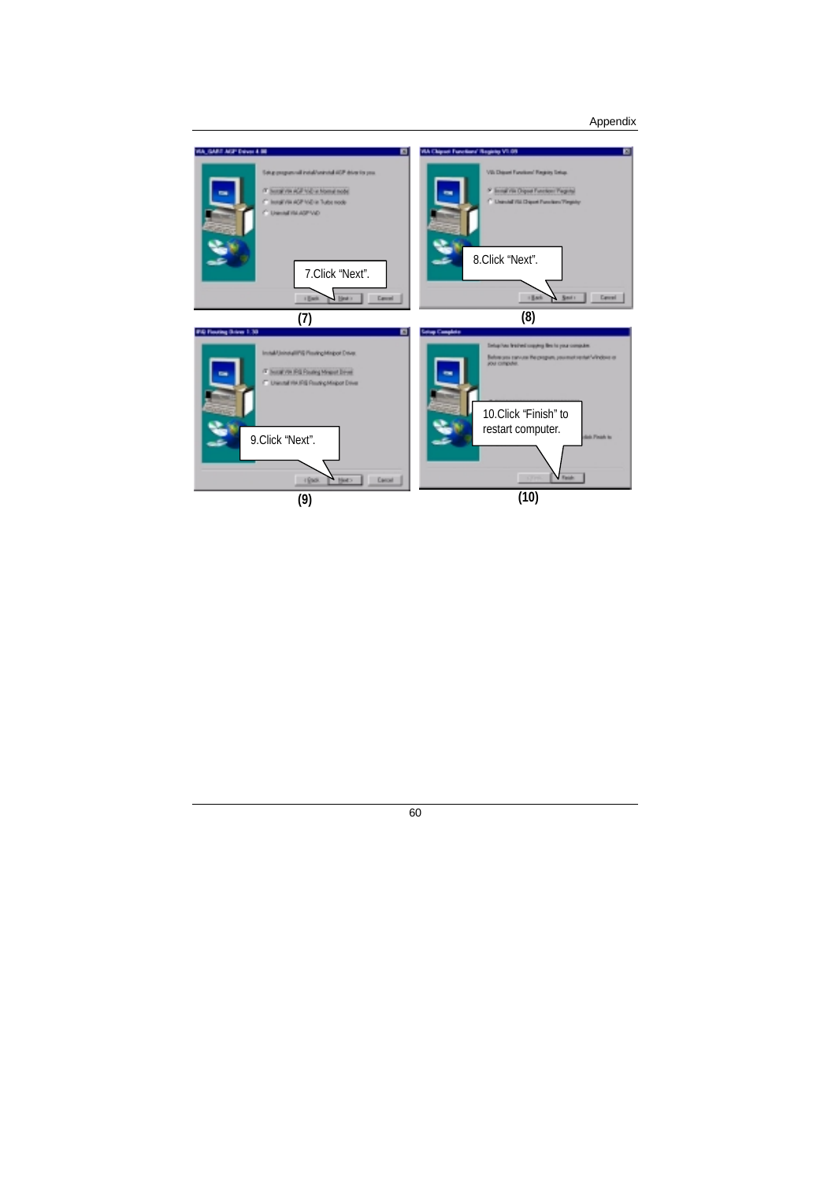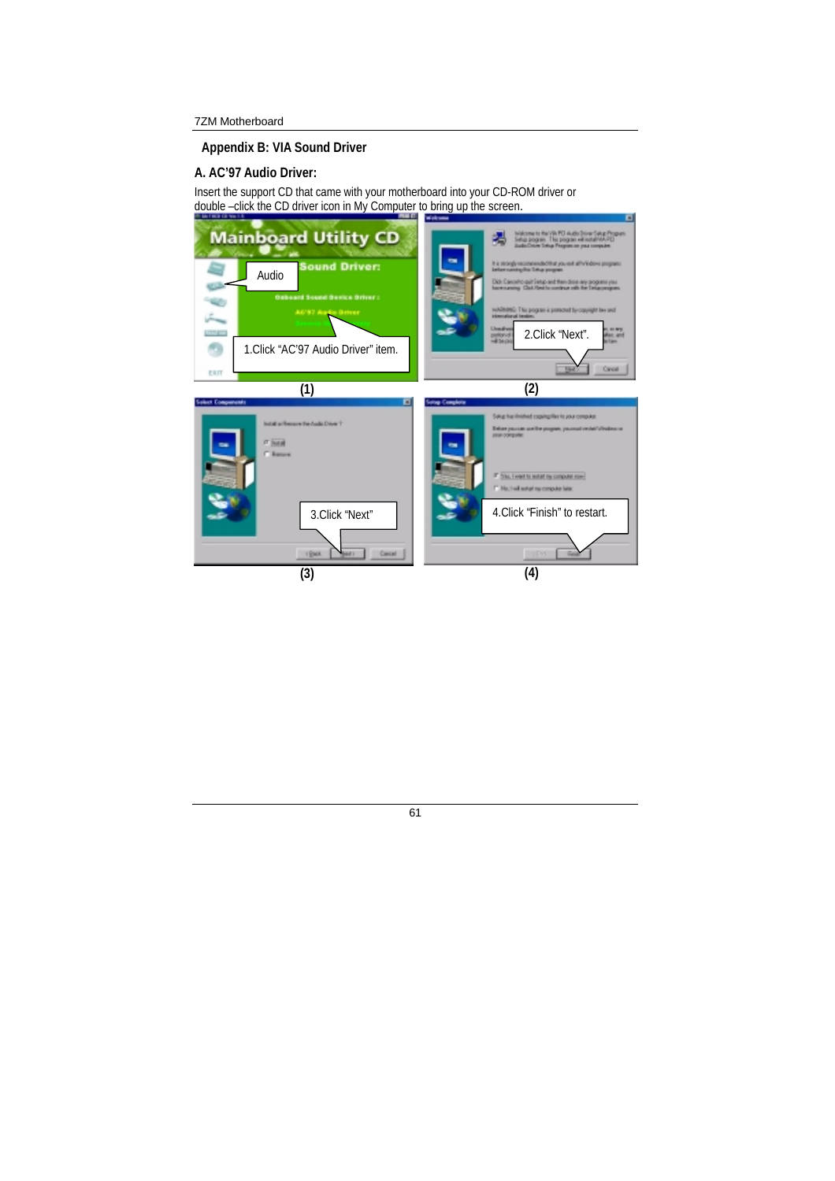**Appendix B: VIA Sound Driver** 

#### **A. AC'97 Audio Driver:**

Insert the support CD that came with your motherboard into your CD-ROM driver or double –click the CD driver icon in My Computer to bring up the screen.

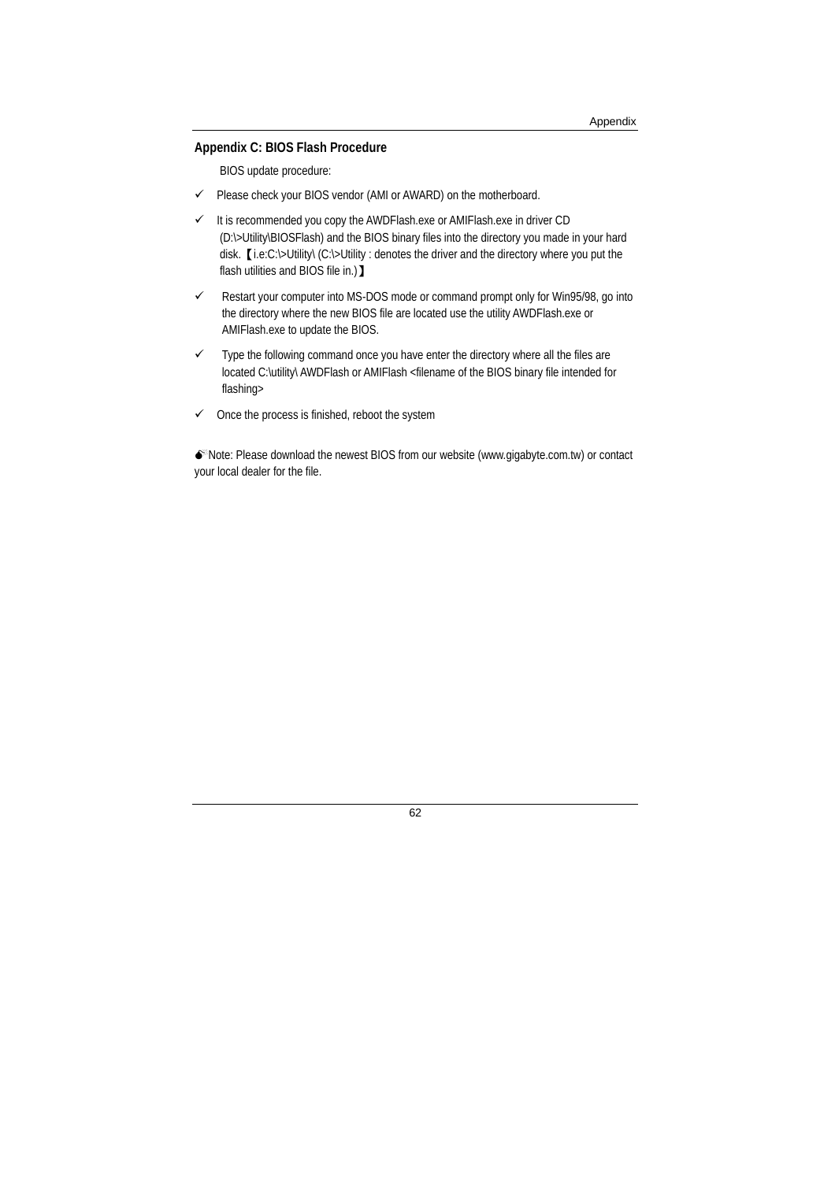#### **Appendix C: BIOS Flash Procedure**

BIOS update procedure:

- $\checkmark$  Please check your BIOS vendor (AMI or AWARD) on the motherboard.
- $I$  It is recommended you copy the AWDFlash.exe or AMIFlash.exe in driver CD (D:\>Utility\BIOSFlash) and the BIOS binary files into the directory you made in your hard disk.【i.e:C:\>Utility\ (C:\>Utility : denotes the driver and the directory where you put the flash utilities and BIOS file in.) 】
- Restart your computer into MS-DOS mode or command prompt only for Win95/98, go into the directory where the new BIOS file are located use the utility AWDFlash.exe or AMIFlash.exe to update the BIOS.
- $\checkmark$  Type the following command once you have enter the directory where all the files are located C:\utility\ AWDFlash or AMIFlash <filename of the BIOS binary file intended for flashing>
- $\checkmark$  Once the process is finished, reboot the system

Note: Please download the newest BIOS from our website (www.gigabyte.com.tw) or contact your local dealer for the file.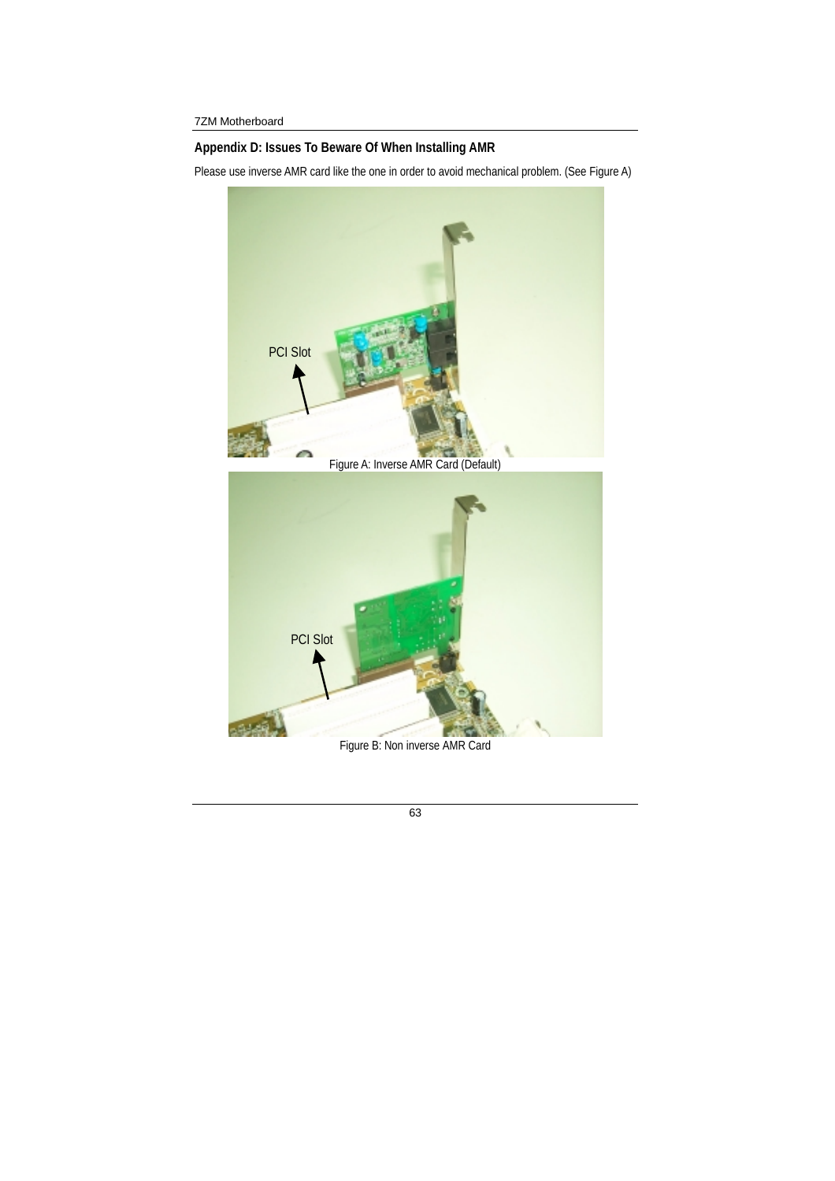## **Appendix D: Issues To Beware Of When Installing AMR**

Please use inverse AMR card like the one in order to avoid mechanical problem. (See Figure A)



Figure B: Non inverse AMR Card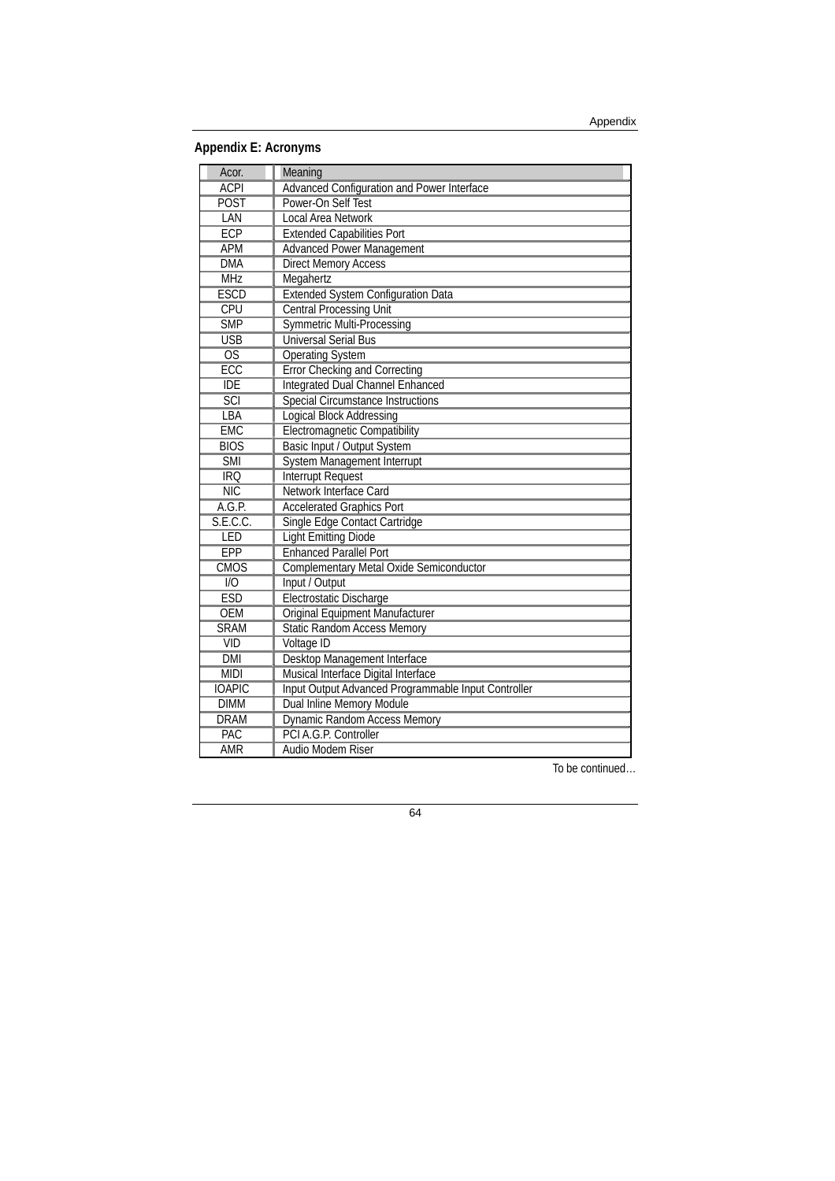**Appendix E: Acronyms** 

| Acor.                   | Meaning                                             |
|-------------------------|-----------------------------------------------------|
| <b>ACPI</b>             | Advanced Configuration and Power Interface          |
| <b>POST</b>             | Power-On Self Test                                  |
| LAN                     | <b>Local Area Network</b>                           |
| <b>ECP</b>              | <b>Extended Capabilities Port</b>                   |
| APM                     | <b>Advanced Power Management</b>                    |
| <b>DMA</b>              | <b>Direct Memory Access</b>                         |
| <b>MHz</b>              | Megahertz                                           |
| <b>ESCD</b>             | <b>Extended System Configuration Data</b>           |
| CPU                     | <b>Central Processing Unit</b>                      |
| <b>SMP</b>              | <b>Symmetric Multi-Processing</b>                   |
| <b>USB</b>              | <b>Universal Serial Bus</b>                         |
| $\overline{OS}$         | <b>Operating System</b>                             |
| <b>ECC</b>              | <b>Error Checking and Correcting</b>                |
| <b>IDE</b>              | <b>Integrated Dual Channel Enhanced</b>             |
| <b>SCI</b>              | <b>Special Circumstance Instructions</b>            |
| LBA                     | <b>Logical Block Addressing</b>                     |
| <b>EMC</b>              | <b>Electromagnetic Compatibility</b>                |
| <b>BIOS</b>             | Basic Input / Output System                         |
| <b>SMI</b>              | <b>System Management Interrupt</b>                  |
| <b>IRQ</b>              | <b>Interrupt Request</b>                            |
| $\overline{\text{NIC}}$ | Network Interface Card                              |
| A.G.P.                  | <b>Accelerated Graphics Port</b>                    |
| S.E.C.C.                | Single Edge Contact Cartridge                       |
| LED                     | <b>Light Emitting Diode</b>                         |
| <b>EPP</b>              | <b>Enhanced Parallel Port</b>                       |
| <b>CMOS</b>             | Complementary Metal Oxide Semiconductor             |
| $\overline{1/O}$        | Input / Output                                      |
| <b>ESD</b>              | Electrostatic Discharge                             |
| <b>OEM</b>              | Original Equipment Manufacturer                     |
| <b>SRAM</b>             | <b>Static Random Access Memory</b>                  |
| <b>VID</b>              | Voltage ID                                          |
| <b>DMI</b>              | Desktop Management Interface                        |
| <b>MIDI</b>             | Musical Interface Digital Interface                 |
| <b>IOAPIC</b>           | Input Output Advanced Programmable Input Controller |
| <b>DIMM</b>             | Dual Inline Memory Module                           |
| <b>DRAM</b>             | <b>Dynamic Random Access Memory</b>                 |
| PAC                     | PCI A.G.P. Controller                               |
| <b>AMR</b>              | Audio Modem Riser                                   |

To be continued…